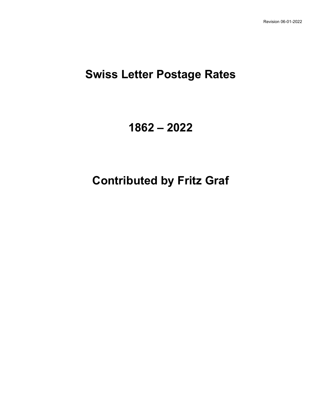# **Swiss Letter Postage Rates**

# **1862 – 2022**

# **Contributed by Fritz Graf**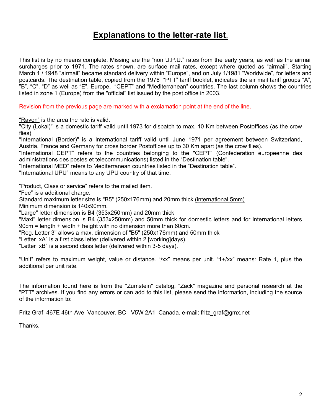## **Explanations to the letter-rate list**.

This list is by no means complete. Missing are the "non U.P.U." rates from the early years, as well as the airmail surcharges prior to 1971. The rates shown, are surface mail rates, except where quoted as "airmail". Starting March 1 / 1948 "airmail" became standard delivery within "Europe", and on July 1/1981 "Worldwide", for letters and postcards. The destination table, copied from the 1976 "PTT" tariff booklet, indicates the air mail tariff groups "A", "B", "C", "D" as well as "E", Europe, "CEPT" and "Mediterranean" countries. The last column shows the countries listed in zone 1 (Europe) from the "official" list issued by the post office in 2003.

Revision from the previous page are marked with a exclamation point at the end of the line.

"Rayon" is the area the rate is valid.

"City (Lokal)" is a domestic tariff valid until 1973 for dispatch to max. 10 Km between Postoffices (as the crow flies)

"International (Border)" is a International tariff valid until June 1971 per agreement between Switzerland, Austria, France and Germany for cross border Postoffices up to 30 Km apart (as the crow flies).

"International CEPT" refers to the countries belonging to the "CEPT" (Confederation europeenne des administrations des postes et telecommunications) listed in the "Destination table".

"International MED" refers to Mediterranean countries listed in the "Destination table".

"International UPU" means to any UPU country of that time.

"Product, Class or service" refers to the mailed item.

"Fee" is a additional charge.

Standard maximum letter size is "B5" (250x176mm) and 20mm thick (international 5mm) Minimum dimension is 140x90mm.

"Large" letter dimension is B4 (353x250mm) and 20mm thick

"Maxi" letter dimension is B4 (353x250mm) and 50mm thick for domestic letters and for international letters 90cm = length + width + height with no dimension more than 60cm.

"Reg. Letter 3" allows a max. dimension of "B5" (250x176mm) and 50mm thick

"Letter xA" is a first class letter (delivered within 2 [working]days).

"Letter xB" is a second class letter (delivered within 3-5 days).

"Unit" refers to maximum weight, value or distance. "/xx" means per unit. "1+/xx" means: Rate 1, plus the additional per unit rate.

The information found here is from the "Zumstein" catalog, "Zack" magazine and personal research at the "PTT" archives. If you find any errors or can add to this list, please send the information, including the source of the information to:

Fritz Graf 467E 46th Ave Vancouver, BC V5W 2A1 Canada. e-mail: fritz\_graf@gmx.net

Thanks.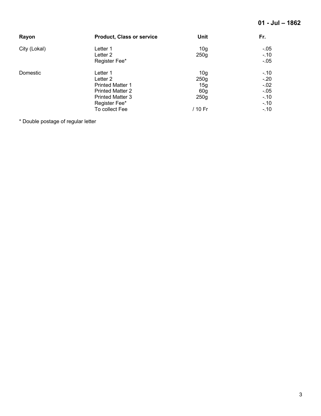| Rayon        | <b>Product, Class or service</b> | Unit            | Fr.     |
|--------------|----------------------------------|-----------------|---------|
| City (Lokal) | Letter 1                         | 10 <sub>g</sub> | $-0.05$ |
|              | Letter <sub>2</sub>              | 250g            | $-10$   |
|              | Register Fee*                    |                 | $-0.05$ |
| Domestic     | Letter 1                         | 10 <sub>g</sub> | $-10$   |
|              | Letter 2                         | 250g            | $-20$   |
|              | <b>Printed Matter 1</b>          | 15g             | $-0.02$ |
|              | <b>Printed Matter 2</b>          | 60 <sub>g</sub> | $-0.05$ |
|              | <b>Printed Matter 3</b>          | 250g            | $-.10$  |
|              | Register Fee*                    |                 | $-.10$  |
|              | To collect Fee                   | / 10 Fr         | $-.10$  |

\* Double postage of regular letter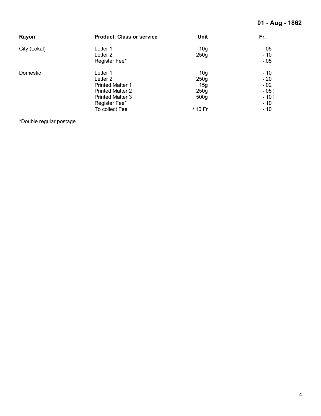| Rayon        | <b>Product, Class or service</b> | Unit             | Fr.     |
|--------------|----------------------------------|------------------|---------|
| City (Lokal) | Letter 1                         | 10 <sub>g</sub>  | $-.05$  |
|              | Letter <sub>2</sub>              | 250g             | $-.10$  |
|              | Register Fee*                    |                  | $-.05$  |
| Domestic     | Letter 1                         | 10 <sub>g</sub>  | $-.10$  |
|              | Letter <sub>2</sub>              | 250g             | $-.20$  |
|              | <b>Printed Matter 1</b>          | 15g              | $-.02$  |
|              | <b>Printed Matter 2</b>          | 250g             | $-.05!$ |
|              | <b>Printed Matter 3</b>          | 500 <sub>g</sub> | $-.10!$ |
|              | Register Fee*                    |                  | $-.10$  |
|              | To collect Fee                   | / 10 Fr          | $-.10$  |

\*Double regular postage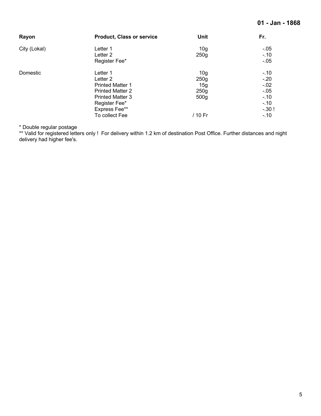| Rayon        | <b>Product, Class or service</b> | <b>Unit</b>      | Fr.    |
|--------------|----------------------------------|------------------|--------|
| City (Lokal) | Letter 1                         | 10 <sub>g</sub>  | $-.05$ |
|              | Letter 2                         | 250g             | $-.10$ |
|              | Register Fee*                    |                  | $-.05$ |
| Domestic     | Letter 1                         | 10 <sub>g</sub>  | $-.10$ |
|              | Letter 2                         | 250g             | $-.20$ |
|              | <b>Printed Matter 1</b>          | 15g              | $-.02$ |
|              | <b>Printed Matter 2</b>          | 250g             | $-.05$ |
|              | <b>Printed Matter 3</b>          | 500 <sub>g</sub> | $-.10$ |
|              | Register Fee*                    |                  | $-.10$ |
|              | Express Fee**                    |                  | $-30!$ |
|              | To collect Fee                   | / 10 Fr          | $-.10$ |

\* Double regular postage

\*\* Valid for registered letters only ! For delivery within 1.2 km of destination Post Office. Further distances and night delivery had higher fee's.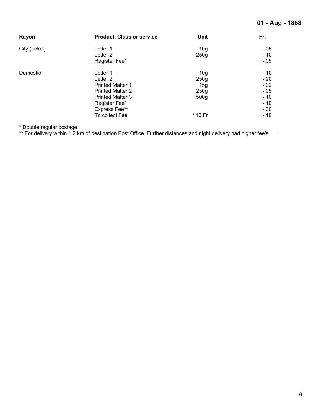| Rayon        | <b>Product, Class or service</b> | Unit             | Fr.    |
|--------------|----------------------------------|------------------|--------|
| City (Lokal) | Letter 1                         | 10 <sub>g</sub>  | $-.05$ |
|              | Letter 2                         | 250g             | $-10$  |
|              | Register Fee*                    |                  | $-.05$ |
| Domestic     | Letter 1                         | 10 <sub>g</sub>  | $-.10$ |
|              | Letter 2                         | 250g             | $-20$  |
|              | <b>Printed Matter 1</b>          | 15g              | $-.02$ |
|              | <b>Printed Matter 2</b>          | 250g             | $-.05$ |
|              | <b>Printed Matter 3</b>          | 500 <sub>g</sub> | $-.10$ |
|              | Register Fee*                    |                  | $-.10$ |
|              | Express Fee**                    |                  | $-30$  |
|              | To collect Fee                   | / 10 Fr          | $-.10$ |

\* Double regular postage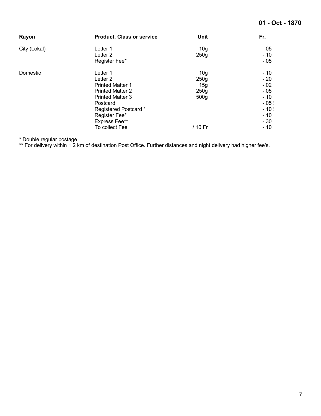| Rayon        | <b>Product, Class or service</b> | Unit                    | Fr.             |
|--------------|----------------------------------|-------------------------|-----------------|
| City (Lokal) | Letter 1<br>Letter <sub>2</sub>  | 10 <sub>g</sub><br>250g | $-.05$<br>$-10$ |
|              | Register Fee*                    |                         | $-.05$          |
| Domestic     | Letter 1                         | 10 <sub>g</sub>         | $-.10$          |
|              | Letter 2                         | 250g                    | $-20$           |
|              | <b>Printed Matter 1</b>          | 15g                     | $-0.02$         |
|              | <b>Printed Matter 2</b>          | 250g                    | $-.05$          |
|              | <b>Printed Matter 3</b>          | 500 <sub>g</sub>        | $-.10$          |
|              | Postcard                         |                         | $-.05!$         |
|              | Registered Postcard*             |                         | $-10!$          |
|              | Register Fee*                    |                         | $-.10$          |
|              | Express Fee**                    |                         | $-.30$          |
|              | To collect Fee                   | / 10 Fr                 | $-.10$          |

\* Double regular postage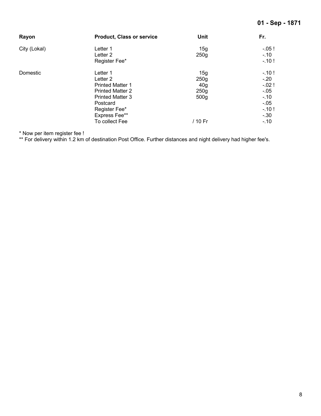| Rayon        | <b>Product, Class or service</b> | Unit             | Fr.     |
|--------------|----------------------------------|------------------|---------|
| City (Lokal) | Letter 1                         | 15g              | $-.05!$ |
|              | Letter <sub>2</sub>              | 250g             | $-.10$  |
|              | Register Fee*                    |                  | $-10!$  |
| Domestic     | Letter 1                         | 15g              | $-10!$  |
|              | Letter 2                         | 250g             | $-.20$  |
|              | <b>Printed Matter 1</b>          | 40 <sub>g</sub>  | $-.02!$ |
|              | <b>Printed Matter 2</b>          | 250g             | $-.05$  |
|              | <b>Printed Matter 3</b>          | 500 <sub>g</sub> | $-.10$  |
|              | Postcard                         |                  | $-.05$  |
|              | Register Fee*                    |                  | $-.10!$ |
|              | Express Fee**                    |                  | $-.30$  |
|              | To collect Fee                   | / 10 Fr          | $-.10$  |

\* Now per item register fee !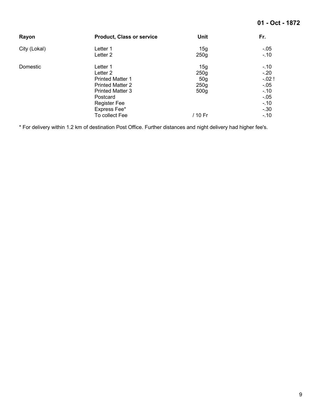| Rayon        | <b>Product, Class or service</b>                                                                                                                                                      | Unit                                                                  | Fr.                                                                                     |
|--------------|---------------------------------------------------------------------------------------------------------------------------------------------------------------------------------------|-----------------------------------------------------------------------|-----------------------------------------------------------------------------------------|
| City (Lokal) | Letter 1<br>Letter <sub>2</sub>                                                                                                                                                       | 15g<br>250g                                                           | $-05$<br>$-.10$                                                                         |
| Domestic     | Letter 1<br>Letter <sub>2</sub><br><b>Printed Matter 1</b><br><b>Printed Matter 2</b><br><b>Printed Matter 3</b><br>Postcard<br><b>Register Fee</b><br>Express Fee*<br>To collect Fee | 15g<br>250g<br>50 <sub>g</sub><br>250g<br>500 <sub>g</sub><br>/ 10 Fr | $-.10$<br>$-.20$<br>$-.02!$<br>$-.05$<br>$-.10$<br>$-0.05$<br>$-.10$<br>$-30$<br>$-.10$ |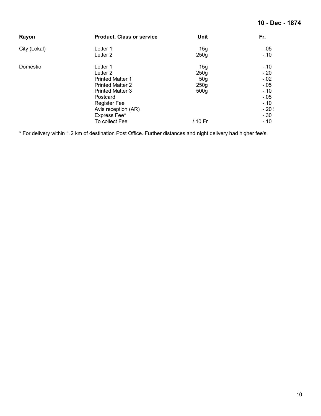| Rayon        | <b>Product, Class or service</b> | Unit             | Fr.     |
|--------------|----------------------------------|------------------|---------|
| City (Lokal) | Letter 1                         | 15g              | $-.05$  |
|              | Letter 2                         | 250g             | $-.10$  |
| Domestic     | Letter 1                         | 15g              | $-.10$  |
|              | Letter <sub>2</sub>              | 250g             | $-20$   |
|              | <b>Printed Matter 1</b>          | 50 <sub>g</sub>  | $-0.02$ |
|              | <b>Printed Matter 2</b>          | 250g             | $-.05$  |
|              | <b>Printed Matter 3</b>          | 500 <sub>g</sub> | $-.10$  |
|              | Postcard                         |                  | $-.05$  |
|              | <b>Register Fee</b>              |                  | $-.10$  |
|              | Avis reception (AR)              |                  | $-.20!$ |
|              | Express Fee*                     |                  | $-.30$  |
|              | To collect Fee                   | / 10 Fr          | $-.10$  |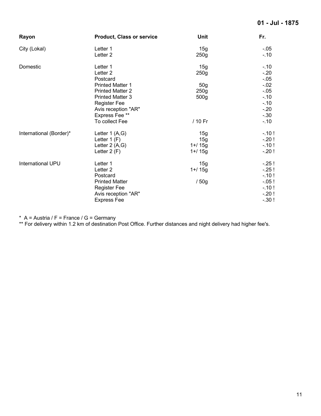| Rayon                   | <b>Product, Class or service</b> | Unit             | Fr.     |
|-------------------------|----------------------------------|------------------|---------|
| City (Lokal)            | Letter 1                         | 15g              | $-.05$  |
|                         | Letter <sub>2</sub>              | 250g             | $-.10$  |
| Domestic                | Letter 1                         | 15g              | $-10$   |
|                         | Letter <sub>2</sub>              | 250 <sub>g</sub> | $-20$   |
|                         | Postcard                         |                  | $-0.05$ |
|                         | <b>Printed Matter 1</b>          | 50 <sub>g</sub>  | $-.02$  |
|                         | <b>Printed Matter 2</b>          | 250g             | $-0.05$ |
|                         | <b>Printed Matter 3</b>          | 500g             | $-10$   |
|                         | <b>Register Fee</b>              |                  | $-10$   |
|                         | Avis reception "AR"              |                  | $-20$   |
|                         | Express Fee **                   |                  | $-30$   |
|                         | To collect Fee                   | / 10 Fr          | $-.10$  |
| International (Border)* | Letter 1 (A,G)                   | 15g              | $-10!$  |
|                         | Letter $1(F)$                    | 15g              | $-.20!$ |
|                         | Letter $2(A,G)$                  | $1 + 15g$        | $-.10!$ |
|                         | Letter $2(F)$                    | $1 + 15g$        | $-.20!$ |
| International UPU       | Letter 1                         | 15g              | $-25!$  |
|                         | Letter <sub>2</sub>              | $1 + 15g$        | $-.25!$ |
|                         | Postcard                         |                  | $-.10!$ |
|                         | <b>Printed Matter</b>            | /50g             | $-.05!$ |
|                         | <b>Register Fee</b>              |                  | $-.10!$ |
|                         | Avis reception "AR"              |                  | $-.20!$ |
|                         | <b>Express Fee</b>               |                  | $-.30!$ |
|                         |                                  |                  |         |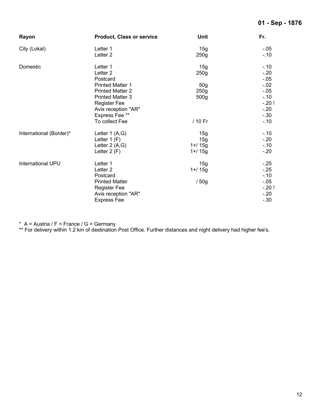| Rayon                   | <b>Product, Class or service</b> | <b>Unit</b>      | Fr.     |
|-------------------------|----------------------------------|------------------|---------|
| City (Lokal)            | Letter 1                         | 15g              | $-.05$  |
|                         | Letter <sub>2</sub>              | 250g             | $-10$   |
| Domestic                | Letter 1                         | 15g              | $-.10$  |
|                         | Letter <sub>2</sub>              | 250g             | $-20$   |
|                         | Postcard                         |                  | $-0.05$ |
|                         | <b>Printed Matter 1</b>          | 50 <sub>g</sub>  | $-0.02$ |
|                         | <b>Printed Matter 2</b>          | 250g             | $-.05$  |
|                         | <b>Printed Matter 3</b>          | 500 <sub>g</sub> | $-10$   |
|                         | <b>Register Fee</b>              |                  | $-.20!$ |
|                         | Avis reception "AR"              |                  | $-20$   |
|                         | Express Fee **                   |                  | $-30$   |
|                         | To collect Fee                   | / 10 Fr          | $-10$   |
| International (Border)* | Letter $1(A,G)$                  | 15g              | $-.10$  |
|                         | Letter $1(F)$                    | 15g              | $-20$   |
|                         | Letter 2 (A,G)                   | $1 + 15g$        | $-10$   |
|                         | Letter $2(F)$                    | $1 + 15g$        | $-20$   |
| International UPU       | Letter 1                         | 15g              | $-.25$  |
|                         | Letter <sub>2</sub>              | $1 + 15g$        | $-25$   |
|                         | Postcard                         |                  | $-.10$  |
|                         | <b>Printed Matter</b>            | /50g             | $-0.05$ |
|                         | <b>Register Fee</b>              |                  | $-.20!$ |
|                         | Avis reception "AR"              |                  | $-20$   |
|                         | <b>Express Fee</b>               |                  | $-.30$  |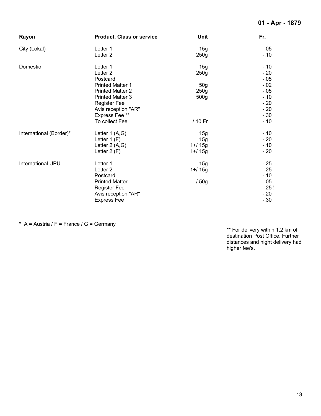| Rayon                   | <b>Product, Class or service</b>                                                                                   | <b>Unit</b>                          | Fr.                                            |
|-------------------------|--------------------------------------------------------------------------------------------------------------------|--------------------------------------|------------------------------------------------|
| City (Lokal)            | Letter 1<br>Letter <sub>2</sub>                                                                                    | 15g<br>250g                          | $-0.05$<br>$-.10$                              |
| Domestic                | Letter 1<br>Letter <sub>2</sub><br>Postcard<br><b>Printed Matter 1</b>                                             | 15g<br>250g<br>50 <sub>g</sub>       | $-.10$<br>$-20$<br>$-.05$<br>$-.02$            |
|                         | <b>Printed Matter 2</b><br><b>Printed Matter 3</b><br><b>Register Fee</b><br>Avis reception "AR"<br>Express Fee ** | 250g<br>500 <sub>g</sub>             | $-0.05$<br>$-.10$<br>$-20$<br>$-20$<br>$-.30$  |
|                         | To collect Fee                                                                                                     | / 10 Fr                              | $-.10$                                         |
| International (Border)* | Letter $1(A,G)$<br>Letter $1(F)$<br>Letter $2(A,G)$<br>Letter $2(F)$                                               | 15g<br>15g<br>$1 + 15g$<br>$1 + 15g$ | $-.10$<br>$-20$<br>$-.10$<br>$-20$             |
| International UPU       | Letter 1<br>Letter <sub>2</sub><br>Postcard<br><b>Printed Matter</b><br><b>Register Fee</b>                        | 15g<br>1+/ 15g<br>/50g               | $-.25$<br>$-25$<br>$-10$<br>$-0.05$<br>$-.25!$ |
|                         | Avis reception "AR"<br><b>Express Fee</b>                                                                          |                                      | $-20$<br>$-.30$                                |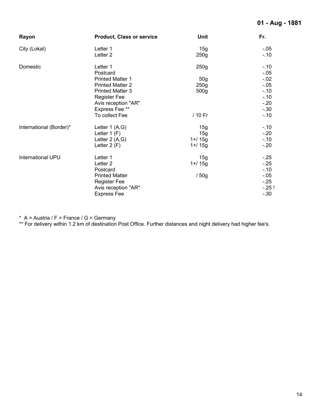| Rayon                   | <b>Product, Class or service</b>                                                                                                                    | <b>Unit</b>                                         | Fr.                                                               |
|-------------------------|-----------------------------------------------------------------------------------------------------------------------------------------------------|-----------------------------------------------------|-------------------------------------------------------------------|
| City (Lokal)            | Letter 1<br>Letter <sub>2</sub>                                                                                                                     | 15g<br>250g                                         | $-.05$<br>$-.10$                                                  |
| Domestic                | Letter 1<br>Postcard<br><b>Printed Matter 1</b><br><b>Printed Matter 2</b><br><b>Printed Matter 3</b><br><b>Register Fee</b><br>Avis reception "AR" | 250g<br>50 <sub>g</sub><br>250g<br>500 <sub>g</sub> | $-.10$<br>$-.05$<br>$-.02$<br>$-.05$<br>$-.10$<br>$-.10$<br>$-20$ |
|                         | Express Fee **<br>To collect Fee                                                                                                                    | / 10 Fr                                             | $-.30$<br>$-.10$                                                  |
| International (Border)* | Letter $1(A,G)$<br>Letter $1(F)$<br>Letter 2 (A,G)<br>Letter $2(F)$                                                                                 | 15g<br>15g<br>$1 + 15g$<br>$1 + 15g$                | $-.10$<br>$-20$<br>$-.10$<br>$-20$                                |
| International UPU       | Letter 1<br>Letter <sub>2</sub><br>Postcard<br><b>Printed Matter</b><br><b>Register Fee</b><br>Avis reception "AR"<br><b>Express Fee</b>            | 15g<br>$1 + 15g$<br>/50g                            | $-.25$<br>$-25$<br>$-10$<br>$-.05$<br>$-25$<br>$-25!$<br>$-.30$   |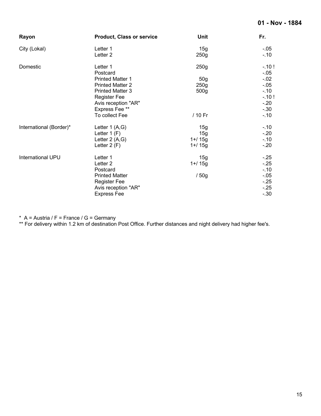| Rayon                   | <b>Product, Class or service</b>                                                                                                                                                        | <b>Unit</b>                                                    | Fr.                                                                                      |
|-------------------------|-----------------------------------------------------------------------------------------------------------------------------------------------------------------------------------------|----------------------------------------------------------------|------------------------------------------------------------------------------------------|
| City (Lokal)            | Letter 1<br>Letter <sub>2</sub>                                                                                                                                                         | 15g<br>250 <sub>g</sub>                                        | $-.05$<br>$-.10$                                                                         |
| Domestic                | Letter 1<br>Postcard<br><b>Printed Matter 1</b><br><b>Printed Matter 2</b><br><b>Printed Matter 3</b><br><b>Register Fee</b><br>Avis reception "AR"<br>Express Fee **<br>To collect Fee | 250g<br>50 <sub>g</sub><br>250g<br>500 <sub>g</sub><br>/ 10 Fr | $-.10!$<br>$-0.05$<br>$-.02$<br>$-.05$<br>$-.10$<br>$-.10!$<br>$-20$<br>$-.30$<br>$-.10$ |
| International (Border)* | Letter $1(A,G)$<br>Letter $1(F)$<br>Letter $2(A,G)$<br>Letter $2(F)$                                                                                                                    | 15g<br>15g<br>$1 + 15g$<br>$1 + 15g$                           | $-.10$<br>$-20$<br>$-.10$<br>$-.20$                                                      |
| International UPU       | Letter 1<br>Letter <sub>2</sub><br>Postcard<br><b>Printed Matter</b><br><b>Register Fee</b><br>Avis reception "AR"<br><b>Express Fee</b>                                                | 15g<br>$1 + 15g$<br>/50g                                       | $-.25$<br>$-.25$<br>$-.10$<br>$-0.05$<br>$-25$<br>$-.25$<br>$-.30$                       |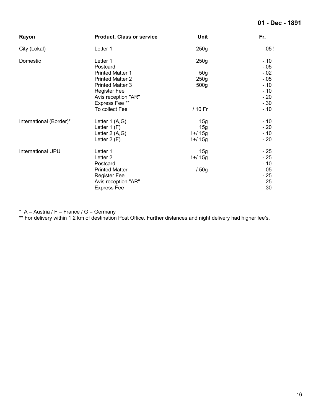#### **01 - Dec - 1891**

| Rayon                   | <b>Product, Class or service</b> | <b>Unit</b>      | Fr.               |
|-------------------------|----------------------------------|------------------|-------------------|
| City (Lokal)            | Letter 1                         | 250 <sub>g</sub> | $-0.05!$          |
| Domestic                | Letter 1<br>Postcard             | 250g             | $-.10$<br>$-0.05$ |
|                         | <b>Printed Matter 1</b>          | 50 <sub>g</sub>  | $-.02$            |
|                         | <b>Printed Matter 2</b>          | 250g             | $-.05$            |
|                         | <b>Printed Matter 3</b>          | 500 <sub>g</sub> | $-.10$            |
|                         | <b>Register Fee</b>              |                  | $-.10$            |
|                         | Avis reception "AR"              |                  | $-20$             |
|                         | Express Fee**                    |                  | $-.30$            |
|                         | To collect Fee                   | / 10 Fr          | $-.10$            |
| International (Border)* | Letter 1 (A,G)                   | 15g              | $-.10$            |
|                         | Letter $1(F)$                    | 15g              | $-20$             |
|                         | Letter $2(A,G)$                  | $1 + 15g$        | $-.10$            |
|                         | Letter $2(F)$                    | $1 + 15g$        | $-20$             |
| International UPU       | Letter 1                         | 15g              | $-.25$            |
|                         | Letter <sub>2</sub>              | $1 + 15g$        | $-25$             |
|                         | Postcard                         |                  | $-.10$            |
|                         | <b>Printed Matter</b>            | /50g             | $-.05$            |
|                         | <b>Register Fee</b>              |                  | $-25$             |
|                         | Avis reception "AR"              |                  | $-25$             |
|                         | <b>Express Fee</b>               |                  | $-.30$            |

\* A = Austria / F = France / G = Germany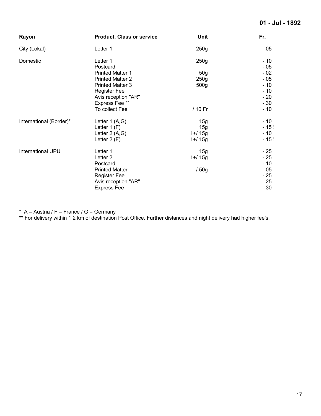#### **01 - Jul - 1892**

| Rayon                    | <b>Product, Class or service</b> | <b>Unit</b>      | Fr.              |
|--------------------------|----------------------------------|------------------|------------------|
| City (Lokal)             | Letter 1                         | 250g             | $-.05$           |
| Domestic                 | Letter 1<br>Postcard             | 250g             | $-.10$<br>$-.05$ |
|                          | <b>Printed Matter 1</b>          | 50 <sub>g</sub>  | $-.02$           |
|                          | <b>Printed Matter 2</b>          | 250g             | $-.05$           |
|                          | <b>Printed Matter 3</b>          | 500 <sub>g</sub> | $-.10$           |
|                          | <b>Register Fee</b>              |                  | $-.10$           |
|                          | Avis reception "AR"              |                  | $-20$            |
|                          | Express Fee **                   |                  | $-30$            |
|                          | To collect Fee                   | / 10 Fr          | $-.10$           |
| International (Border)*  | Letter $1(A,G)$                  | 15g              | $-.10$           |
|                          | Letter $1(F)$                    | 15g              | $-15!$           |
|                          | Letter 2 (A,G)                   | $1 + 15q$        | $-.10$           |
|                          | Letter 2 (F)                     | $1 + 15g$        | $-15!$           |
| <b>International UPU</b> | Letter 1                         | 15g              | $-.25$           |
|                          | Letter <sub>2</sub>              | $1 + 15g$        | $-25$            |
|                          | Postcard                         |                  | $-.10$           |
|                          | <b>Printed Matter</b>            | /50g             | $-.05$           |
|                          | <b>Register Fee</b>              |                  | $-25$            |
|                          | Avis reception "AR"              |                  | $-.25$           |
|                          | <b>Express Fee</b>               |                  | $-30$            |

\* A = Austria / F = France / G = Germany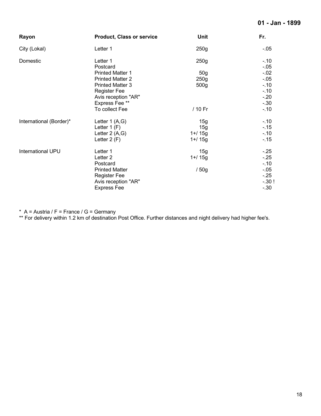#### **01 - Jan - 1899**

| Rayon                   | <b>Product, Class or service</b> | <b>Unit</b>      | Fr.             |
|-------------------------|----------------------------------|------------------|-----------------|
| City (Lokal)            | Letter 1                         | 250 <sub>g</sub> | $-0.05$         |
| Domestic                | Letter 1<br>Postcard             | 250g             | $-.10$<br>$-05$ |
|                         | <b>Printed Matter 1</b>          | 50 <sub>g</sub>  | $-.02$          |
|                         | <b>Printed Matter 2</b>          | 250g             | $-.05$          |
|                         | <b>Printed Matter 3</b>          | 500 <sub>g</sub> | $-.10$          |
|                         | <b>Register Fee</b>              |                  | $-10$           |
|                         | Avis reception "AR"              |                  | $-.20$          |
|                         | Express Fee **                   |                  | $-.30$          |
|                         | To collect Fee                   | / 10 Fr          | $-.10$          |
| International (Border)* | Letter $1(A,G)$                  | 15g              | $-.10$          |
|                         | Letter $1(F)$                    | 15g              | $-0.15$         |
|                         | Letter 2 (A,G)                   | $1 + 15q$        | $-.10$          |
|                         | Letter 2 (F)                     | $1 + 15g$        | $-15$           |
| International UPU       | Letter 1                         | 15g              | $-25$           |
|                         | Letter <sub>2</sub>              | $1 + 15g$        | $-25$           |
|                         | Postcard                         |                  | $-.10$          |
|                         | <b>Printed Matter</b>            | /50g             | $-.05$          |
|                         | <b>Register Fee</b>              |                  | $-25$           |
|                         | Avis reception "AR"              |                  | $-.30!$         |
|                         | <b>Express Fee</b>               |                  | $-30$           |

\* A = Austria / F = France / G = Germany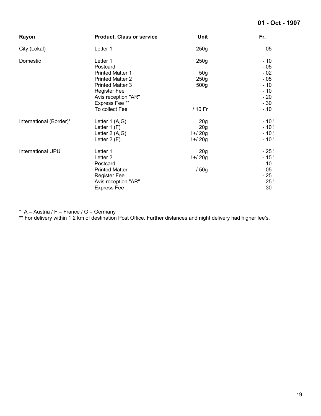#### **01 - Oct - 1907**

| Rayon                    | <b>Product, Class or service</b> | <b>Unit</b>      | Fr.     |
|--------------------------|----------------------------------|------------------|---------|
| City (Lokal)             | Letter 1                         | 250g             | $-.05$  |
| Domestic                 | Letter 1                         | 250 <sub>g</sub> | $-.10$  |
|                          | Postcard                         |                  | $-.05$  |
|                          | <b>Printed Matter 1</b>          | 50 <sub>g</sub>  | $-.02$  |
|                          | <b>Printed Matter 2</b>          | 250 <sub>g</sub> | $-0.05$ |
|                          | <b>Printed Matter 3</b>          | 500g             | $-10$   |
|                          | <b>Register Fee</b>              |                  | $-10$   |
|                          | Avis reception "AR"              |                  | $-20$   |
|                          | Express Fee **                   |                  | $-.30$  |
|                          | To collect Fee                   | / 10 Fr          | $-.10$  |
| International (Border)*  | Letter $1(A,G)$                  | 20 <sub>g</sub>  | $-10!$  |
|                          | Letter $1(F)$                    | 20 <sub>g</sub>  | $-10!$  |
|                          | Letter 2 (A,G)                   | $1 + 20g$        | $-10!$  |
|                          | Letter $2(F)$                    | $1 + 20g$        | $-.10!$ |
| <b>International UPU</b> | Letter 1                         | 20 <sub>g</sub>  | $-.25!$ |
|                          | Letter <sub>2</sub>              | $1 + 20g$        | $-15!$  |
|                          | Postcard                         |                  | $-.10$  |
|                          | <b>Printed Matter</b>            | /50g             | $-.05$  |
|                          | <b>Register Fee</b>              |                  | $-.25$  |
|                          | Avis reception "AR"              |                  | $-.25!$ |
|                          | <b>Express Fee</b>               |                  | $-.30$  |

\* A = Austria / F = France / G = Germany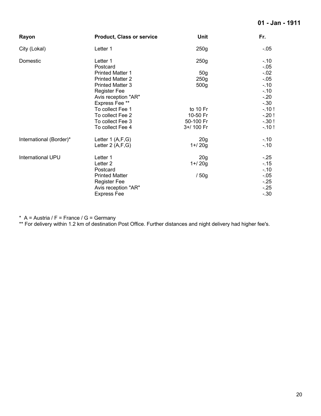#### **01 - Jan - 1911**

| Rayon                   | <b>Product, Class or service</b> | Unit            | Fr.              |
|-------------------------|----------------------------------|-----------------|------------------|
| City (Lokal)            | Letter 1                         | 250g            | -.05             |
| Domestic                | Letter 1<br>Postcard             | 250g            | $-.10$<br>$-.05$ |
|                         | <b>Printed Matter 1</b>          | 50 <sub>g</sub> | $-.02$           |
|                         | <b>Printed Matter 2</b>          | 250g            | $-.05$           |
|                         | <b>Printed Matter 3</b>          | 500g            | $-.10$           |
|                         | <b>Register Fee</b>              |                 | $-.10$           |
|                         | Avis reception "AR"              |                 | $-.20$           |
|                         | Express Fee**                    |                 | $-.30$           |
|                         | To collect Fee 1                 | to 10 Fr        | $-.10!$          |
|                         | To collect Fee 2                 | 10-50 Fr        | $-.20!$          |
|                         | To collect Fee 3                 | 50-100 Fr       | $-.30!$          |
|                         | To collect Fee 4                 | 3+/ 100 Fr      | $-.10!$          |
| International (Border)* | Letter $1(A,F,G)$                | 20 <sub>g</sub> | $-10$            |
|                         | Letter $2(A,F,G)$                | $1 + 20g$       | $-.10$           |
| International UPU       | Letter 1                         | 20 <sub>g</sub> | $-.25$           |
|                         | Letter <sub>2</sub>              | $1 + 20g$       | $-15$            |
|                         | Postcard                         |                 | $-.10$           |
|                         | <b>Printed Matter</b>            | /50g            | $-.05$           |
|                         | <b>Register Fee</b>              |                 | $-.25$           |
|                         | Avis reception "AR"              |                 | $-.25$           |
|                         | <b>Express Fee</b>               |                 | $-.30$           |

\* A = Austria / F = France / G = Germany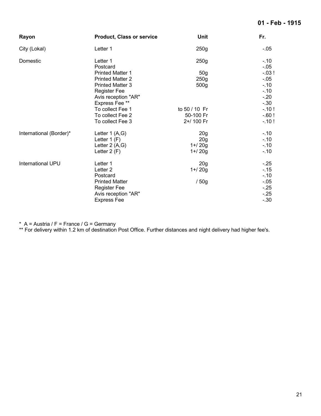#### **01 - Feb - 1915**

| Rayon                   | <b>Product, Class or service</b> | <b>Unit</b>      | Fr.               |
|-------------------------|----------------------------------|------------------|-------------------|
| City (Lokal)            | Letter 1                         | 250g             | $-0.05$           |
| Domestic                | Letter 1<br>Postcard             | 250g             | $-.10$<br>$-0.05$ |
|                         | <b>Printed Matter 1</b>          | 50 <sub>g</sub>  | $-0.03!$          |
|                         | <b>Printed Matter 2</b>          | 250g             | $-.05$            |
|                         | <b>Printed Matter 3</b>          | 500 <sub>g</sub> | $-.10$            |
|                         | <b>Register Fee</b>              |                  | $-.10$            |
|                         | Avis reception "AR"              |                  | $-20$             |
|                         | Express Fee **                   |                  | $-.30$            |
|                         | To collect Fee 1                 | to 50 / 10 Fr    | $-.10!$           |
|                         | To collect Fee 2                 | 50-100 Fr        | $-60!$            |
|                         | To collect Fee 3                 | 2+/ 100 Fr       | $-.10!$           |
| International (Border)* | Letter 1 (A,G)                   | 20 <sub>g</sub>  | $-.10$            |
|                         | Letter 1 (F)                     | 20 <sub>g</sub>  | $-.10$            |
|                         | Letter 2 (A,G)                   | $1 + 20g$        | $-.10$            |
|                         | Letter $2(F)$                    | $1 + 20g$        | $-.10$            |
| International UPU       | Letter 1                         | 20 <sub>g</sub>  | $-.25$            |
|                         | Letter <sub>2</sub>              | $1 + 20g$        | $-15$             |
|                         | Postcard                         |                  | $-.10$            |
|                         | <b>Printed Matter</b>            | /50g             | $-.05$            |
|                         | <b>Register Fee</b>              |                  | $-25$             |
|                         | Avis reception "AR"              |                  | $-25$             |
|                         | <b>Express Fee</b>               |                  | $-.30$            |

\* A = Austria / F = France / G = Germany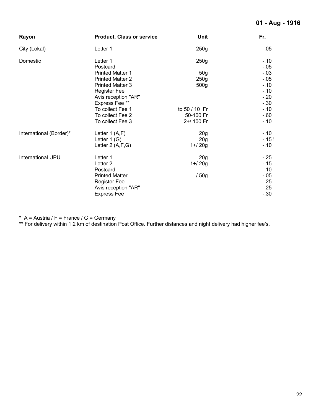#### **01 - Aug - 1916**

| Rayon                   | <b>Product, Class or service</b> | <b>Unit</b>      | Fr.              |
|-------------------------|----------------------------------|------------------|------------------|
| City (Lokal)            | Letter 1                         | 250g             | $-.05$           |
| Domestic                | Letter 1<br>Postcard             | 250 <sub>g</sub> | $-.10$<br>$-.05$ |
|                         | <b>Printed Matter 1</b>          | 50 <sub>g</sub>  | $-03$            |
|                         | <b>Printed Matter 2</b>          | 250 <sub>g</sub> | $-05$            |
|                         | <b>Printed Matter 3</b>          | 500 <sub>g</sub> | $-.10$           |
|                         | <b>Register Fee</b>              |                  | $-10$            |
|                         | Avis reception "AR"              |                  | $-20$            |
|                         | Express Fee **                   |                  | $-.30$           |
|                         | To collect Fee 1                 | to 50 / 10 Fr    | $-.10$           |
|                         | To collect Fee 2                 | 50-100 Fr        | $-60$            |
|                         | To collect Fee 3                 | 2+/ 100 Fr       | $-.10$           |
| International (Border)* | Letter $1(A,F)$                  | 20 <sub>g</sub>  | $-.10$           |
|                         | Letter 1 (G)                     | 20 <sub>g</sub>  | $-15!$           |
|                         | Letter 2 (A,F,G)                 | $1 + 20g$        | $-.10$           |
| International UPU       | Letter 1                         | 20 <sub>g</sub>  | $-25$            |
|                         | Letter <sub>2</sub>              | $1 + 20g$        | $-0.15$          |
|                         | Postcard                         |                  | $-.10$           |
|                         | <b>Printed Matter</b>            | /50g             | $-.05$           |
|                         | <b>Register Fee</b>              |                  | $-25$            |
|                         | Avis reception "AR"              |                  | $-25$            |
|                         | <b>Express Fee</b>               |                  | $-.30$           |

\* A = Austria / F = France / G = Germany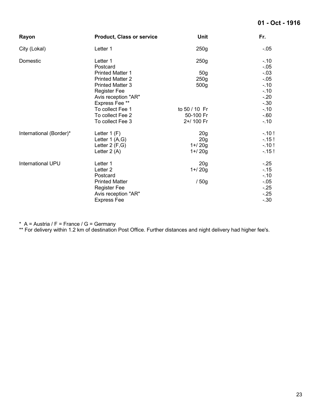#### **01 - Oct - 1916**

| Rayon                   | <b>Product, Class or service</b> | <b>Unit</b>      | Fr.              |
|-------------------------|----------------------------------|------------------|------------------|
| City (Lokal)            | Letter 1                         | 250g             | $-0.05$          |
| Domestic                | Letter 1<br>Postcard             | 250g             | $-.10$<br>$-.05$ |
|                         | <b>Printed Matter 1</b>          | 50 <sub>g</sub>  | $-.03$           |
|                         | <b>Printed Matter 2</b>          | 250g             | $-.05$           |
|                         | <b>Printed Matter 3</b>          | 500 <sub>g</sub> | $-10$            |
|                         | <b>Register Fee</b>              |                  | $-10$            |
|                         | Avis reception "AR"              |                  | $-.20$           |
|                         | Express Fee **                   |                  | $-.30$           |
|                         | To collect Fee 1                 | to 50 / 10 Fr    | $-10$            |
|                         | To collect Fee 2                 | 50-100 Fr        | $-60$            |
|                         | To collect Fee 3                 | 2+/ 100 Fr       | $-.10$           |
| International (Border)* | Letter $1(F)$                    | 20 <sub>g</sub>  | $-10!$           |
|                         | Letter 1 (A,G)                   | 20 <sub>g</sub>  | $-15!$           |
|                         | Letter $2(F,G)$                  | $1 + 20g$        | $-10!$           |
|                         | Letter $2(A)$                    | $1 + 20g$        | $-15!$           |
| International UPU       | Letter 1                         | 20 <sub>g</sub>  | $-.25$           |
|                         | Letter <sub>2</sub>              | $1 + 20g$        | $-0.15$          |
|                         | Postcard                         |                  | $-.10$           |
|                         | <b>Printed Matter</b>            | /50g             | $-.05$           |
|                         | <b>Register Fee</b>              |                  | $-25$            |
|                         | Avis reception "AR"              |                  | $-25$            |
|                         | <b>Express Fee</b>               |                  | $-.30$           |

\* A = Austria / F = France / G = Germany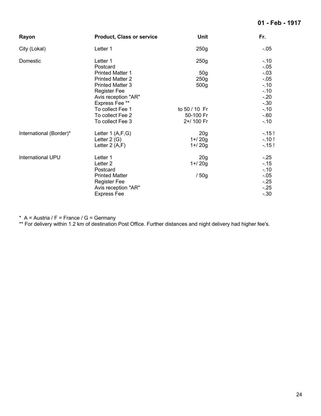#### **01 - Feb - 1917**

| Rayon                   | <b>Product, Class or service</b> | <b>Unit</b>      | Fr.            |
|-------------------------|----------------------------------|------------------|----------------|
| City (Lokal)            | Letter 1                         | 250g             | -.05           |
| Domestic                | Letter 1<br>Postcard             | 250g             | $-10$<br>$-05$ |
|                         | <b>Printed Matter 1</b>          | 50 <sub>g</sub>  | $-.03$         |
|                         | <b>Printed Matter 2</b>          | 250g             | $-05$          |
|                         | <b>Printed Matter 3</b>          | 500 <sub>g</sub> | $-10$          |
|                         | <b>Register Fee</b>              |                  | $-10$          |
|                         | Avis reception "AR"              |                  | $-.20$         |
|                         | Express Fee **                   |                  | $-.30$         |
|                         | To collect Fee 1                 | to 50 / 10 Fr    | $-.10$         |
|                         | To collect Fee 2                 | 50-100 Fr        | $-60$          |
|                         | To collect Fee 3                 | 2+/ 100 Fr       | $-.10$         |
| International (Border)* | Letter $1(A,F,G)$                | 20 <sub>g</sub>  | $-.15!$        |
|                         | Letter $2(G)$                    | $1 + 20g$        | $-10!$         |
|                         | Letter $2(A,F)$                  | $1 + 20g$        | $-15!$         |
| International UPU       | Letter 1                         | 20 <sub>g</sub>  | $-.25$         |
|                         | Letter <sub>2</sub>              | $1 + 20g$        | $-0.15$        |
|                         | Postcard                         |                  | $-10$          |
|                         | <b>Printed Matter</b>            | /50g             | $-.05$         |
|                         | <b>Register Fee</b>              |                  | $-.25$         |
|                         | Avis reception "AR"              |                  | $-.25$         |
|                         | <b>Express Fee</b>               |                  | $-.30$         |

\* A = Austria / F = France / G = Germany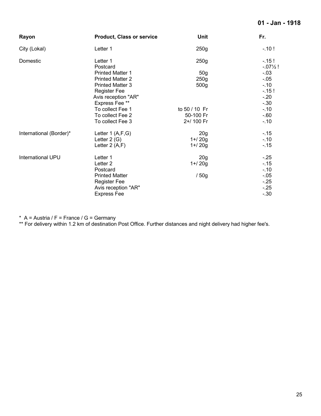#### **01 - Jan - 1918**

| Rayon                   | <b>Product, Class or service</b> | Unit             | Fr.                          |
|-------------------------|----------------------------------|------------------|------------------------------|
| City (Lokal)            | Letter 1                         | 250g             | $-10!$                       |
| Domestic                | Letter 1<br>Postcard             | 250g             | $-15!$<br>$-07\frac{1}{2}$ ! |
|                         | <b>Printed Matter 1</b>          | 50 <sub>g</sub>  | $-03$                        |
|                         | <b>Printed Matter 2</b>          | 250g             | $-.05$                       |
|                         | <b>Printed Matter 3</b>          | 500 <sub>g</sub> | $-10$                        |
|                         | <b>Register Fee</b>              |                  | $-15!$                       |
|                         | Avis reception "AR"              |                  | $-20$                        |
|                         | Express Fee **                   |                  | $-30$                        |
|                         | To collect Fee 1                 | to 50 / 10 Fr    | $-10$                        |
|                         | To collect Fee 2                 | 50-100 Fr        | $-60$                        |
|                         | To collect Fee 3                 | 2+/ 100 Fr       | $-.10$                       |
| International (Border)* | Letter $1(A,F,G)$                | 20 <sub>g</sub>  | $-.15$                       |
|                         | Letter $2(G)$                    | $1 + 20g$        | $-.10$                       |
|                         | Letter $2(A,F)$                  | $1 + 20g$        | $-.15$                       |
| International UPU       | Letter 1                         | 20 <sub>g</sub>  | $-25$                        |
|                         | Letter <sub>2</sub>              | $1 + 20g$        | $-15$                        |
|                         | Postcard                         |                  | $-10$                        |
|                         | <b>Printed Matter</b>            | /50g             | $-.05$                       |
|                         | <b>Register Fee</b>              |                  | $-25$                        |
|                         | Avis reception "AR"              |                  | $-.25$                       |
|                         | <b>Express Fee</b>               |                  | $-.30$                       |

\* A = Austria / F = France / G = Germany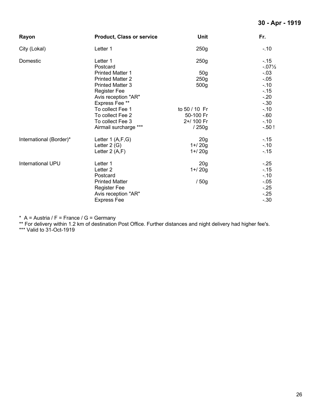#### **30 - Apr - 1919**

| Rayon                   | <b>Product, Class or service</b> | <b>Unit</b>     | Fr.                       |
|-------------------------|----------------------------------|-----------------|---------------------------|
| City (Lokal)            | Letter 1                         | 250g            | $-.10$                    |
| Domestic                | Letter 1<br>Postcard             | 250g            | $-15$<br>$-07\frac{1}{2}$ |
|                         | <b>Printed Matter 1</b>          | 50 <sub>g</sub> | $-.03$                    |
|                         | <b>Printed Matter 2</b>          | 250g            | $-.05$                    |
|                         | <b>Printed Matter 3</b>          | 500g            | $-10$                     |
|                         | <b>Register Fee</b>              |                 | $-15$                     |
|                         | Avis reception "AR"              |                 | $-20$                     |
|                         | Express Fee**                    |                 | $-.30$                    |
|                         | To collect Fee 1                 | to 50 / 10 Fr   | $-10$                     |
|                         | To collect Fee 2                 | 50-100 Fr       | $-60$                     |
|                         | To collect Fee 3                 | 2+/ 100 Fr      | $-.10$                    |
|                         | Airmail surcharge ***            | /250g           | $-.50!$                   |
| International (Border)* | Letter 1 (A,F,G)                 | 20 <sub>g</sub> | $-15$                     |
|                         | Letter $2(G)$                    | $1 + 20g$       | $-10$                     |
|                         | Letter $2(A,F)$                  | $1 + 20g$       | $-15$                     |
| International UPU       | Letter 1                         | 20 <sub>g</sub> | $-25$                     |
|                         | Letter <sub>2</sub>              | $1 + 20g$       | $-15$                     |
|                         | Postcard                         |                 | $-.10$                    |
|                         | <b>Printed Matter</b>            | /50g            | $-.05$                    |
|                         | <b>Register Fee</b>              |                 | $-.25$                    |
|                         | Avis reception "AR"              |                 | $-25$                     |
|                         | <b>Express Fee</b>               |                 | $-.30$                    |

\* A = Austria / F = France / G = Germany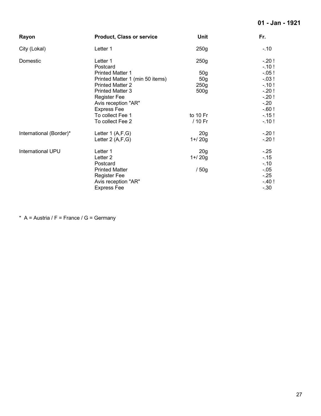### **01 - Jan - 1921**

| Rayon                   | <b>Product, Class or service</b> | <b>Unit</b>      | Fr.      |
|-------------------------|----------------------------------|------------------|----------|
| City (Lokal)            | Letter 1                         | 250 <sub>g</sub> | $-.10$   |
| Domestic                | Letter 1                         | 250g             | $-.20!$  |
|                         | Postcard                         |                  | $-.10!$  |
|                         | <b>Printed Matter 1</b>          | 50 <sub>g</sub>  | $-0.05!$ |
|                         | Printed Matter 1 (min 50 items)  | 50 <sub>g</sub>  | $-.03!$  |
|                         | <b>Printed Matter 2</b>          | 250g             | $-.10!$  |
|                         | <b>Printed Matter 3</b>          | 500 <sub>g</sub> | $-20!$   |
|                         | <b>Register Fee</b>              |                  | $-20!$   |
|                         | Avis reception "AR"              |                  | $-.20$   |
|                         | <b>Express Fee</b>               |                  | $-60!$   |
|                         | To collect Fee 1                 | to 10 Fr         | $-15!$   |
|                         | To collect Fee 2                 | / 10 Fr          | $-.10!$  |
| International (Border)* | Letter 1 (A,F,G)                 | 20 <sub>g</sub>  | $-20!$   |
|                         | Letter $2(A,F,G)$                | $1 + 20g$        | $-20!$   |
| International UPU       | Letter 1                         | 20 <sub>g</sub>  | $-.25$   |
|                         | Letter <sub>2</sub>              | $1 + 20g$        | $-15$    |
|                         | Postcard                         |                  | $-.10$   |
|                         | <b>Printed Matter</b>            | /50g             | $-0.05$  |
|                         | <b>Register Fee</b>              |                  | $-.25$   |
|                         | Avis reception "AR"              |                  | $-40!$   |
|                         | <b>Express Fee</b>               |                  | $-.30$   |

\* A = Austria /  $F$  = France / G = Germany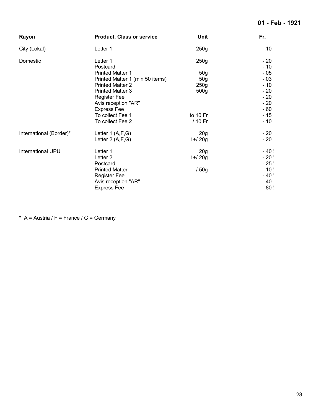#### **01 - Feb - 1921**

| Rayon                   | <b>Product, Class or service</b> | <b>Unit</b>      | Fr.      |
|-------------------------|----------------------------------|------------------|----------|
| City (Lokal)            | Letter 1                         | 250g             | $-.10$   |
| Domestic                | Letter 1                         | 250g             | $-.20$   |
|                         | Postcard                         |                  | $-10$    |
|                         | <b>Printed Matter 1</b>          | 50 <sub>g</sub>  | $-0.05$  |
|                         | Printed Matter 1 (min 50 items)  | 50 <sub>g</sub>  | $-.03$   |
|                         | <b>Printed Matter 2</b>          | 250g             | $-10$    |
|                         | <b>Printed Matter 3</b>          | 500 <sub>g</sub> | $-20$    |
|                         | <b>Register Fee</b>              |                  | $-20$    |
|                         | Avis reception "AR"              |                  | $-20$    |
|                         | <b>Express Fee</b>               |                  | $-60$    |
|                         | To collect Fee 1                 | to 10 Fr         | $-15$    |
|                         | To collect Fee 2                 | / 10 Fr          | $-10$    |
| International (Border)* | Letter $1(A,F,G)$                | 20 <sub>g</sub>  | $-.20$   |
|                         | Letter $2(A,F,G)$                | $1 + 20g$        | $-20$    |
| International UPU       | Letter 1                         | 20 <sub>g</sub>  | $-40!$   |
|                         | Letter 2                         | $1 + 20g$        | $-.20!$  |
|                         | Postcard                         |                  | $-.25!$  |
|                         | <b>Printed Matter</b>            | /50g             | $-10!$   |
|                         | <b>Register Fee</b>              |                  | $-40!$   |
|                         | Avis reception "AR"              |                  | $-.40$   |
|                         | <b>Express Fee</b>               |                  | $-0.80!$ |

\* A = Austria /  $F$  = France / G = Germany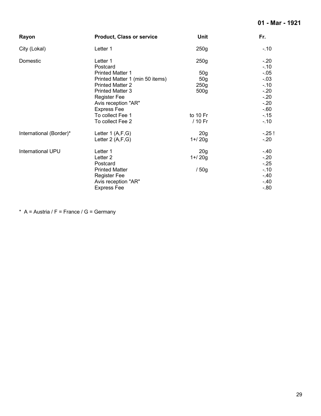#### **01 - Mar - 1921**

| Rayon                   | <b>Product, Class or service</b> | <b>Unit</b>      | Fr.     |
|-------------------------|----------------------------------|------------------|---------|
| City (Lokal)            | Letter 1                         | 250g             | $-.10$  |
| Domestic                | Letter 1                         | 250g             | $-20$   |
|                         | Postcard                         |                  | $-.10$  |
|                         | <b>Printed Matter 1</b>          | 50 <sub>g</sub>  | $-.05$  |
|                         | Printed Matter 1 (min 50 items)  | 50 <sub>g</sub>  | $-03$   |
|                         | <b>Printed Matter 2</b>          | 250g             | $-.10$  |
|                         | <b>Printed Matter 3</b>          | 500 <sub>g</sub> | $-20$   |
|                         | <b>Register Fee</b>              |                  | $-20$   |
|                         | Avis reception "AR"              |                  | $-20$   |
|                         | <b>Express Fee</b>               |                  | $-60$   |
|                         | To collect Fee 1                 | to 10 Fr         | $-.15$  |
|                         | To collect Fee 2                 | / 10 Fr          | $-.10$  |
| International (Border)* | Letter $1(A,F,G)$                | 20 <sub>g</sub>  | $-25!$  |
|                         | Letter $2(A,F,G)$                | $1 + 20g$        | $-20$   |
| International UPU       | Letter 1                         | 20 <sub>g</sub>  | -.40    |
|                         | Letter <sub>2</sub>              | $1 + 20g$        | $-20$   |
|                         | Postcard                         |                  | $-25$   |
|                         | <b>Printed Matter</b>            | /50g             | $-.10$  |
|                         | <b>Register Fee</b>              |                  | $-.40$  |
|                         | Avis reception "AR"              |                  | $-40$   |
|                         | <b>Express Fee</b>               |                  | $-0.80$ |

\* A = Austria /  $F$  = France / G = Germany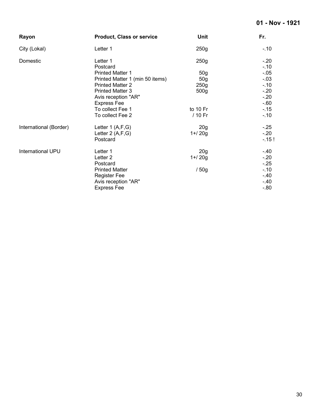### **01 - Nov - 1921**

| Rayon                  | <b>Product, Class or service</b>                                    | Unit                         | Fr.                        |
|------------------------|---------------------------------------------------------------------|------------------------------|----------------------------|
| City (Lokal)           | Letter 1                                                            | 250g                         | $-.10$                     |
| Domestic               | Letter 1<br>Postcard                                                | 250g                         | $-.20$<br>$-.10$           |
|                        | <b>Printed Matter 1</b>                                             | 50 <sub>g</sub>              | $-0.05$                    |
|                        | Printed Matter 1 (min 50 items)<br><b>Printed Matter 2</b>          | 50 <sub>g</sub><br>250g      | $-.03$<br>$-.10$           |
|                        | <b>Printed Matter 3</b><br>Avis reception "AR"                      | 500 <sub>g</sub>             | $-.20$<br>$-.20$           |
|                        | <b>Express Fee</b><br>To collect Fee 1                              | to 10 Fr                     | $-60$<br>$-.15$            |
|                        | To collect Fee 2                                                    | / 10 Fr                      | $-.10$                     |
| International (Border) | Letter $1(A,F,G)$<br>Letter 2 (A,F,G)<br>Postcard                   | 20 <sub>g</sub><br>$1 + 20g$ | $-.25$<br>$-.20$<br>$-15!$ |
| International UPU      | Letter 1<br>Letter <sub>2</sub><br>Postcard                         | 20 <sub>g</sub><br>$1 + 20g$ | -.40<br>$-.20$<br>$-.25$   |
|                        | <b>Printed Matter</b><br><b>Register Fee</b><br>Avis reception "AR" | / 50g                        | $-.10$<br>$-.40$<br>$-.40$ |
|                        | <b>Express Fee</b>                                                  |                              | $-0.80$                    |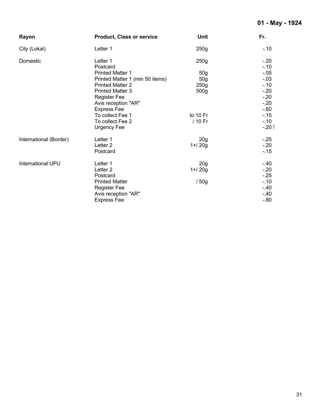| Rayon                  | <b>Product, Class or service</b> | <b>Unit</b>     | Fr.              |
|------------------------|----------------------------------|-----------------|------------------|
| City (Lokal)           | Letter 1                         | 250g            | $-.10$           |
| Domestic               | Letter 1<br>Postcard             | 250g            | $-.20$<br>$-.10$ |
|                        | <b>Printed Matter 1</b>          | 50 <sub>g</sub> | $-0.05$          |
|                        | Printed Matter 1 (min 50 items)  | 50 <sub>g</sub> | $-.03$           |
|                        | <b>Printed Matter 2</b>          | 250g            | $-.10$           |
|                        | <b>Printed Matter 3</b>          | 500g            | $-20$            |
|                        | <b>Register Fee</b>              |                 | $-.20$           |
|                        | Avis reception "AR"              |                 | $-20$            |
|                        | <b>Express Fee</b>               |                 | $-60$            |
|                        | To collect Fee 1                 | to $10$ Fr      | $-15$            |
|                        | To collect Fee 2                 | / 10 Fr         | $-.10$           |
|                        | Urgency Fee                      |                 | $-.20$ !         |
| International (Border) | Letter 1                         | 20 <sub>g</sub> | $-.25$           |
|                        | Letter <sub>2</sub>              | $1 + 20g$       | $-20$            |
|                        | Postcard                         |                 | $-15$            |
| International UPU      | Letter 1                         | 20 <sub>g</sub> | $-.40$           |
|                        | Letter <sub>2</sub>              | $1 + 20g$       | $-.20$           |
|                        | Postcard                         |                 | $-.25$           |
|                        | <b>Printed Matter</b>            | /50g            | $-.10$           |
|                        | <b>Register Fee</b>              |                 | $-.40$           |
|                        | Avis reception "AR"              |                 | $-.40$           |
|                        | <b>Express Fee</b>               |                 | $-0.80$          |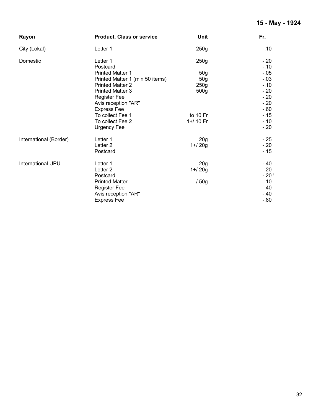### **15 - May - 1924**

| Rayon                  | <b>Product, Class or service</b> | <b>Unit</b>      | Fr.              |
|------------------------|----------------------------------|------------------|------------------|
| City (Lokal)           | Letter 1                         | 250g             | $-.10$           |
| Domestic               | Letter 1<br>Postcard             | 250g             | $-.20$<br>$-.10$ |
|                        | <b>Printed Matter 1</b>          | 50 <sub>g</sub>  | $-.05$           |
|                        | Printed Matter 1 (min 50 items)  | 50 <sub>g</sub>  | $-.03$           |
|                        | <b>Printed Matter 2</b>          | 250 <sub>g</sub> | $-.10$           |
|                        | <b>Printed Matter 3</b>          | 500 <sub>g</sub> | $-.20$           |
|                        | <b>Register Fee</b>              |                  | $-.20$           |
|                        | Avis reception "AR"              |                  | $-20$            |
|                        | <b>Express Fee</b>               |                  | $-60$            |
|                        | To collect Fee 1                 | to 10 Fr         | $-15$            |
|                        | To collect Fee 2                 | 1+/ 10 Fr        | $-.10$           |
|                        | <b>Urgency Fee</b>               |                  | $-.20$           |
| International (Border) | Letter 1                         | 20 <sub>g</sub>  | $-.25$           |
|                        | Letter <sub>2</sub>              | $1 + 20g$        | $-.20$           |
|                        | Postcard                         |                  | $-15$            |
| International UPU      | Letter 1                         | 20 <sub>g</sub>  | $-.40$           |
|                        | Letter <sub>2</sub>              | $1 + 20g$        | $-.20$           |
|                        | Postcard                         |                  | $-.20!$          |
|                        | <b>Printed Matter</b>            | /50g             | $-.10$           |
|                        | <b>Register Fee</b>              |                  | -.40             |
|                        | Avis reception "AR"              |                  | $-.40$           |
|                        | <b>Express Fee</b>               |                  | $-.80$           |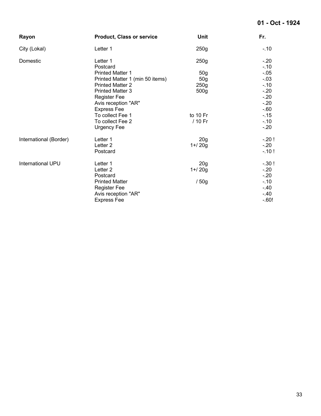### **01 - Oct - 1924**

| Rayon                  | <b>Product, Class or service</b> | <b>Unit</b>      | Fr.            |
|------------------------|----------------------------------|------------------|----------------|
| City (Lokal)           | Letter 1                         | 250g             | $-.10$         |
| Domestic               | Letter 1<br>Postcard             | 250g             | $-20$<br>$-10$ |
|                        | <b>Printed Matter 1</b>          | 50 <sub>g</sub>  | $-.05$         |
|                        | Printed Matter 1 (min 50 items)  | 50 <sub>g</sub>  | $-.03$         |
|                        | <b>Printed Matter 2</b>          | 250 <sub>g</sub> | $-.10$         |
|                        | <b>Printed Matter 3</b>          | 500 <sub>g</sub> | $-.20$         |
|                        | <b>Register Fee</b>              |                  | $-20$          |
|                        | Avis reception "AR"              |                  | $-20$          |
|                        | <b>Express Fee</b>               |                  | $-60$          |
|                        | To collect Fee 1                 | to 10 Fr         | $-15$          |
|                        | To collect Fee 2                 | / 10 Fr          | $-.10$         |
|                        | <b>Urgency Fee</b>               |                  | $-20$          |
| International (Border) | Letter 1                         | 20 <sub>g</sub>  | $-20!$         |
|                        | Letter <sub>2</sub>              | $1 + 20g$        | $-.20$         |
|                        | Postcard                         |                  | $-10!$         |
| International UPU      | Letter 1                         | 20 <sub>g</sub>  | $-.30!$        |
|                        | Letter <sub>2</sub>              | $1 + 20g$        | $-20$          |
|                        | Postcard                         |                  | $-20$          |
|                        | <b>Printed Matter</b>            | /50g             | $-10$          |
|                        | <b>Register Fee</b>              |                  | $-.40$         |
|                        | Avis reception "AR"              |                  | $-.40$         |
|                        | <b>Express Fee</b>               |                  | $-60!$         |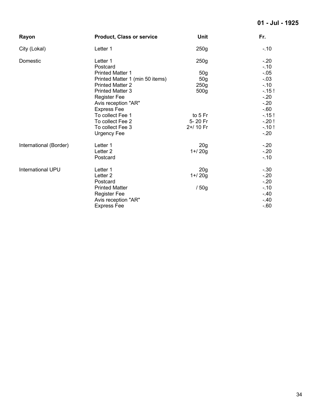#### **01 - Jul - 1925**

| Rayon                    | <b>Product, Class or service</b> | Unit            | Fr.              |
|--------------------------|----------------------------------|-----------------|------------------|
| City (Lokal)             | Letter 1                         | 250g            | $-.10$           |
| Domestic                 | Letter 1<br>Postcard             | 250g            | $-.20$<br>$-.10$ |
|                          | <b>Printed Matter 1</b>          | 50 <sub>g</sub> | $-0.05$          |
|                          | Printed Matter 1 (min 50 items)  | 50 <sub>g</sub> | $-.03$           |
|                          | <b>Printed Matter 2</b>          | 250g            | $-.10$           |
|                          | <b>Printed Matter 3</b>          | 500g            | $-15!$           |
|                          | <b>Register Fee</b>              |                 | $-20$            |
|                          | Avis reception "AR"              |                 | $-.20$           |
|                          | <b>Express Fee</b>               |                 | $-60$            |
|                          | To collect Fee 1                 | to 5 Fr         | $-15!$           |
|                          | To collect Fee 2                 | 5-20 Fr         | $-.20!$          |
|                          | To collect Fee 3                 | 2+/ 10 Fr       | $-.10!$          |
|                          | Urgency Fee                      |                 | $-20$            |
| International (Border)   | Letter 1                         | 20 <sub>g</sub> | $-.20$           |
|                          | Letter <sub>2</sub>              | $1 + 20g$       | $-20$            |
|                          | Postcard                         |                 | $-10$            |
| <b>International UPU</b> | Letter 1                         | 20 <sub>g</sub> | $-.30$           |
|                          | Letter <sub>2</sub>              | $1 + 20g$       | $-.20$           |
|                          | Postcard                         |                 | $-.20$           |
|                          | <b>Printed Matter</b>            | /50g            | $-10$            |
|                          | <b>Register Fee</b>              |                 | $-40$            |
|                          | Avis reception "AR"              |                 | $-.40$           |
|                          | <b>Express Fee</b>               |                 | $-60$            |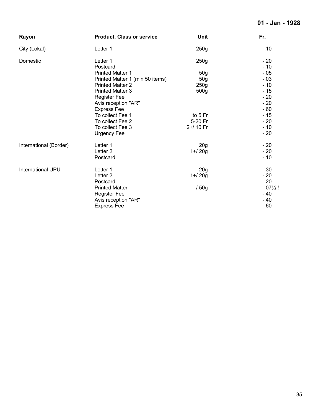#### **01 - Jan - 1928**

| Rayon                  | <b>Product, Class or service</b> | <b>Unit</b>      | Fr.                  |
|------------------------|----------------------------------|------------------|----------------------|
| City (Lokal)           | Letter 1                         | 250g             | $-10$                |
| Domestic               | Letter 1<br>Postcard             | 250g             | $-20$<br>$-10$       |
|                        | <b>Printed Matter 1</b>          | 50 <sub>g</sub>  | $-.05$               |
|                        | Printed Matter 1 (min 50 items)  | 50 <sub>g</sub>  | $-.03$               |
|                        | <b>Printed Matter 2</b>          | 250g             | $-10$                |
|                        | <b>Printed Matter 3</b>          | 500 <sub>g</sub> | $-15$                |
|                        | <b>Register Fee</b>              |                  | $-.20$               |
|                        | Avis reception "AR"              |                  | $-20$                |
|                        | <b>Express Fee</b>               |                  | $-60$                |
|                        | To collect Fee 1                 | to 5 Fr          | $-15$                |
|                        | To collect Fee 2                 | 5-20 Fr          | $-20$                |
|                        | To collect Fee 3                 | 2+/ 10 Fr        | $-10$                |
|                        | Urgency Fee                      |                  | $-.20$               |
| International (Border) | Letter 1                         | 20 <sub>g</sub>  | $-20$                |
|                        | Letter <sub>2</sub>              | $1 + 20g$        | $-.20$               |
|                        | Postcard                         |                  | $-10$                |
| International UPU      | Letter 1                         | 20 <sub>g</sub>  | $-30$                |
|                        | Letter <sub>2</sub>              | $1 + 20g$        | $-20$                |
|                        | Postcard                         |                  | $-20$                |
|                        | <b>Printed Matter</b>            | /50g             | $-0.07\frac{1}{2}$ ! |
|                        | <b>Register Fee</b>              |                  | $-40$                |
|                        | Avis reception "AR"              |                  | $-40$                |
|                        | <b>Express Fee</b>               |                  | $-60$                |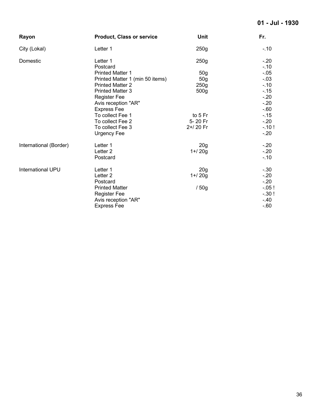#### **01 - Jul - 1930**

| <b>Product, Class or service</b> | Unit                                                                                                                                                                                                | Fr.                                                                                                          |
|----------------------------------|-----------------------------------------------------------------------------------------------------------------------------------------------------------------------------------------------------|--------------------------------------------------------------------------------------------------------------|
| Letter 1                         | 250g                                                                                                                                                                                                | $-.10$                                                                                                       |
| Letter 1<br>Postcard             | 250g                                                                                                                                                                                                | $-.20$<br>$-10$                                                                                              |
| <b>Printed Matter 1</b>          |                                                                                                                                                                                                     | $-0.05$                                                                                                      |
| Printed Matter 1 (min 50 items)  | 50 <sub>g</sub>                                                                                                                                                                                     | $-.03$                                                                                                       |
| <b>Printed Matter 2</b>          | 250g                                                                                                                                                                                                | $-10$                                                                                                        |
| <b>Printed Matter 3</b>          | 500g                                                                                                                                                                                                | $-15$                                                                                                        |
| <b>Register Fee</b>              |                                                                                                                                                                                                     | $-20$                                                                                                        |
| Avis reception "AR"              |                                                                                                                                                                                                     | $-20$                                                                                                        |
|                                  |                                                                                                                                                                                                     | $-60$                                                                                                        |
|                                  |                                                                                                                                                                                                     | $-15$                                                                                                        |
|                                  |                                                                                                                                                                                                     | $-.20$                                                                                                       |
|                                  |                                                                                                                                                                                                     | $-.10!$                                                                                                      |
|                                  |                                                                                                                                                                                                     | $-20$                                                                                                        |
| Letter 1                         |                                                                                                                                                                                                     | $-20$                                                                                                        |
| Letter <sub>2</sub>              | $1 + 20g$                                                                                                                                                                                           | $-20$                                                                                                        |
| Postcard                         |                                                                                                                                                                                                     | $-10$                                                                                                        |
|                                  |                                                                                                                                                                                                     | $-.30$                                                                                                       |
|                                  |                                                                                                                                                                                                     | $-.20$                                                                                                       |
|                                  |                                                                                                                                                                                                     | $-.20$                                                                                                       |
|                                  |                                                                                                                                                                                                     | $-.05!$                                                                                                      |
|                                  |                                                                                                                                                                                                     | $-.30!$                                                                                                      |
| Avis reception "AR"              |                                                                                                                                                                                                     | $-40$                                                                                                        |
| <b>Express Fee</b>               |                                                                                                                                                                                                     | $-60$                                                                                                        |
|                                  | <b>Express Fee</b><br>To collect Fee 1<br>To collect Fee 2<br>To collect Fee 3<br><b>Urgency Fee</b><br>Letter 1<br>Letter <sub>2</sub><br>Postcard<br><b>Printed Matter</b><br><b>Register Fee</b> | 50 <sub>g</sub><br>to 5 Fr<br>5-20 Fr<br>2+/20 Fr<br>20 <sub>g</sub><br>20 <sub>g</sub><br>$1 + 20g$<br>/50g |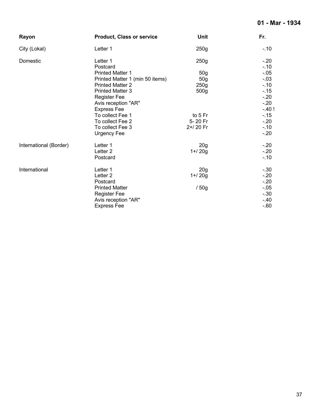# **01 - Mar - 1934**

| Rayon                  | <b>Product, Class or service</b> | Unit             | Fr.             |
|------------------------|----------------------------------|------------------|-----------------|
| City (Lokal)           | Letter 1                         | 250g             | $-.10$          |
| Domestic               | Letter 1<br>Postcard             | 250g             | $-.20$<br>$-10$ |
|                        | <b>Printed Matter 1</b>          | 50 <sub>g</sub>  | $-0.05$         |
|                        | Printed Matter 1 (min 50 items)  | 50 <sub>g</sub>  | $-.03$          |
|                        | <b>Printed Matter 2</b>          | 250 <sub>g</sub> | $-10$           |
|                        | <b>Printed Matter 3</b>          | 500 <sub>g</sub> | $-15$           |
|                        | <b>Register Fee</b>              |                  | $-.20$          |
|                        | Avis reception "AR"              |                  | $-20$           |
|                        | <b>Express Fee</b>               |                  | $-40!$          |
|                        | To collect Fee 1                 | to 5 Fr          | $-15$           |
|                        | To collect Fee 2                 | 5-20 Fr          | $-20$           |
|                        | To collect Fee 3                 | 2+/20 Fr         | $-10$           |
|                        | <b>Urgency Fee</b>               |                  | $-20$           |
| International (Border) | Letter 1                         | 20 <sub>g</sub>  | $-20$           |
|                        | Letter <sub>2</sub>              | $1 + 20g$        | $-.20$          |
|                        | Postcard                         |                  | $-10$           |
| International          | Letter 1                         | 20 <sub>g</sub>  | $-.30$          |
|                        | Letter <sub>2</sub>              | $1 + 20g$        | $-.20$          |
|                        | Postcard                         |                  | $-20$           |
|                        | <b>Printed Matter</b>            | /50g             | $-0.05$         |
|                        | <b>Register Fee</b>              |                  | $-.30$          |
|                        | Avis reception "AR"              |                  | $-40$           |
|                        | <b>Express Fee</b>               |                  | $-60$           |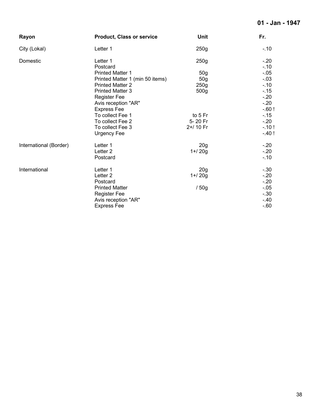# **01 - Jan - 1947**

| Rayon                  | <b>Product, Class or service</b> | <b>Unit</b>      | Fr.             |
|------------------------|----------------------------------|------------------|-----------------|
| City (Lokal)           | Letter 1                         | 250g             | $-.10$          |
| Domestic               | Letter 1<br>Postcard             | 250g             | $-.20$<br>$-10$ |
|                        | <b>Printed Matter 1</b>          | 50 <sub>g</sub>  | $-0.05$         |
|                        | Printed Matter 1 (min 50 items)  | 50 <sub>g</sub>  | $-.03$          |
|                        | <b>Printed Matter 2</b>          | 250g             | $-.10$          |
|                        | <b>Printed Matter 3</b>          | 500 <sub>g</sub> | $-15$           |
|                        | <b>Register Fee</b>              |                  | $-20$           |
|                        | Avis reception "AR"              |                  | $-20$           |
|                        | <b>Express Fee</b>               |                  | $-60!$          |
|                        | To collect Fee 1                 | to 5 Fr          | $-15$           |
|                        | To collect Fee 2                 | 5-20 Fr          | $-20$           |
|                        | To collect Fee 3                 | 2+/ 10 Fr        | $-.10!$         |
|                        | <b>Urgency Fee</b>               |                  | $-40!$          |
| International (Border) | Letter 1                         | 20 <sub>g</sub>  | $-.20$          |
|                        | Letter <sub>2</sub>              | $1 + 20g$        | $-20$           |
|                        | Postcard                         |                  | $-10$           |
| International          | Letter 1                         | 20 <sub>g</sub>  | $-.30$          |
|                        | Letter <sub>2</sub>              | $1 + 20g$        | $-20$           |
|                        | Postcard                         |                  | $-.20$          |
|                        | <b>Printed Matter</b>            | /50g             | $-0.05$         |
|                        | <b>Register Fee</b>              |                  | $-.30$          |
|                        | Avis reception "AR"              |                  | $-40$           |
|                        | <b>Express Fee</b>               |                  | $-60$           |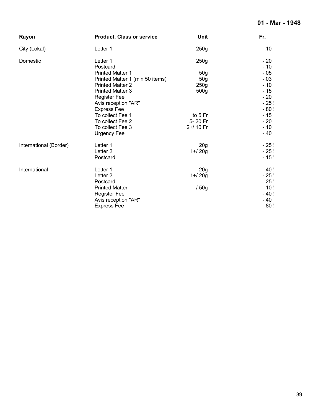# **01 - Mar - 1948**

| Rayon                  | <b>Product, Class or service</b> | <b>Unit</b>      | Fr.      |
|------------------------|----------------------------------|------------------|----------|
| City (Lokal)           | Letter 1                         | 250 <sub>g</sub> | $-10$    |
| Domestic               | Letter 1                         | 250 <sub>g</sub> | $-.20$   |
|                        | Postcard                         |                  | $-.10$   |
|                        | <b>Printed Matter 1</b>          | 50 <sub>g</sub>  | $-0.05$  |
|                        | Printed Matter 1 (min 50 items)  | 50 <sub>g</sub>  | $-.03$   |
|                        | <b>Printed Matter 2</b>          | 250g             | $-10$    |
|                        | <b>Printed Matter 3</b>          | 500g             | $-15$    |
|                        | <b>Register Fee</b>              |                  | $-20$    |
|                        | Avis reception "AR"              |                  | $-25!$   |
|                        | <b>Express Fee</b>               |                  | $-0.80!$ |
|                        | To collect Fee 1                 | to 5 Fr          | $-15$    |
|                        | To collect Fee 2                 | 5-20 Fr          | $-20$    |
|                        | To collect Fee 3                 | 2+/ 10 Fr        | $-.10$   |
|                        | Urgency Fee                      |                  | $-.40$   |
| International (Border) | Letter 1                         | 20 <sub>g</sub>  | $-25!$   |
|                        | Letter <sub>2</sub>              | $1 + 20g$        | $-25!$   |
|                        | Postcard                         |                  | $-15!$   |
| International          | Letter 1                         | 20 <sub>g</sub>  | $-40!$   |
|                        | Letter <sub>2</sub>              | $1 + 20g$        | $-25!$   |
|                        | Postcard                         |                  | $-25!$   |
|                        | <b>Printed Matter</b>            | /50g             | $-.10!$  |
|                        | <b>Register Fee</b>              |                  | $-40!$   |
|                        | Avis reception "AR"              |                  | $-.40$   |
|                        | <b>Express Fee</b>               |                  | $-0.80!$ |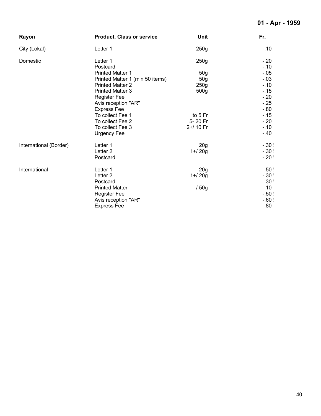# **01 - Apr - 1959**

| Rayon                  | <b>Product, Class or service</b> | Unit             | Fr.     |
|------------------------|----------------------------------|------------------|---------|
| City (Lokal)           | Letter 1                         | 250g             | $-.10$  |
| Domestic               | Letter 1                         | 250 <sub>g</sub> | $-.20$  |
|                        | Postcard                         |                  | $-.10$  |
|                        | <b>Printed Matter 1</b>          | 50 <sub>g</sub>  | $-0.05$ |
|                        | Printed Matter 1 (min 50 items)  | 50g              | $-03$   |
|                        | <b>Printed Matter 2</b>          | 250g             | $-10$   |
|                        | <b>Printed Matter 3</b>          | 500 <sub>g</sub> | $-15$   |
|                        | <b>Register Fee</b>              |                  | $-20$   |
|                        | Avis reception "AR"              |                  | $-25$   |
|                        | <b>Express Fee</b>               |                  | $-0.80$ |
|                        | To collect Fee 1                 | to 5 Fr          | $-15$   |
|                        | To collect Fee 2                 | 5-20 Fr          | $-20$   |
|                        | To collect Fee 3                 | 2+/ 10 Fr        | $-10$   |
|                        | Urgency Fee                      |                  | $-.40$  |
| International (Border) | Letter 1                         | 20 <sub>g</sub>  | $-.30!$ |
|                        | Letter <sub>2</sub>              | $1 + 20g$        | $-.30!$ |
|                        | Postcard                         |                  | $-.20!$ |
| International          | Letter 1                         | 20 <sub>g</sub>  | $-.50!$ |
|                        | Letter <sub>2</sub>              | $1 + 20g$        | $-.30!$ |
|                        | Postcard                         |                  | $-.30!$ |
|                        | <b>Printed Matter</b>            | /50g             | $-.10$  |
|                        | <b>Register Fee</b>              |                  | $-.50!$ |
|                        | Avis reception "AR"              |                  | $-60!$  |
|                        | <b>Express Fee</b>               |                  | $-0.80$ |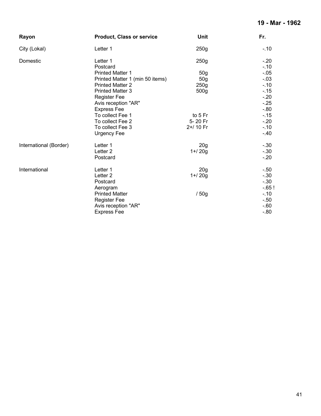## **19 - Mar - 1962**

| Rayon                  | <b>Product, Class or service</b> | Unit             | Fr.              |
|------------------------|----------------------------------|------------------|------------------|
| City (Lokal)           | Letter 1                         | 250g             | $-.10$           |
| Domestic               | Letter 1<br>Postcard             | 250g             | $-.20$           |
|                        | <b>Printed Matter 1</b>          | 50 <sub>g</sub>  | $-.10$<br>$-.05$ |
|                        | Printed Matter 1 (min 50 items)  | 50 <sub>g</sub>  | $-.03$           |
|                        | <b>Printed Matter 2</b>          | 250 <sub>g</sub> | $-10$            |
|                        | <b>Printed Matter 3</b>          | 500 <sub>g</sub> | $-15$            |
|                        | <b>Register Fee</b>              |                  | $-20$            |
|                        | Avis reception "AR"              |                  | $-.25$           |
|                        | <b>Express Fee</b>               |                  | $-0.80$          |
|                        | To collect Fee 1                 | to 5 Fr          | $-15$            |
|                        | To collect Fee 2                 | 5-20 Fr          | $-20$            |
|                        | To collect Fee 3                 | 2+/ 10 Fr        | $-.10$           |
|                        | Urgency Fee                      |                  | $-.40$           |
| International (Border) | Letter 1                         | 20 <sub>g</sub>  | $-.30$           |
|                        | Letter <sub>2</sub>              | $1 + 20g$        | $-.30$           |
|                        | Postcard                         |                  | $-20$            |
| International          | Letter 1                         | 20 <sub>g</sub>  | $-.50$           |
|                        | Letter <sub>2</sub>              | $1 + 20g$        | $-.30$           |
|                        | Postcard                         |                  | $-.30$           |
|                        | Aerogram                         |                  | $-65!$           |
|                        | <b>Printed Matter</b>            | /50g             | $-.10$           |
|                        | <b>Register Fee</b>              |                  | $-.50$           |
|                        | Avis reception "AR"              |                  | $-60$            |
|                        | <b>Express Fee</b>               |                  | $-0.80$          |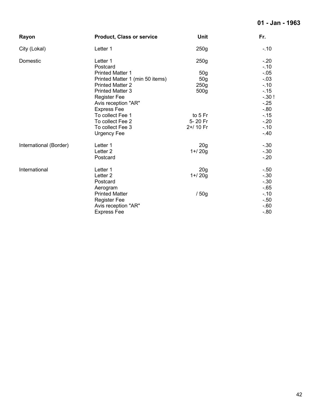# **01 - Jan - 1963**

| Rayon                  | <b>Product, Class or service</b> | Unit             | Fr.     |
|------------------------|----------------------------------|------------------|---------|
| City (Lokal)           | Letter 1                         | 250g             | $-.10$  |
| Domestic               | Letter 1                         | 250g             | $-20$   |
|                        | Postcard                         |                  | $-10$   |
|                        | <b>Printed Matter 1</b>          | 50 <sub>q</sub>  | $-0.05$ |
|                        | Printed Matter 1 (min 50 items)  | 50 <sub>g</sub>  | $-.03$  |
|                        | <b>Printed Matter 2</b>          | 250 <sub>g</sub> | $-.10$  |
|                        | <b>Printed Matter 3</b>          | 500g             | $-15$   |
|                        | <b>Register Fee</b>              |                  | $-.30!$ |
|                        | Avis reception "AR"              |                  | $-25$   |
|                        | <b>Express Fee</b>               |                  | $-0.80$ |
|                        | To collect Fee 1                 | to 5 Fr          | $-15$   |
|                        | To collect Fee 2                 | 5-20 Fr          | $-20$   |
|                        | To collect Fee 3                 | 2+/ 10 Fr        | $-10$   |
|                        | <b>Urgency Fee</b>               |                  | $-40$   |
| International (Border) | Letter 1                         | 20 <sub>q</sub>  | $-.30$  |
|                        | Letter <sub>2</sub>              | $1 + 20g$        | $-.30$  |
|                        | Postcard                         |                  | $-20$   |
| International          | Letter 1                         | 20 <sub>g</sub>  | $-.50$  |
|                        | Letter <sub>2</sub>              | $1 + 20g$        | $-.30$  |
|                        | Postcard                         |                  | $-30$   |
|                        | Aerogram                         |                  | $-65$   |
|                        | <b>Printed Matter</b>            | /50g             | $-10$   |
|                        | <b>Register Fee</b>              |                  | $-.50$  |
|                        | Avis reception "AR"              |                  | $-60$   |
|                        | <b>Express Fee</b>               |                  | $-0.80$ |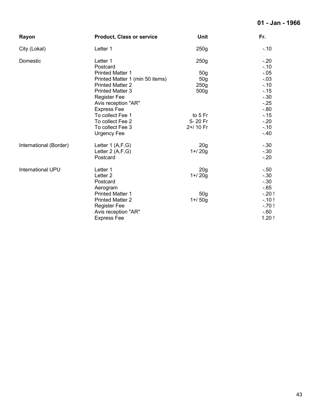# **01 - Jan - 1966**

| Rayon                    | <b>Product, Class or service</b> | Unit             | Fr.             |
|--------------------------|----------------------------------|------------------|-----------------|
| City (Lokal)             | Letter 1                         | 250 <sub>g</sub> | $-.10$          |
| Domestic                 | Letter 1<br>Postcard             | 250g             | $-.20$<br>$-10$ |
|                          | <b>Printed Matter 1</b>          | 50 <sub>g</sub>  | $-.05$          |
|                          | Printed Matter 1 (min 50 items)  | 50 <sub>g</sub>  | $-.03$          |
|                          | <b>Printed Matter 2</b>          | 250g             | $-.10$          |
|                          | <b>Printed Matter 3</b>          | 500 <sub>g</sub> | $-.15$          |
|                          | <b>Register Fee</b>              |                  | $-.30$          |
|                          | Avis reception "AR"              |                  | $-25$           |
|                          | <b>Express Fee</b>               |                  | $-0.80$         |
|                          | To collect Fee 1                 | to 5 Fr          | $-15$           |
|                          | To collect Fee 2                 | 5-20 Fr          | $-.20$          |
|                          | To collect Fee 3                 | 2+/ 10 Fr        | $-.10$          |
|                          | Urgency Fee                      |                  | $-.40$          |
| International (Border)   | Letter $1(A,F,G)$                | 20 <sub>g</sub>  | $-.30$          |
|                          | Letter $2(A,F,G)$                | $1 + 20g$        | $-.30$          |
|                          | Postcard                         |                  | $-.20$          |
| <b>International UPU</b> | Letter 1                         | 20 <sub>q</sub>  | -.50            |
|                          | Letter <sub>2</sub>              | $1 + 20g$        | $-.30$          |
|                          | Postcard                         |                  | $-.30$          |
|                          | Aerogram                         |                  | $-65$           |
|                          | <b>Printed Matter 1</b>          | 50 <sub>g</sub>  | $-.20!$         |
|                          | <b>Printed Matter 2</b>          | $1 + 50g$        | $-.10!$         |
|                          | <b>Register Fee</b>              |                  | $-.70!$         |
|                          | Avis reception "AR"              |                  | $-60$           |
|                          | <b>Express Fee</b>               |                  | 1.20!           |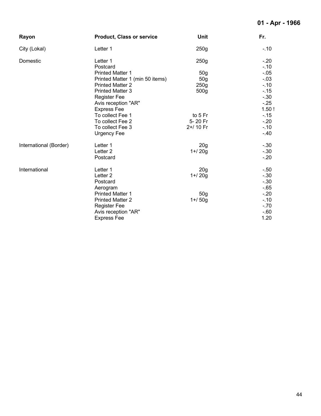#### **01 - Apr - 1966**

| Rayon                  | <b>Product, Class or service</b> | Unit             | Fr.              |
|------------------------|----------------------------------|------------------|------------------|
| City (Lokal)           | Letter 1                         | 250 <sub>g</sub> | $-.10$           |
| Domestic               | Letter 1<br>Postcard             | 250g             | $-.20$<br>$-.10$ |
|                        | <b>Printed Matter 1</b>          | 50 <sub>q</sub>  | $-.05$           |
|                        | Printed Matter 1 (min 50 items)  | 50 <sub>g</sub>  | $-.03$           |
|                        | <b>Printed Matter 2</b>          | 250g             | $-.10$           |
|                        | <b>Printed Matter 3</b>          | 500 <sub>g</sub> | $-15$            |
|                        | <b>Register Fee</b>              |                  | $-.30$           |
|                        | Avis reception "AR"              |                  | $-.25$           |
|                        | <b>Express Fee</b>               |                  | 1.50!            |
|                        | To collect Fee 1                 | to 5 Fr          | $-15$            |
|                        | To collect Fee 2                 | 5-20 Fr          | $-20$            |
|                        | To collect Fee 3<br>Urgency Fee  | 2+/ 10 Fr        | $-.10$<br>$-.40$ |
| International (Border) | Letter 1                         | 20 <sub>g</sub>  | $-.30$           |
|                        | Letter <sub>2</sub>              | $1 + 20g$        | $-.30$           |
|                        | Postcard                         |                  | $-.20$           |
| International          | Letter 1                         | 20 <sub>g</sub>  | $-.50$           |
|                        | Letter <sub>2</sub>              | $1 + 20g$        | $-.30$           |
|                        | Postcard                         |                  | $-.30$           |
|                        | Aerogram                         |                  | $-65$            |
|                        | <b>Printed Matter 1</b>          | 50 <sub>g</sub>  | $-.20$           |
|                        | <b>Printed Matter 2</b>          | $1 + 50g$        | $-.10$           |
|                        | <b>Register Fee</b>              |                  | $-.70$           |
|                        | Avis reception "AR"              |                  | $-60$            |
|                        | <b>Express Fee</b>               |                  | 1.20             |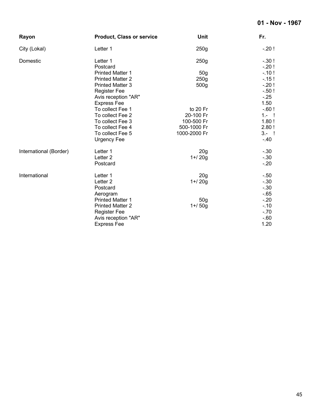# **01 - Nov - 1967**

| Rayon                  | <b>Product, Class or service</b>          | Unit                      | Fr.                |
|------------------------|-------------------------------------------|---------------------------|--------------------|
| City (Lokal)           | Letter 1                                  | 250g                      | $-20!$             |
| Domestic               | Letter 1<br>Postcard                      | 250g                      | $-.30!$<br>$-.20!$ |
|                        | <b>Printed Matter 1</b>                   | 50 <sub>g</sub>           | $-10!$             |
|                        | <b>Printed Matter 2</b>                   | 250 <sub>g</sub>          | $-15!$             |
|                        | <b>Printed Matter 3</b>                   | 500 <sub>g</sub>          | $-20!$             |
|                        | <b>Register Fee</b>                       |                           | $-.50!$            |
|                        | Avis reception "AR"                       |                           | $-.25$             |
|                        | <b>Express Fee</b>                        |                           | 1.50               |
|                        | To collect Fee 1                          | to 20 Fr                  | $-60!$             |
|                        | To collect Fee 2                          | 20-100 Fr                 | $1 - 1$            |
|                        | To collect Fee 3                          | 100-500 Fr<br>500-1000 Fr | 1.80!<br>2.80!     |
|                        | To collect Fee 4<br>To collect Fee 5      | 1000-2000 Fr              | $3 - 1$            |
|                        | <b>Urgency Fee</b>                        |                           | $-40$              |
| International (Border) | Letter 1                                  | 20 <sub>q</sub>           | $-.30$             |
|                        | Letter <sub>2</sub>                       | $1 + 20g$                 | $-30$              |
|                        | Postcard                                  |                           | $-20$              |
| International          | Letter 1                                  | 20 <sub>q</sub>           | $-.50$             |
|                        | Letter <sub>2</sub>                       | $1 + 20g$                 | $-.30$             |
|                        | Postcard                                  |                           | $-.30$             |
|                        | Aerogram                                  |                           | $-65$              |
|                        | <b>Printed Matter 1</b>                   | 50 <sub>q</sub>           | $-20$              |
|                        | <b>Printed Matter 2</b>                   | $1 + 50g$                 | $-10$              |
|                        | <b>Register Fee</b>                       |                           | $-70$<br>$-60$     |
|                        | Avis reception "AR"<br><b>Express Fee</b> |                           | 1.20               |
|                        |                                           |                           |                    |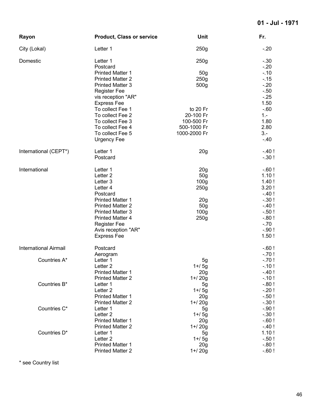| Rayon                        | <b>Product, Class or service</b>                   | Unit                                | Fr.                |
|------------------------------|----------------------------------------------------|-------------------------------------|--------------------|
| City (Lokal)                 | Letter 1                                           | 250g                                | $-.20$             |
| Domestic                     | Letter 1<br>Postcard                               | 250g                                | $-.30$<br>$-20$    |
|                              | <b>Printed Matter 1</b>                            | 50 <sub>g</sub>                     | $-10$              |
|                              | <b>Printed Matter 2</b>                            | 250g                                | $-15$              |
|                              | <b>Printed Matter 3</b>                            | 500g                                | $-20$              |
|                              | <b>Register Fee</b>                                |                                     | $-.50$             |
|                              | vis reception "AR"                                 |                                     | $-25$              |
|                              | <b>Express Fee</b>                                 |                                     | 1.50               |
|                              | To collect Fee 1                                   | to 20 Fr                            | $-60$              |
|                              | To collect Fee 2                                   | 20-100 Fr                           | $1 -$              |
|                              | To collect Fee 3                                   | 100-500 Fr                          | 1.80               |
|                              | To collect Fee 4                                   | 500-1000 Fr                         | 2.80               |
|                              | To collect Fee 5                                   | 1000-2000 Fr                        | $3 -$              |
|                              | <b>Urgency Fee</b>                                 |                                     | $-40$              |
| International (CEPT*)        | Letter 1                                           | 20 <sub>g</sub>                     | $-40!$             |
|                              | Postcard                                           |                                     | $-.30!$            |
| International                | Letter 1                                           | 20 <sub>g</sub>                     | $-60!$             |
|                              | Letter <sub>2</sub>                                | 50 <sub>g</sub>                     | 1.10!              |
|                              | Letter 3                                           | 100 <sub>g</sub>                    | 1.40!              |
|                              | Letter 4                                           | 250g                                | 3.20!              |
|                              | Postcard                                           |                                     | $-40!$             |
|                              | <b>Printed Matter 1</b><br><b>Printed Matter 2</b> | 20 <sub>g</sub>                     | $-.30!$<br>$-40!$  |
|                              | <b>Printed Matter 3</b>                            | 50 <sub>g</sub><br>100 <sub>g</sub> | $-.50!$            |
|                              | <b>Printed Matter 4</b>                            | 250g                                | $-0.80!$           |
|                              | <b>Register Fee</b>                                |                                     | $-.70$             |
|                              | Avis reception "AR"                                |                                     | $-.90!$            |
|                              | <b>Express Fee</b>                                 |                                     | 1.50!              |
| <b>International Airmail</b> | Postcard                                           |                                     | $-60!$             |
|                              | Aerogram                                           |                                     | $-.70!$            |
| Countries A*                 | Letter 1                                           | 5g                                  | $-70!$             |
|                              | Letter <sub>2</sub>                                | $1 + 5q$                            | $-.10!$            |
|                              | <b>Printed Matter 1</b>                            | 20 <sub>g</sub>                     | $-40!$             |
|                              | <b>Printed Matter 2</b>                            | $1 + 20g$                           | $-.10!$            |
| Countries B*                 | Letter 1                                           | 5g                                  | $-0.80!$           |
|                              | Letter <sub>2</sub>                                | $1 + 5g$                            | $-.20!$            |
|                              | <b>Printed Matter 1</b>                            | 20 <sub>g</sub>                     | $-.50!$            |
| Countries C*                 | <b>Printed Matter 2</b><br>Letter 1                | $1 + 20g$                           | $-.30!$<br>$-.90!$ |
|                              | Letter <sub>2</sub>                                | 5g<br>$1 + 5g$                      | $-.30!$            |
|                              | <b>Printed Matter 1</b>                            | 20 <sub>g</sub>                     | $-60!$             |
|                              | <b>Printed Matter 2</b>                            | $1 + 20g$                           | $-.40!$            |
| Countries D*                 | Letter 1                                           | 5g                                  | 1.10!              |
|                              | Letter <sub>2</sub>                                | $1 + 5g$                            | $-.50!$            |
|                              | <b>Printed Matter 1</b>                            | 20 <sub>g</sub>                     | $-0.80!$           |
|                              | <b>Printed Matter 2</b>                            | $1 + 20g$                           | $-60!$             |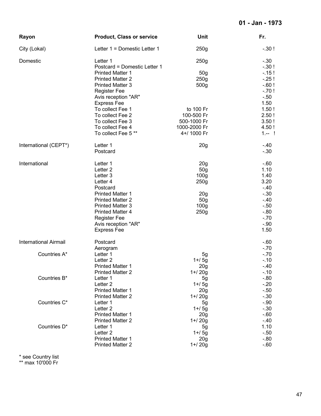| Rayon                        | <b>Product, Class or service</b>                   | Unit                        | Fr.            |
|------------------------------|----------------------------------------------------|-----------------------------|----------------|
| City (Lokal)                 | Letter 1 = Domestic Letter 1                       | 250g                        | $-.30!$        |
| Domestic                     | Letter 1                                           | 250g                        | $-.30$         |
|                              | Postcard = Domestic Letter 1                       |                             | $-.30!$        |
|                              | <b>Printed Matter 1</b>                            | 50 <sub>g</sub>             | $-15!$         |
|                              | <b>Printed Matter 2</b>                            | 250 <sub>g</sub>            | $-25!$         |
|                              | <b>Printed Matter 3</b>                            | 500g                        | $-60!$         |
|                              | <b>Register Fee</b>                                |                             | $-.70!$        |
|                              | Avis reception "AR"                                |                             | $-.50$         |
|                              | <b>Express Fee</b>                                 |                             | 1.50           |
|                              | To collect Fee 1                                   | to 100 Fr                   | 1.50!          |
|                              | To collect Fee 2                                   | 100-500 Fr                  | 2.50!          |
|                              | To collect Fee 3                                   | 500-1000 Fr                 | 3.50!          |
|                              | To collect Fee 4                                   | 1000-2000 Fr                | 4.50!          |
|                              | To collect Fee 5**                                 | 4+/ 1000 Fr                 | $1 - 1$        |
| International (CEPT*)        | Letter 1                                           | 20 <sub>g</sub>             | $-40$          |
|                              | Postcard                                           |                             | $-.30$         |
| International                | Letter 1                                           | 20 <sub>g</sub>             | $-60$          |
|                              | Letter <sub>2</sub>                                | 50 <sub>g</sub>             | 1.10           |
|                              | Letter 3                                           | 100 <sub>g</sub>            | 1.40           |
|                              | Letter 4                                           | 250g                        | 3.20           |
|                              | Postcard                                           |                             | $-40$          |
|                              | <b>Printed Matter 1</b>                            | 20 <sub>g</sub>             | $-.30$         |
|                              | <b>Printed Matter 2</b>                            | 50 <sub>g</sub>             | $-40$          |
|                              | <b>Printed Matter 3</b>                            | 100 <sub>g</sub>            | $-.50$         |
|                              | <b>Printed Matter 4</b>                            | 250g                        | $-0.80$        |
|                              | <b>Register Fee</b>                                |                             | $-.70$         |
|                              | Avis reception "AR"                                |                             | $-.90$         |
|                              | <b>Express Fee</b>                                 |                             | 1.50           |
| <b>International Airmail</b> | Postcard                                           |                             | $-60$          |
|                              | Aerogram                                           |                             | $-.70$         |
| Countries A*                 | Letter 1                                           | 5g                          | $-70$          |
|                              | Letter <sub>2</sub>                                | $1 + 5g$                    | $-10$          |
|                              | <b>Printed Matter 1</b><br><b>Printed Matter 2</b> | 20 <sub>g</sub>             | $-40$<br>$-10$ |
| Countries B*                 |                                                    | $1 + 20g$                   | $-0.80$        |
|                              | Letter 1<br>Letter <sub>2</sub>                    | 5g                          | $-20$          |
|                              | <b>Printed Matter 1</b>                            | $1 + 5g$<br>20 <sub>g</sub> | $-.50$         |
|                              | <b>Printed Matter 2</b>                            | $1 + 20g$                   | $-.30$         |
| Countries C*                 | Letter 1                                           |                             | $-.90$         |
|                              | Letter <sub>2</sub>                                | 5g<br>$1 + 5g$              | $-.30$         |
|                              | <b>Printed Matter 1</b>                            | 20 <sub>g</sub>             | $-0.60$        |
|                              | <b>Printed Matter 2</b>                            | $1 + 20g$                   | $-40$          |
| Countries D*                 | Letter 1                                           | 5g                          | 1.10           |
|                              | Letter <sub>2</sub>                                | $1 + 5g$                    | $-.50$         |
|                              | <b>Printed Matter 1</b>                            | 20 <sub>g</sub>             | $-.80$         |
|                              | <b>Printed Matter 2</b>                            | $1 + 20g$                   | $-60$          |
|                              |                                                    |                             |                |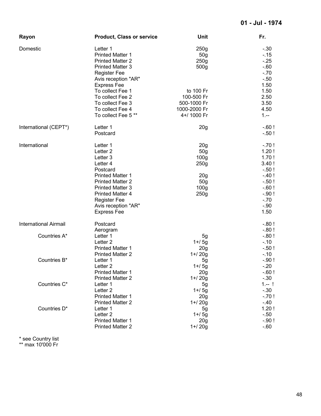| Rayon                        | <b>Product, Class or service</b>                                                                                                                                                                                                                    | <b>Unit</b>                                                                                                                      | Fr.                                                                                                                  |
|------------------------------|-----------------------------------------------------------------------------------------------------------------------------------------------------------------------------------------------------------------------------------------------------|----------------------------------------------------------------------------------------------------------------------------------|----------------------------------------------------------------------------------------------------------------------|
| Domestic                     | Letter 1<br><b>Printed Matter 1</b><br><b>Printed Matter 2</b><br><b>Printed Matter 3</b><br><b>Register Fee</b><br>Avis reception "AR"<br><b>Express Fee</b><br>To collect Fee 1                                                                   | 250 <sub>g</sub><br>50 <sub>g</sub><br>250 <sub>g</sub><br>500 <sub>g</sub><br>to 100 Fr                                         | $-.30$<br>$-15$<br>$-25$<br>$-0.60$<br>$-.70$<br>$-.50$<br>1.50<br>1.50                                              |
|                              | To collect Fee 2<br>To collect Fee 3<br>To collect Fee 4<br>To collect Fee 5**                                                                                                                                                                      | 100-500 Fr<br>500-1000 Fr<br>1000-2000 Fr<br>4+/ 1000 Fr                                                                         | 2.50<br>3.50<br>4.50<br>$1. - -$                                                                                     |
| International (CEPT*)        | Letter 1<br>Postcard                                                                                                                                                                                                                                | 20 <sub>g</sub>                                                                                                                  | $-60!$<br>$-.50!$                                                                                                    |
| International                | Letter 1<br>Letter <sub>2</sub><br>Letter 3<br>Letter 4<br>Postcard<br><b>Printed Matter 1</b><br><b>Printed Matter 2</b><br><b>Printed Matter 3</b><br><b>Printed Matter 4</b><br><b>Register Fee</b><br>Avis reception "AR"<br><b>Express Fee</b> | 20 <sub>g</sub><br>50 <sub>g</sub><br>100 <sub>g</sub><br>250g<br>20 <sub>g</sub><br>50 <sub>g</sub><br>100 <sub>g</sub><br>250g | $-.70!$<br>1.20!<br>1.70!<br>3.40!<br>$-.50!$<br>$-40!$<br>$-.50!$<br>$-.60!$<br>$-.90!$<br>$-.70$<br>$-.90$<br>1.50 |
| <b>International Airmail</b> | Postcard                                                                                                                                                                                                                                            |                                                                                                                                  | $-0.80!$<br>$-0.80!$                                                                                                 |
| Countries A*                 | Aerogram<br>Letter 1<br>Letter <sub>2</sub><br><b>Printed Matter 1</b><br><b>Printed Matter 2</b>                                                                                                                                                   | 5g<br>$1 + 5g$<br>20g<br>$1 + 20g$                                                                                               | $-0.80!$<br>$-.10$<br>$-.50!$<br>$-10$                                                                               |
| Countries B*                 | Letter 1<br>Letter <sub>2</sub><br><b>Printed Matter 1</b><br><b>Printed Matter 2</b>                                                                                                                                                               | 5 <sub>g</sub><br>$1 + 5g$<br>20 <sub>g</sub><br>$1 + 20g$                                                                       | $-.90!$<br>$-.20$<br>$-60!$<br>$-.30$                                                                                |
| Countries C*                 | Letter 1<br>Letter <sub>2</sub><br><b>Printed Matter 1</b><br><b>Printed Matter 2</b>                                                                                                                                                               | 5 <sub>g</sub><br>$1 + 5g$<br>20 <sub>g</sub><br>$1 + 20g$                                                                       | $1 - 1$<br>$-.30$<br>$-.70!$<br>$-.40$                                                                               |
| Countries D*                 | Letter 1<br>Letter <sub>2</sub><br><b>Printed Matter 1</b><br><b>Printed Matter 2</b>                                                                                                                                                               | 5 <sub>g</sub><br>$1 + 5g$<br>20 <sub>g</sub><br>$1 + 20g$                                                                       | 1.20!<br>$-.50$<br>$-.90$ !<br>$-0.60$                                                                               |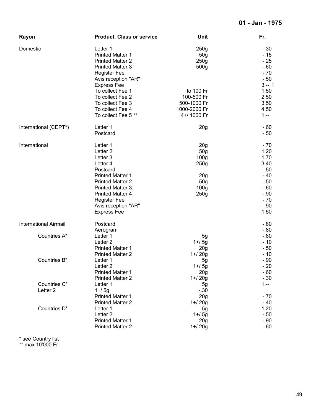| Rayon                        | <b>Product, Class or service</b>                   | Unit                         | Fr.              |
|------------------------------|----------------------------------------------------|------------------------------|------------------|
| Domestic                     | Letter 1<br><b>Printed Matter 1</b>                | 250g<br>50 <sub>g</sub>      | $-.30$<br>$-15$  |
|                              | <b>Printed Matter 2</b>                            | 250g                         | $-25$            |
|                              | <b>Printed Matter 3</b>                            | 500 <sub>g</sub>             | $-60$            |
|                              | <b>Register Fee</b>                                |                              | $-.70$           |
|                              | Avis reception "AR"                                |                              | $-.50$           |
|                              | <b>Express Fee</b>                                 |                              | $3 - 1$          |
|                              | To collect Fee 1                                   | to 100 Fr                    | 1.50             |
|                              | To collect Fee 2                                   | 100-500 Fr                   | 2.50             |
|                              | To collect Fee 3                                   | 500-1000 Fr                  | 3.50             |
|                              | To collect Fee 4                                   | 1000-2000 Fr                 | 4.50             |
|                              | To collect Fee 5**                                 | 4+/ 1000 Fr                  | $1 -$            |
| International (CEPT*)        | Letter 1                                           | 20 <sub>g</sub>              | $-60$            |
|                              | Postcard                                           |                              | $-.50$           |
| International                | Letter 1                                           | 20 <sub>g</sub>              | $-.70$           |
|                              | Letter <sub>2</sub>                                | 50 <sub>g</sub>              | 1.20             |
|                              | Letter 3                                           | 100 <sub>g</sub>             | 1.70             |
|                              | Letter 4                                           | 250g                         | 3.40             |
|                              | Postcard                                           |                              | $-.50$           |
|                              | <b>Printed Matter 1</b>                            | 20 <sub>g</sub>              | $-40$            |
|                              | <b>Printed Matter 2</b>                            | 50 <sub>g</sub>              | $-.50$           |
|                              | <b>Printed Matter 3</b>                            | 100 <sub>g</sub>             | $-60$            |
|                              | <b>Printed Matter 4</b>                            | 250g                         | $-.90$           |
|                              | <b>Register Fee</b>                                |                              | $-.70$<br>$-.90$ |
|                              | Avis reception "AR"                                |                              | 1.50             |
|                              | <b>Express Fee</b>                                 |                              |                  |
| <b>International Airmail</b> | Postcard                                           |                              | $-0.80$          |
|                              | Aerogram                                           |                              | $-0.80$          |
| Countries A*                 | Letter 1                                           | 5g                           | $-0.80$          |
|                              | Letter <sub>2</sub>                                | $1 + 5g$                     | $-.10$           |
|                              | <b>Printed Matter 1</b>                            | 20 <sub>g</sub>              | $-.50$           |
|                              | <b>Printed Matter 2</b>                            | $1 + 20g$                    | $-.10$           |
| Countries B*                 | Letter 1                                           | 5g                           | $-.90$           |
|                              | Letter <sub>2</sub>                                | $1 + 5g$                     | $-.20$           |
|                              | <b>Printed Matter 1</b><br><b>Printed Matter 2</b> | 20 <sub>g</sub><br>$1 + 20g$ | $-60$<br>$-.30$  |
| Countries C*                 | Letter 1                                           |                              | $1 -$            |
| Letter <sub>2</sub>          | $1 + 5g$                                           | 5g<br>$-.30$                 |                  |
|                              | <b>Printed Matter 1</b>                            | 20 <sub>g</sub>              | $-.70$           |
|                              | <b>Printed Matter 2</b>                            | $1 + 20g$                    | $-40$            |
| Countries D*                 | Letter 1                                           | 5 <sub>g</sub>               | 1.20             |
|                              | Letter <sub>2</sub>                                | $1 + 5g$                     | $-.50$           |
|                              | <b>Printed Matter 1</b>                            | 20 <sub>g</sub>              | $-.90$           |
|                              | <b>Printed Matter 2</b>                            | $1 + 20g$                    | $-60$            |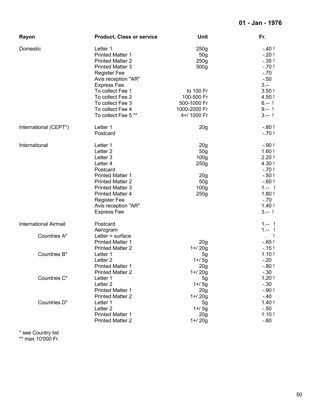| Rayon                        | <b>Product, Class or service</b>                                                                                                                                                                                                                    | Unit                                                                                                                                         | Fr.                                                                                                                  |
|------------------------------|-----------------------------------------------------------------------------------------------------------------------------------------------------------------------------------------------------------------------------------------------------|----------------------------------------------------------------------------------------------------------------------------------------------|----------------------------------------------------------------------------------------------------------------------|
| Domestic                     | Letter 1<br><b>Printed Matter 1</b><br><b>Printed Matter 2</b><br><b>Printed Matter 3</b><br><b>Register Fee</b><br>Avis reception "AR"<br><b>Express Fee</b>                                                                                       | 250g<br>50 <sub>g</sub><br>250g<br>500 <sub>g</sub>                                                                                          | $-40!$<br>$-.20!$<br>$-.35!$<br>$-.70!$<br>$-.70$<br>$-.50$<br>$3. - -$                                              |
|                              | To collect Fee 1<br>To collect Fee 2<br>To collect Fee 3<br>To collect Fee 4<br>To collect Fee 5 **                                                                                                                                                 | to 100 Fr<br>100-500 Fr<br>500-1000 Fr<br>1000-2000 Fr<br>4+/ 1000 Fr                                                                        | 3.50!<br>4.50!<br>$6 - 1$<br>$9 - 1$<br>$3 - 1$                                                                      |
| International (CEPT*)        | Letter 1<br>Postcard                                                                                                                                                                                                                                | 20 <sub>g</sub>                                                                                                                              | $-0.80!$<br>$-70!$                                                                                                   |
| International                | Letter 1<br>Letter <sub>2</sub><br>Letter 3<br>Letter 4<br>Postcard<br><b>Printed Matter 1</b><br><b>Printed Matter 2</b><br><b>Printed Matter 3</b><br><b>Printed Matter 4</b><br><b>Register Fee</b><br>Avis reception "AR"<br><b>Express Fee</b> | 20 <sub>g</sub><br>50g<br>100 <sub>g</sub><br>250 <sub>g</sub><br>20 <sub>g</sub><br>50 <sub>g</sub><br>100 <sub>g</sub><br>250 <sub>g</sub> | $-.90!$<br>1.60!<br>2.20!<br>4.30!<br>$-.70!$<br>$-.50!$<br>$-60!$<br>$1 - 1$<br>1.80!<br>$-.70$<br>1.40!<br>$3 - 1$ |
| <b>International Airmail</b> | Postcard<br>Aerogram                                                                                                                                                                                                                                |                                                                                                                                              | $1 - 1$<br>$1 - 1$                                                                                                   |
| Countries A*                 | Letter $=$ surface<br><b>Printed Matter 1</b><br><b>Printed Matter 2</b>                                                                                                                                                                            | 20 <sub>g</sub><br>$1 + 20g$                                                                                                                 | $-65!$<br>$-15!$                                                                                                     |
| Countries B*                 | Letter 1<br>Letter <sub>2</sub><br><b>Printed Matter 1</b><br><b>Printed Matter 2</b>                                                                                                                                                               | 5g<br>$1 + 5g$<br>20g<br>$1 + 20g$                                                                                                           | 1.10!<br>$-.20$<br>$-0.80!$<br>$-.30$                                                                                |
| Countries C*                 | Letter 1<br>Letter <sub>2</sub><br><b>Printed Matter 1</b><br><b>Printed Matter 2</b>                                                                                                                                                               | 5 <sub>g</sub><br>$1 + 5g$<br>20 <sub>g</sub><br>$1 + 20g$                                                                                   | 1.20!<br>$-.30$<br>$-.90!$<br>$-.40$                                                                                 |
| Countries D*                 | Letter 1<br>Letter <sub>2</sub><br><b>Printed Matter 1</b><br><b>Printed Matter 2</b>                                                                                                                                                               | 5g<br>$1 + 5g$<br>20 <sub>g</sub><br>$1 + 20g$                                                                                               | 1.40!<br>$-.50$<br>1.10!<br>$-60$                                                                                    |

\* see Country list \*\* max 10'000 Fr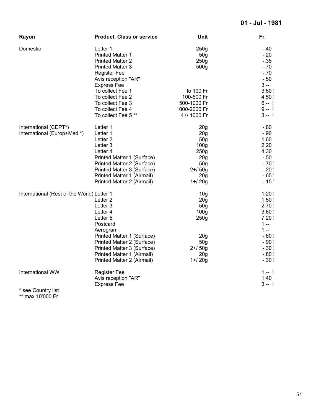| Rayon                                      | <b>Product, Class or service</b> | Unit             | Fr.      |
|--------------------------------------------|----------------------------------|------------------|----------|
| Domestic                                   | Letter 1                         | 250g             | $-40$    |
|                                            | <b>Printed Matter 1</b>          | 50 <sub>g</sub>  | $-20$    |
|                                            | <b>Printed Matter 2</b>          | 250g             | $-0.35$  |
|                                            | <b>Printed Matter 3</b>          | 500 <sub>g</sub> | $-.70$   |
|                                            | <b>Register Fee</b>              |                  | $-.70$   |
|                                            | Avis reception "AR"              |                  | $-50$    |
|                                            | <b>Express Fee</b>               |                  | $3 -$    |
|                                            | To collect Fee 1                 | to 100 Fr        | 3.50!    |
|                                            | To collect Fee 2                 | 100-500 Fr       | 4.50 !   |
|                                            | To collect Fee 3                 | 500-1000 Fr      | $6 - 1$  |
|                                            | To collect Fee 4                 | 1000-2000 Fr     | $9 - 1$  |
|                                            | To collect Fee 5**               | 4+/ 1000 Fr      | $3 - 1$  |
| International (CEPT*)                      | Letter 1                         | 20 <sub>g</sub>  | $-0.80$  |
| International (Europ+Med.*)                | Letter 1                         | 20 <sub>g</sub>  | $-.90$   |
|                                            | Letter <sub>2</sub>              | 50g              | 1.60     |
|                                            | Letter 3                         | 100 <sub>g</sub> | 2.20     |
|                                            | Letter 4                         | 250 <sub>g</sub> | 4.30     |
|                                            | Printed Matter 1 (Surface)       | 20 <sub>g</sub>  | $-.50$   |
|                                            | Printed Matter 2 (Surface)       | 50 <sub>g</sub>  | $-.70!$  |
|                                            | Printed Matter 3 (Surface)       | $2 + 50g$        | $-.20!$  |
|                                            | Printed Matter 1 (Airmail)       | 20 <sub>g</sub>  | $-0.65!$ |
|                                            | Printed Matter 2 (Airmail)       | $1 + 20g$        | $-15!$   |
| International (Rest of the World) Letter 1 |                                  | 10 <sub>g</sub>  | 1.20!    |
|                                            | Letter <sub>2</sub>              | 20 <sub>g</sub>  | 1.50!    |
|                                            | Letter 3                         | 50g              | 2.70!    |
|                                            | Letter 4                         | 100 <sub>g</sub> | 3.60!    |
|                                            | Letter 5                         | 250g             | 7.20!    |
|                                            | Postcard                         |                  | $1. - -$ |
|                                            | Aerogram                         |                  | $1 -$    |
|                                            | Printed Matter 1 (Surface)       | 20 <sub>g</sub>  | $-60!$   |
|                                            | Printed Matter 2 (Surface)       | 50 <sub>g</sub>  | $-.90!$  |
|                                            | Printed Matter 3 (Surface)       | $2 + 50g$        | $-.30!$  |
|                                            | Printed Matter 1 (Airmail)       | 20 <sub>g</sub>  | $-0.80!$ |
|                                            | Printed Matter 2 (Airmail)       | $1 + 20g$        | $-30!$   |
| International WW                           | <b>Register Fee</b>              |                  | $1 - 1$  |
|                                            | Avis reception "AR"              |                  | 1.40     |
|                                            | <b>Express Fee</b>               |                  | $3 - 1$  |
| * see Country list                         |                                  |                  |          |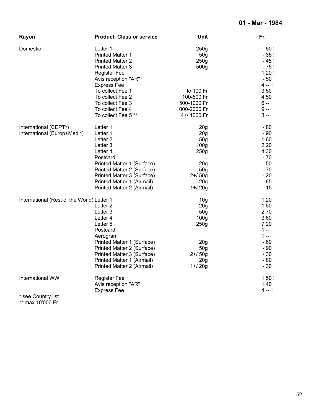| Rayon                                                | <b>Product, Class or service</b>                                                                                                                                                                                                      | Unit                                                                                                                                                                 | Fr.                                                                                                           |
|------------------------------------------------------|---------------------------------------------------------------------------------------------------------------------------------------------------------------------------------------------------------------------------------------|----------------------------------------------------------------------------------------------------------------------------------------------------------------------|---------------------------------------------------------------------------------------------------------------|
| Domestic                                             | Letter 1<br><b>Printed Matter 1</b><br><b>Printed Matter 2</b><br><b>Printed Matter 3</b><br><b>Register Fee</b><br>Avis reception "AR"                                                                                               | 250 <sub>g</sub><br>50 <sub>g</sub><br>250g<br>500g                                                                                                                  | $-.50!$<br>$-35!$<br>$-45!$<br>$-75!$<br>1.20!<br>$-.50$                                                      |
|                                                      | <b>Express Fee</b><br>To collect Fee 1<br>To collect Fee 2<br>To collect Fee 3<br>To collect Fee 4<br>To collect Fee 5**                                                                                                              | to 100 Fr<br>100-500 Fr<br>500-1000 Fr<br>1000-2000 Fr<br>4+/ 1000 Fr                                                                                                | $4 - 1$<br>3.50<br>4.50<br>$6. - -$<br>$9 -$<br>$3 -$                                                         |
| International (CEPT*)<br>International (Europ+Med.*) | Letter 1<br>Letter 1<br>Letter <sub>2</sub><br>Letter 3<br>Letter 4<br>Postcard<br>Printed Matter 1 (Surface)<br>Printed Matter 2 (Surface)<br>Printed Matter 3 (Surface)<br>Printed Matter 1 (Airmail)<br>Printed Matter 2 (Airmail) | 20 <sub>g</sub><br>20 <sub>g</sub><br>50 <sub>g</sub><br>100 <sub>g</sub><br>250 <sub>g</sub><br>20 <sub>g</sub><br>50 <sub>g</sub><br>$2 + 50g$<br>20g<br>$1 + 20g$ | $-0.80$<br>$-.90$<br>1.60<br>2.20<br>4.30<br>$-70$<br>$-0.50$<br>$-70$<br>$-20$<br>$-65$<br>$-.15$            |
| International (Rest of the World) Letter 1           | Letter <sub>2</sub><br>Letter 3<br>Letter 4<br>Letter 5<br>Postcard<br>Aerogram<br>Printed Matter 1 (Surface)<br>Printed Matter 2 (Surface)<br>Printed Matter 3 (Surface)<br>Printed Matter 1 (Airmail)<br>Printed Matter 2 (Airmail) | 10 <sub>q</sub><br>20 <sub>g</sub><br>50 <sub>g</sub><br>100 <sub>g</sub><br>250 <sub>g</sub><br>20 <sub>g</sub><br>50 <sub>g</sub><br>$2 + 50g$<br>20g<br>$1 + 20g$ | 1.20<br>1.50<br>2.70<br>3.60<br>7.20<br>$1 -$<br>$1. - -$<br>$-60$<br>$-.90$<br>$-0.30$<br>$-0.80$<br>$-0.30$ |
| International WW                                     | <b>Register Fee</b><br>Avis reception "AR"<br><b>Express Fee</b>                                                                                                                                                                      |                                                                                                                                                                      | 1.50!<br>1.40<br>4.-- !                                                                                       |
| * see Country list                                   |                                                                                                                                                                                                                                       |                                                                                                                                                                      |                                                                                                               |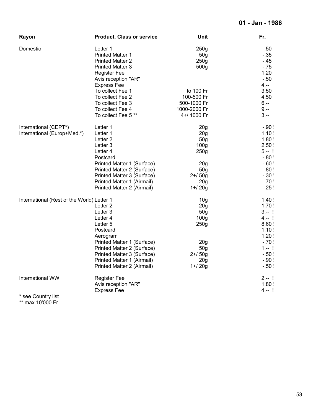| Rayon                                                | <b>Product, Class or service</b>                                                                                                                                                                                                      | <b>Unit</b>                                                                                                                                                                      | Fr.                                                                                                                   |
|------------------------------------------------------|---------------------------------------------------------------------------------------------------------------------------------------------------------------------------------------------------------------------------------------|----------------------------------------------------------------------------------------------------------------------------------------------------------------------------------|-----------------------------------------------------------------------------------------------------------------------|
| Domestic                                             | Letter 1<br><b>Printed Matter 1</b><br><b>Printed Matter 2</b><br><b>Printed Matter 3</b><br><b>Register Fee</b><br>Avis reception "AR"<br><b>Express Fee</b>                                                                         | 250g<br>50 <sub>g</sub><br>250g<br>500g                                                                                                                                          | $-.50$<br>$-35$<br>$-45$<br>$-75$<br>1.20<br>$-50$<br>$4. - -$                                                        |
|                                                      | To collect Fee 1<br>To collect Fee 2<br>To collect Fee 3<br>To collect Fee 4<br>To collect Fee 5**                                                                                                                                    | to 100 Fr<br>100-500 Fr<br>500-1000 Fr<br>1000-2000 Fr<br>4+/ 1000 Fr                                                                                                            | 3.50<br>4.50<br>$6. - -$<br>$9. - -$<br>$3 -$                                                                         |
| International (CEPT*)<br>International (Europ+Med.*) | Letter 1<br>Letter 1<br>Letter <sub>2</sub><br>Letter 3<br>Letter 4<br>Postcard<br>Printed Matter 1 (Surface)<br>Printed Matter 2 (Surface)<br>Printed Matter 3 (Surface)<br>Printed Matter 1 (Airmail)<br>Printed Matter 2 (Airmail) | 20 <sub>g</sub><br>20 <sub>g</sub><br>50 <sub>g</sub><br>100 <sub>g</sub><br>250 <sub>g</sub><br>20 <sub>g</sub><br>50 <sub>g</sub><br>$2 + 50g$<br>20 <sub>g</sub><br>$1 + 20g$ | $-.90!$<br>1.10!<br>1.80!<br>2.50!<br>$5 - 1$<br>$-0.80!$<br>$-60!$<br>$-0.80!$<br>$-.30!$<br>$-70!$<br>$-25!$        |
| International (Rest of the World) Letter 1           | Letter <sub>2</sub><br>Letter 3<br>Letter 4<br>Letter 5<br>Postcard<br>Aerogram<br>Printed Matter 1 (Surface)<br>Printed Matter 2 (Surface)<br>Printed Matter 3 (Surface)<br>Printed Matter 1 (Airmail)<br>Printed Matter 2 (Airmail) | 10 <sub>q</sub><br>20 <sub>g</sub><br>50 <sub>g</sub><br>100 <sub>g</sub><br>250g<br>20 <sub>g</sub><br>50 <sub>g</sub><br>$2 + 50g$<br>20g<br>$1 + 20g$                         | 1.40!<br>1.70!<br>$3 - 1$<br>$4 - 1$<br>8.60!<br>1.10!<br>1.20!<br>$-.70!$<br>$1 - 1$<br>$-.50!$<br>$-90!$<br>$-.50!$ |
| International WW                                     | <b>Register Fee</b><br>Avis reception "AR"<br><b>Express Fee</b>                                                                                                                                                                      |                                                                                                                                                                                  | $2 - 1$<br>1.80!<br>$4 - 1$                                                                                           |
| * see Country list                                   |                                                                                                                                                                                                                                       |                                                                                                                                                                                  |                                                                                                                       |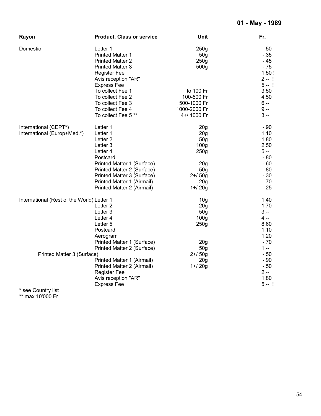| Rayon                                      | <b>Product, Class or service</b> | Unit             | Fr.      |
|--------------------------------------------|----------------------------------|------------------|----------|
| Domestic                                   | Letter 1                         | 250g             | $-.50$   |
|                                            | <b>Printed Matter 1</b>          | 50 <sub>g</sub>  | $-.35$   |
|                                            | <b>Printed Matter 2</b>          | 250g             | $-45$    |
|                                            | <b>Printed Matter 3</b>          | 500 <sub>g</sub> | $-75$    |
|                                            | <b>Register Fee</b>              |                  | 1.50!    |
|                                            | Avis reception "AR"              |                  | $2 - 1$  |
|                                            | <b>Express Fee</b>               |                  | $5 - 1$  |
|                                            | To collect Fee 1                 | to 100 Fr        | 3.50     |
|                                            | To collect Fee 2                 | 100-500 Fr       | 4.50     |
|                                            | To collect Fee 3                 | 500-1000 Fr      | $6. - -$ |
|                                            | To collect Fee 4                 | 1000-2000 Fr     | $9. - -$ |
|                                            | To collect Fee 5**               | 4+/ 1000 Fr      | $3. - $  |
| International (CEPT*)                      | Letter 1                         | 20 <sub>g</sub>  | $-.90$   |
| International (Europ+Med.*)                | Letter 1                         | 20 <sub>g</sub>  | 1.10     |
|                                            | Letter <sub>2</sub>              | 50 <sub>g</sub>  | 1.80     |
|                                            | Letter 3                         | 100 <sub>g</sub> | 2.50     |
|                                            | Letter 4                         | 250g             | $5. -$   |
|                                            | Postcard                         |                  | $-0.80$  |
|                                            | Printed Matter 1 (Surface)       | 20 <sub>g</sub>  | $-60$    |
|                                            | Printed Matter 2 (Surface)       | 50 <sub>g</sub>  | $-0.80$  |
|                                            | Printed Matter 3 (Surface)       | $2 + 50g$        | $-.30$   |
|                                            | Printed Matter 1 (Airmail)       | 20 <sub>g</sub>  | $-.70$   |
|                                            | Printed Matter 2 (Airmail)       | $1 + 20g$        | $-25$    |
| International (Rest of the World) Letter 1 |                                  | 10 <sub>g</sub>  | 1.40     |
|                                            | Letter <sub>2</sub>              | 20g              | 1.70     |
|                                            | Letter 3                         | 50g              | $3 -$    |
|                                            | Letter 4                         | 100 <sub>g</sub> | $4. - -$ |
|                                            | Letter 5                         | 250g             | 8.60     |
|                                            | Postcard                         |                  | 1.10     |
|                                            | Aerogram                         |                  | 1.20     |
|                                            | Printed Matter 1 (Surface)       | 20 <sub>g</sub>  | $-.70$   |
|                                            | Printed Matter 2 (Surface)       | 50 <sub>g</sub>  | $1 -$    |
| Printed Matter 3 (Surface)                 |                                  | $2 + 50g$        | $-.50$   |
|                                            | Printed Matter 1 (Airmail)       | 20 <sub>g</sub>  | $-.90$   |
|                                            | Printed Matter 2 (Airmail)       | $1 + 20g$        | $-.50$   |
|                                            | <b>Register Fee</b>              |                  | $2 -$    |
|                                            | Avis reception "AR"              |                  | 1.80     |
|                                            | <b>Express Fee</b>               |                  | $5 - 1$  |
| * see Country list                         |                                  |                  |          |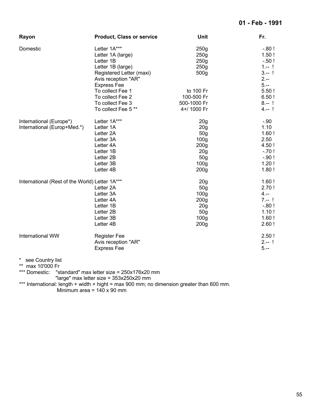| Rayon                                                  | <b>Product, Class or service</b>                                                                                                                                                                         | Unit                                                                                                                                                                           | Fr.                                                                                                  |
|--------------------------------------------------------|----------------------------------------------------------------------------------------------------------------------------------------------------------------------------------------------------------|--------------------------------------------------------------------------------------------------------------------------------------------------------------------------------|------------------------------------------------------------------------------------------------------|
| Domestic                                               | Letter 1A***<br>Letter 1A (large)<br>Letter 1B<br>Letter 1B (large)<br>Registered Letter (maxi)<br>Avis reception "AR"<br><b>Express Fee</b><br>To collect Fee 1<br>To collect Fee 2<br>To collect Fee 3 | 250g<br>250g<br>250 <sub>g</sub><br>250g<br>500g<br>to 100 Fr<br>100-500 Fr<br>500-1000 Fr                                                                                     | $-0.80!$<br>1.50!<br>$-.50!$<br>$1 - 1$<br>$3 - 1$<br>$2 -$<br>$5. - -$<br>5.50!<br>6.50!<br>$8 - 1$ |
| International (Europe*)<br>International (Europ+Med.*) | To collect Fee 5 **<br>Letter 1A***<br>Letter 1A<br>Letter 2A<br>Letter 3A<br>Letter 4A<br>Letter 1B<br>Letter 2B<br>Letter 3B<br>Letter 4B                                                              | 4+/ 1000 Fr<br>20 <sub>g</sub><br>20 <sub>g</sub><br>50 <sub>g</sub><br>100 <sub>g</sub><br>200 <sub>g</sub><br>20 <sub>g</sub><br>50g<br>100 <sub>g</sub><br>200 <sub>g</sub> | $4 - 1$<br>$-.90$<br>1.10<br>1.60!<br>2.50<br>4.50!<br>$-.70!$<br>$-.90!$<br>1.20!<br>1.80!          |
| International (Rest of the World) Letter 1A***         | Letter 2A<br>Letter 3A<br>Letter 4A<br>Letter 1B<br>Letter 2B<br>Letter 3B<br>Letter 4B                                                                                                                  | 20 <sub>g</sub><br>50g<br>100 <sub>g</sub><br>200 <sub>g</sub><br>20 <sub>g</sub><br>50 <sub>g</sub><br>100 <sub>g</sub><br>200 <sub>g</sub>                                   | 1.60!<br>2.70!<br>$4. - -$<br>$7 - 1$<br>$-0.80!$<br>1.10!<br>1.60!<br>2.60!                         |
| International WW                                       | <b>Register Fee</b><br>Avis reception "AR"<br><b>Express Fee</b>                                                                                                                                         |                                                                                                                                                                                | 2.50!<br>$2 - 1$<br>$5. -$                                                                           |
| $\star$<br>see Country list<br>max 10'000 Fr           | *** Domestic: "standard" max letter size = 250x176x20 mm                                                                                                                                                 |                                                                                                                                                                                |                                                                                                      |

"large" max letter size = 353x250x20 mm

\*\*\* International: length + width + hight = max 900 mm; no dimension greater than 600 mm.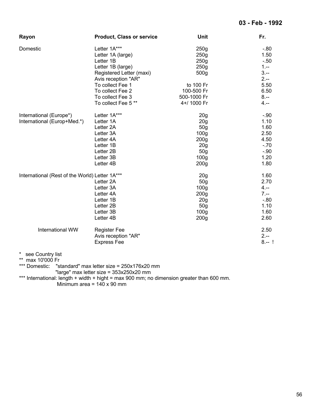| Rayon                                          | <b>Product, Class or service</b> | Unit             | Fr.      |
|------------------------------------------------|----------------------------------|------------------|----------|
| Domestic                                       | Letter 1A***                     | 250g             | $-.80$   |
|                                                | Letter 1A (large)                | 250 <sub>g</sub> | 1.50     |
|                                                | Letter 1B                        | 250 <sub>g</sub> | $-.50$   |
|                                                | Letter 1B (large)                | 250 <sub>g</sub> | $1. - -$ |
|                                                | Registered Letter (maxi)         | 500g             | $3 -$    |
|                                                | Avis reception "AR"              |                  | $2 -$    |
|                                                | To collect Fee 1                 | to 100 Fr        | 5.50     |
|                                                | To collect Fee 2                 | 100-500 Fr       | 6.50     |
|                                                | To collect Fee 3                 | 500-1000 Fr      | $8. - -$ |
|                                                | To collect Fee 5**               | 4+/ 1000 Fr      | $4. - -$ |
| International (Europe*)                        | Letter 1A***                     | 20 <sub>g</sub>  | $-.90$   |
| International (Europ+Med.*)                    | Letter 1A                        | 20 <sub>g</sub>  | 1.10     |
|                                                | Letter 2A                        | 50 <sub>g</sub>  | 1.60     |
|                                                | Letter 3A                        | 100 <sub>g</sub> | 2.50     |
|                                                | Letter 4A                        | 200 <sub>g</sub> | 4.50     |
|                                                | Letter 1B                        | 20 <sub>g</sub>  | $-.70$   |
|                                                | Letter 2B                        | 50 <sub>g</sub>  | $-.90$   |
|                                                | Letter 3B                        | 100 <sub>g</sub> | 1.20     |
|                                                | Letter 4B                        | 200 <sub>g</sub> | 1.80     |
| International (Rest of the World) Letter 1A*** |                                  | 20 <sub>g</sub>  | 1.60     |
|                                                | Letter 2A                        | 50 <sub>g</sub>  | 2.70     |
|                                                | Letter 3A                        | 100 <sub>g</sub> | $4. - -$ |
|                                                | Letter 4A                        | 200 <sub>g</sub> | $7. - -$ |
|                                                | Letter 1B                        | 20g              | $-0.80$  |
|                                                | Letter 2B                        | 50 <sub>g</sub>  | 1.10     |
|                                                | Letter 3B                        | 100 <sub>g</sub> | 1.60     |
|                                                | Letter 4B                        | 200 <sub>g</sub> | 2.60     |
| International WW                               | <b>Register Fee</b>              |                  | 2.50     |
|                                                | Avis reception "AR"              |                  | $2 -$    |
|                                                | <b>Express Fee</b>               |                  | $8 - 1$  |
| $\ast$<br>see Country list                     |                                  |                  |          |
| $***$<br>$max$ 10'000 Fr                       |                                  |                  |          |

\*\*\* Domestic: "standard" max letter size = 250x176x20 mm

"large" max letter size = 353x250x20 mm

\*\*\* International: length + width + hight = max 900 mm; no dimension greater than 600 mm.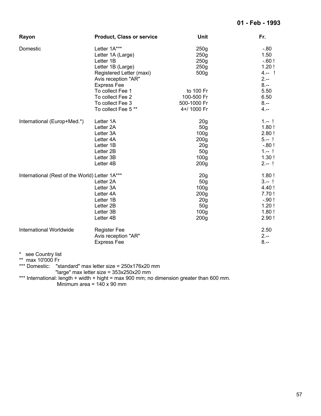#### **01 - Feb - 1993**

| Rayon                                          | <b>Product, Class or service</b> | Unit             | Fr.      |
|------------------------------------------------|----------------------------------|------------------|----------|
| Domestic                                       | Letter 1A***                     | 250g             | $-.80$   |
|                                                | Letter 1A (Large)                | 250g             | 1.50     |
|                                                | Letter 1B                        | 250 <sub>g</sub> | $-.60!$  |
|                                                | Letter 1B (Large)                | 250g             | 1.20!    |
|                                                | Registered Letter (maxi)         | 500 <sub>g</sub> | $4. - 1$ |
|                                                | Avis reception "AR"              |                  | $2 -$    |
|                                                | <b>Express Fee</b>               |                  | $8. - -$ |
|                                                | To collect Fee 1                 | to 100 Fr        | 5.50     |
|                                                | To collect Fee 2                 | 100-500 Fr       | 6.50     |
|                                                | To collect Fee 3                 | 500-1000 Fr      | $8. - -$ |
|                                                | To collect Fee 5**               | 4+/ 1000 Fr      | 4.--     |
| International (Europ+Med.*)                    | Letter 1A                        | 20 <sub>g</sub>  | $1 - 1$  |
|                                                | Letter 2A                        | 50 <sub>g</sub>  | 1.80!    |
|                                                | Letter 3A                        | 100 <sub>g</sub> | 2.80!    |
|                                                | Letter 4A                        | 200 <sub>g</sub> | $5 - 1$  |
|                                                | Letter 1B                        | 20 <sub>g</sub>  | $-0.80!$ |
|                                                | Letter 2B                        | 50 <sub>g</sub>  | $1 - 1$  |
|                                                | Letter 3B                        | 100 <sub>g</sub> | 1.30!    |
|                                                | Letter 4B                        | 200 <sub>g</sub> | $2 - 1$  |
| International (Rest of the World) Letter 1A*** |                                  | 20 <sub>g</sub>  | 1.80!    |
|                                                | Letter 2A                        | 50 <sub>g</sub>  | $3 - 1$  |
|                                                | Letter 3A                        | 100 <sub>g</sub> | 4.40 !   |
|                                                | Letter 4A                        | 200 <sub>g</sub> | 7.70!    |
|                                                | Letter 1B                        | 20 <sub>g</sub>  | $-.90!$  |
|                                                | Letter 2B                        | 50 <sub>g</sub>  | 1.20!    |
|                                                | Letter 3B                        | 100 <sub>g</sub> | 1.80!    |
|                                                | Letter 4B                        | 200 <sub>g</sub> | 2.90!    |
| International Worldwide                        | <b>Register Fee</b>              |                  | 2.50     |
|                                                | Avis reception "AR"              |                  | $2 -$    |
|                                                | <b>Express Fee</b>               |                  | $8 - -$  |
| $^{\ast}$<br>see Country list                  |                                  |                  |          |
| $***$<br>max 10'000 Fr                         |                                  |                  |          |

\*\*\* Domestic: "standard" max letter size = 250x176x20 mm

"large" max letter size = 353x250x20 mm

\*\*\* International: length + width + hight = max 900 mm; no dimension greater than 600 mm.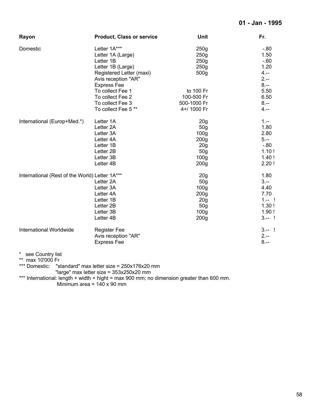| Rayon                                          | <b>Product, Class or service</b> | <b>Unit</b>      | Fr.      |
|------------------------------------------------|----------------------------------|------------------|----------|
| Domestic                                       | Letter 1A***                     | 250g             | $-.80$   |
|                                                | Letter 1A (Large)                | 250g             | 1.50     |
|                                                | Letter 1B                        | 250g             | $-60$    |
|                                                | Letter 1B (Large)                | 250g             | 1.20     |
|                                                | Registered Letter (maxi)         | 500g             | $4. - -$ |
|                                                | Avis reception "AR"              |                  | $2 -$    |
|                                                | <b>Express Fee</b>               |                  | $8. - -$ |
|                                                | To collect Fee 1                 | to 100 Fr        | 5.50     |
|                                                | To collect Fee 2                 | 100-500 Fr       | 6.50     |
|                                                | To collect Fee 3                 | 500-1000 Fr      | $8. - -$ |
|                                                | To collect Fee 5**               | 4+/ 1000 Fr      | $4. - -$ |
| International (Europ+Med.*)                    | Letter 1A                        | 20 <sub>g</sub>  | $1 -$    |
|                                                | Letter 2A                        | 50g              | 1.80     |
|                                                | Letter 3A                        | 100 <sub>g</sub> | 2.80     |
|                                                | Letter 4A                        | 200 <sub>g</sub> | $5. -$   |
|                                                | Letter 1B                        | 20g              | $-0.80$  |
|                                                | Letter 2B                        | 50 <sub>g</sub>  | 1.10!    |
|                                                | Letter 3B                        | 100 <sub>g</sub> | 1.40!    |
|                                                | Letter 4B                        | 200 <sub>g</sub> | 2.20!    |
| International (Rest of the World) Letter 1A*** |                                  | 20 <sub>g</sub>  | 1.80     |
|                                                | Letter 2A                        | 50 <sub>g</sub>  | $3 -$    |
|                                                | Letter 3A                        | 100 <sub>g</sub> | 4.40     |
|                                                | Letter 4A                        | 200 <sub>g</sub> | 7.70     |
|                                                | Letter 1B                        | 20 <sub>g</sub>  | $1 - 1$  |
|                                                | Letter 2B                        | 50 <sub>g</sub>  | 1.30!    |
|                                                | Letter 3B                        | 100 <sub>g</sub> | 1.90!    |
|                                                | Letter 4B                        | 200 <sub>g</sub> | $3 - 1$  |
| International Worldwide                        | <b>Register Fee</b>              |                  | $3 - 1$  |
|                                                | Avis reception "AR"              |                  | $2 -$    |
|                                                | <b>Express Fee</b>               |                  | $8 -$    |
| $^{\ast}$<br>see Country list                  |                                  |                  |          |
| **<br>max 10'000 Fr                            |                                  |                  |          |

\*\*\* Domestic: "standard" max letter size = 250x176x20 mm

"large" max letter size = 353x250x20 mm

\*\*\* International: length + width + hight = max 900 mm; no dimension greater than 600 mm.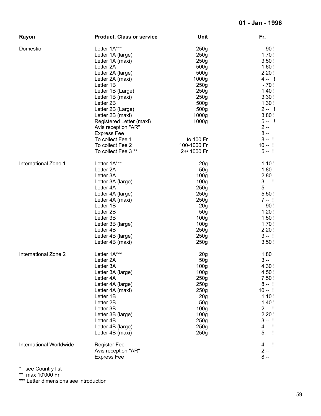| Rayon                   | <b>Product, Class or service</b> | Unit              | Fr.      |
|-------------------------|----------------------------------|-------------------|----------|
| Domestic                | Letter 1A***                     | 250 <sub>g</sub>  | $-.90!$  |
|                         | Letter 1A (large)                | 250g              | 1.70!    |
|                         | Letter 1A (maxi)                 | 250 <sub>g</sub>  | 3.50!    |
|                         | Letter 2A                        | 500g              | 1.60!    |
|                         | Letter 2A (large)                | 500g              | 2.20!    |
|                         |                                  | 1000g             | $4 - 1$  |
|                         | Letter 2A (maxi)                 |                   |          |
|                         | Letter 1B                        | 250 <sub>g</sub>  | $-.70!$  |
|                         | Letter 1B (Large)                | 250g              | 1.40!    |
|                         | Letter 1B (maxi)                 | 250 <sub>g</sub>  | 3.30!    |
|                         | Letter 2B                        | 500g              | 1.30!    |
|                         | Letter 2B (Large)                | 500g              | $2 - 1$  |
|                         | Letter 2B (maxi)                 | 1000 <sub>g</sub> | 3.80!    |
|                         | Registered Letter (maxi)         | 1000 <sub>g</sub> | $5 - 1$  |
|                         | Avis reception "AR"              |                   | $2 -$    |
|                         | <b>Express Fee</b>               |                   | $8. - -$ |
|                         | To collect Fee 1                 | to 100 Fr         | $8 - 1$  |
|                         | To collect Fee 2                 | 100-1000 Fr       | $10 - 1$ |
|                         | To collect Fee 3 **              | 2+/ 1000 Fr       | $5 - 1$  |
|                         |                                  |                   |          |
| International Zone 1    | Letter 1A***                     | 20 <sub>g</sub>   | 1.10!    |
|                         | Letter 2A                        | 50 <sub>g</sub>   | 1.80     |
|                         | Letter 3A                        | 100 <sub>g</sub>  | 2.80     |
|                         | Letter 3A (large)                | 100 <sub>g</sub>  | $3 - 1$  |
|                         | Letter 4A                        | 250g              | $5. - -$ |
|                         | Letter 4A (large)                | 250g              | 5.50!    |
|                         | Letter 4A (maxi)                 | 250 <sub>g</sub>  | $7 - 1$  |
|                         |                                  |                   |          |
|                         | Letter 1B                        | 20 <sub>g</sub>   | $-.90!$  |
|                         | Letter 2B                        | 50 <sub>g</sub>   | 1.20!    |
|                         | Letter 3B                        | 100 <sub>g</sub>  | 1.50!    |
|                         | Letter 3B (large)                | 100 <sub>g</sub>  | 1.70!    |
|                         | Letter 4B                        | 250 <sub>g</sub>  | 2.20!    |
|                         | Letter 4B (large)                | 250 <sub>g</sub>  | $3 - 1$  |
|                         | Letter 4B (maxi)                 | 250 <sub>g</sub>  | 3.50!    |
| International Zone 2    | Letter 1A***                     | 20 <sub>g</sub>   | 1.80     |
|                         | Letter 2A                        | 50g               | $3 -$    |
|                         | Letter 3A                        | 100 <sub>g</sub>  | 4.30 !   |
|                         | Letter 3A (large)                | 100 <sub>g</sub>  | 4.50!    |
|                         | Letter 4A                        | 250g              | 7.50!    |
|                         |                                  |                   | $8 - 1$  |
|                         | Letter 4A (large)                | 250g              |          |
|                         | Letter 4A (maxi)                 | 250g              | $10 - 1$ |
|                         | Letter 1B                        | 20 <sub>g</sub>   | 1.10!    |
|                         | Letter 2B                        | 50g               | 1.40!    |
|                         | Letter 3B                        | 100 <sub>g</sub>  | $2 - 1$  |
|                         | Letter 3B (large)                | 100 <sub>g</sub>  | 2.20!    |
|                         | Letter 4B                        | 250g              | $3 - 1$  |
|                         | Letter 4B (large)                | 250g              | $4 - 1$  |
|                         | Letter 4B (maxi)                 | 250g              | $5 - 1$  |
| International Worldwide | <b>Register Fee</b>              |                   | 4.-- !   |
|                         | Avis reception "AR"              |                   | $2 -$    |
|                         | <b>Express Fee</b>               |                   | $8. - $  |
|                         |                                  |                   |          |

\*\* max 10'000 Fr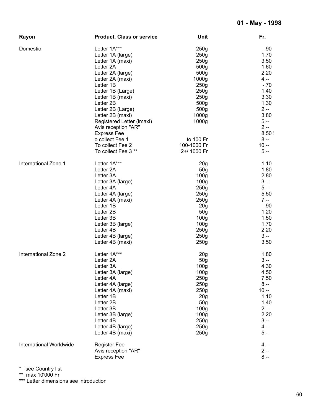| Rayon                   | <b>Product, Class or service</b> | <b>Unit</b>       | Fr.       |
|-------------------------|----------------------------------|-------------------|-----------|
| Domestic                | Letter 1A***                     | 250g              | $-.90$    |
|                         | Letter 1A (large)                | 250 <sub>g</sub>  | 1.70      |
|                         | Letter 1A (maxi)                 | 250 <sub>g</sub>  | 3.50      |
|                         | Letter 2A                        | 500 <sub>g</sub>  | 1.60      |
|                         | Letter 2A (large)                | 500g              | 2.20      |
|                         | Letter 2A (maxi)                 | 1000 <sub>g</sub> | $4. - -$  |
|                         | Letter 1B                        | 250g              | $-.70$    |
|                         |                                  |                   | 1.40      |
|                         | Letter 1B (Large)                | 250g              |           |
|                         | Letter 1B (maxi)                 | 250g              | 3.30      |
|                         | Letter 2B                        | 500 <sub>g</sub>  | 1.30      |
|                         | Letter 2B (Large)                | 500 <sub>g</sub>  | $2 -$     |
|                         | Letter 2B (maxi)                 | 1000g             | 3.80      |
|                         | Registered Letter (Imaxi)        | 1000 <sub>g</sub> | $5. - -$  |
|                         | Avis reception "AR"              |                   | $2 -$     |
|                         | <b>Express Fee</b>               |                   | 8.50!     |
|                         | o collect Fee 1                  | to 100 Fr         | $8 -$     |
|                         | To collect Fee 2                 | 100-1000 Fr       | $10. - -$ |
|                         | To collect Fee 3 **              | 2+/ 1000 Fr       | $5. - -$  |
| International Zone 1    | Letter 1A***                     | 20 <sub>g</sub>   | 1.10      |
|                         | Letter 2A                        | 50 <sub>g</sub>   | 1.80      |
|                         | Letter 3A                        | 100 <sub>g</sub>  | 2.80      |
|                         | Letter 3A (large)                | 100 <sub>g</sub>  | $3 -$     |
|                         | Letter 4A                        | 250g              | $5. -$    |
|                         | Letter 4A (large)                | 250g              | 5.50      |
|                         | Letter 4A (maxi)                 | 250 <sub>g</sub>  | $7. - -$  |
|                         | Letter 1B                        | 20 <sub>g</sub>   | $-.90$    |
|                         | Letter 2B                        | 50 <sub>g</sub>   | 1.20      |
|                         | Letter 3B                        | 100 <sub>g</sub>  | 1.50      |
|                         |                                  | 100 <sub>g</sub>  | 1.70      |
|                         | Letter 3B (large)                |                   |           |
|                         | Letter 4B                        | 250g              | 2.20      |
|                         | Letter 4B (large)                | 250g              | $3 -$     |
|                         | Letter 4B (maxi)                 | 250g              | 3.50      |
| International Zone 2    | Letter 1A***                     | 20 <sub>g</sub>   | 1.80      |
|                         | Letter 2A                        | 50g               | $3 -$     |
|                         | Letter 3A                        | 100 <sub>g</sub>  | 4.30      |
|                         | Letter 3A (large)                | 100 <sub>g</sub>  | 4.50      |
|                         | Letter 4A                        | 250g              | 7.50      |
|                         | Letter 4A (large)                | 250 <sub>g</sub>  | $8. - -$  |
|                         | Letter 4A (maxi)                 | 250g              | $10. - -$ |
|                         | Letter 1B                        | 20 <sub>g</sub>   | 1.10      |
|                         | Letter 2B                        | 50 <sub>g</sub>   | 1.40      |
|                         | Letter 3B                        | 100 <sub>g</sub>  | $2 -$     |
|                         | Letter 3B (large)                | 100 <sub>g</sub>  | 2.20      |
|                         | Letter 4B                        | 250g              | $3 -$     |
|                         | Letter 4B (large)                | 250g              | $4. - -$  |
|                         | Letter 4B (maxi)                 | 250g              | $5. - -$  |
|                         |                                  |                   |           |
| International Worldwide | <b>Register Fee</b>              |                   | 4.--      |
|                         | Avis reception "AR"              |                   | $2 -$     |
|                         | <b>Express Fee</b>               |                   | $8 -$     |

\*\* max 10'000 Fr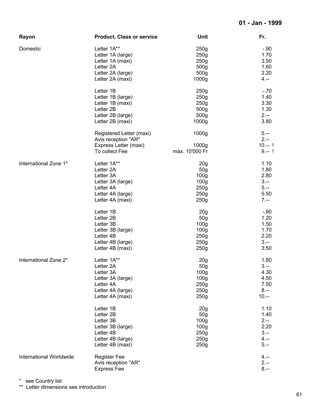| Rayon                   | <b>Product, Class or service</b>      | Unit              | Fr.              |
|-------------------------|---------------------------------------|-------------------|------------------|
| Domestic                | Letter 1A**                           | 250g              | $-.90$           |
|                         | Letter 1A (large)                     | 250g              | 1.70             |
|                         | Letter 1A (maxi)                      | 250 <sub>g</sub>  | 3.50             |
|                         | Letter 2A                             | 500g              | 1.60             |
|                         |                                       |                   | 2.20             |
|                         | Letter 2A (large)                     | 500g              |                  |
|                         | Letter 2A (maxi)                      | 1000g             | $4. - -$         |
|                         | Letter 1B                             | 250g              | $-.70$           |
|                         | Letter 1B (large)                     | 250g              | 1.40             |
|                         | Letter 1B (maxi)                      | 250g              | 3.30             |
|                         | Letter 2B                             | 500g              | 1.30             |
|                         | Letter 2B (large)                     | 500g              | $2 -$            |
|                         | Letter 2B (maxi)                      | 1000g             | 3.80             |
|                         | Registered Letter (maxi)              | 1000g             | $5. -$           |
|                         | Avis reception "AR"                   |                   | $2. - -$         |
|                         | Express Letter (maxi)                 | 1000 <sub>g</sub> | $10 - 1$         |
|                         | To collect Fee                        | max. 10'000 Fr    | $9 - 1$          |
| International Zone 1*   | Letter 1A**                           | 20 <sub>g</sub>   | 1.10             |
|                         | Letter 2A                             | 50 <sub>g</sub>   | 1.80             |
|                         | Letter 3A                             | 100 <sub>g</sub>  | 2.80             |
|                         | Letter 3A (large)                     | 100 <sub>g</sub>  | $3 -$            |
|                         | Letter 4A                             | 250g              | $5. - -$         |
|                         |                                       |                   |                  |
|                         | Letter 4A (large)<br>Letter 4A (maxi) | 250g<br>250g      | 5.50<br>$7. - -$ |
|                         |                                       |                   |                  |
|                         | Letter 1B                             | 20 <sub>g</sub>   | $-.90$           |
|                         | Letter 2B                             | 50 <sub>g</sub>   | 1.20             |
|                         | Letter 3B                             | 100 <sub>g</sub>  | 1.50             |
|                         | Letter 3B (large)                     | 100 <sub>g</sub>  | 1.70             |
|                         | Letter 4B                             | 250g              | 2.20             |
|                         | Letter 4B (large)                     | 250g              | $3 -$            |
|                         | Letter 4B (maxi)                      | 250 <sub>g</sub>  | 3.50             |
| International Zone 2*   | Letter 1A**                           | 20 <sub>g</sub>   | 1.80             |
|                         | Letter 2A                             | 50 <sub>g</sub>   | $3 -$            |
|                         | Letter 3A                             | 100 <sub>g</sub>  | 4.30             |
|                         | Letter 3A (large)                     | 100 <sub>g</sub>  | 4.50             |
|                         | Letter 4A                             | 250g              | 7.50             |
|                         | Letter 4A (large)                     | 250g              | $8 - -$          |
|                         | Letter 4A (maxi)                      | 250g              | $10. - -$        |
|                         |                                       |                   |                  |
|                         | Letter 1B                             | 20 <sub>g</sub>   | 1.10             |
|                         | Letter 2B                             | 50 <sub>g</sub>   | 1.40             |
|                         | Letter 3B                             | 100 <sub>g</sub>  | $2 -$            |
|                         | Letter 3B (large)                     | 100 <sub>g</sub>  | 2.20             |
|                         | Letter 4B                             | 250g              | $3 -$            |
|                         | Letter 4B (large)                     | 250g              | $4 -$            |
|                         | Letter 4B (maxi)                      | 250 <sub>g</sub>  | $5. -$           |
| International Worldwide | <b>Register Fee</b>                   |                   | 4.--             |
|                         | Avis reception "AR"                   |                   | $2. - -$         |
|                         | <b>Express Fee</b>                    |                   | $8. - -$         |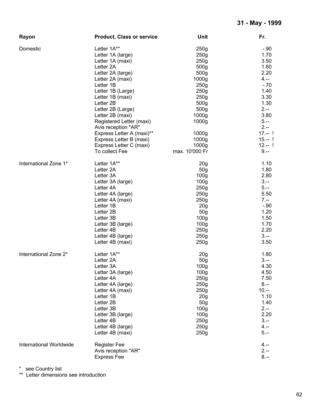| Rayon                   | <b>Product, Class or service</b> | Unit              | Fr.       |
|-------------------------|----------------------------------|-------------------|-----------|
| Domestic                | Letter 1A**                      | 250 <sub>g</sub>  | $-.90$    |
|                         | Letter 1A (large)                | 250g              | 1.70      |
|                         | Letter 1A (maxi)                 | 250g              | 3.50      |
|                         | Letter <sub>2A</sub>             | 500g              | 1.60      |
|                         | Letter 2A (large)                | 500g              | 2.20      |
|                         |                                  | 1000g             | $4. - -$  |
|                         | Letter 2A (maxi)                 |                   |           |
|                         | Letter 1B                        | 250g              | $-.70$    |
|                         | Letter 1B (Large)                | 250 <sub>g</sub>  | 1.40      |
|                         | Letter 1B (maxi)                 | 250g              | 3.30      |
|                         | Letter 2B                        | 500g              | 1.30      |
|                         | Letter 2B (Large)                | 500 <sub>g</sub>  | $2 -$     |
|                         | Letter 2B (maxi)                 | 1000g             | 3.80      |
|                         | Registered Letter (maxi)         | 1000 <sub>g</sub> | $5. - -$  |
|                         | Avis reception "AR"              |                   | $2 -$     |
|                         | Express Letter A (maxi)**        | 1000 <sub>g</sub> | $17 - 1$  |
|                         | Express Letter B (maxi)          | 1000 <sub>g</sub> | $15 - 1$  |
|                         | Express Letter C (maxi)          | 1000 <sub>g</sub> | $12 - 1$  |
|                         |                                  | max. 10'000 Fr    | $9. - -$  |
|                         | To collect Fee                   |                   |           |
| International Zone 1*   | Letter 1A**                      | 20 <sub>g</sub>   | 1.10      |
|                         | Letter 2A                        | 50 <sub>g</sub>   | 1.80      |
|                         | Letter 3A                        | 100 <sub>g</sub>  | 2.80      |
|                         | Letter 3A (large)                | 100 <sub>g</sub>  | $3 -$     |
|                         | Letter 4A                        | 250g              | $5. - -$  |
|                         | Letter 4A (large)                | 250g              | 5.50      |
|                         | Letter 4A (maxi)                 | 250 <sub>g</sub>  | $7. - -$  |
|                         | Letter 1B                        | 20 <sub>g</sub>   | $-.90$    |
|                         | Letter 2B                        |                   | 1.20      |
|                         |                                  | 50 <sub>g</sub>   |           |
|                         | Letter 3B                        | 100 <sub>g</sub>  | 1.50      |
|                         | Letter 3B (large)                | 100 <sub>g</sub>  | 1.70      |
|                         | Letter 4B                        | 250 <sub>g</sub>  | 2.20      |
|                         | Letter 4B (large)                | 250g              | $3 -$     |
|                         | Letter 4B (maxi)                 | 250 <sub>g</sub>  | 3.50      |
| International Zone 2*   | Letter 1A**                      | 20 <sub>g</sub>   | 1.80      |
|                         | Letter 2A                        | 50 <sub>g</sub>   | $3 -$     |
|                         | Letter 3A                        | 100 <sub>g</sub>  | 4.30      |
|                         | Letter 3A (large)                | 100 <sub>g</sub>  | 4.50      |
|                         | Letter 4A                        | 250g              | 7.50      |
|                         | Letter 4A (large)                | 250g              | $8. - -$  |
|                         |                                  |                   | $10. - -$ |
|                         | Letter 4A (maxi)                 | 250g              |           |
|                         | Letter 1B                        | 20 <sub>g</sub>   | 1.10      |
|                         | Letter 2B                        | 50 <sub>g</sub>   | 1.40      |
|                         | Letter 3B                        | 100 <sub>g</sub>  | $2 -$     |
|                         | Letter 3B (large)                | 100 <sub>g</sub>  | 2.20      |
|                         | Letter 4B                        | 250g              | $3 -$     |
|                         | Letter 4B (large)                | 250g              | $4. - -$  |
|                         | Letter 4B (maxi)                 | 250g              | $5. -$    |
| International Worldwide | <b>Register Fee</b>              |                   | $4. - -$  |
|                         | Avis reception "AR"              |                   | $2. - -$  |
|                         | <b>Express Fee</b>               |                   | $8. - -$  |
|                         |                                  |                   |           |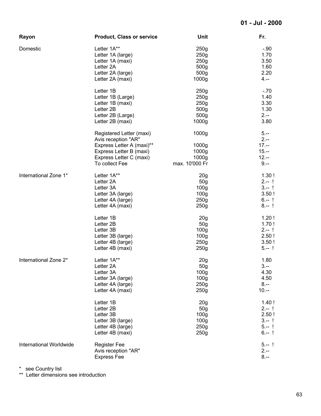| Rayon                   | <b>Product, Class or service</b>                | <b>Unit</b>       | Fr.            |
|-------------------------|-------------------------------------------------|-------------------|----------------|
| Domestic                | Letter 1A**                                     | 250g              | $-.90$         |
|                         | Letter 1A (large)                               | 250g              | 1.70           |
|                         | Letter 1A (maxi)                                | 250g              | 3.50           |
|                         | Letter 2A                                       | 500 <sub>g</sub>  | 1.60           |
|                         | Letter 2A (large)                               | 500g              | 2.20           |
|                         | Letter 2A (maxi)                                | 1000g             | $4. - -$       |
|                         |                                                 |                   |                |
|                         | Letter 1B                                       | 250g              | $-.70$         |
|                         | Letter 1B (Large)                               | 250g              | 1.40           |
|                         | Letter 1B (maxi)                                | 250g              | 3.30           |
|                         | Letter 2B                                       | 500 <sub>g</sub>  | 1.30           |
|                         | Letter 2B (Large)                               | 500 <sub>g</sub>  | $2 -$          |
|                         | Letter 2B (maxi)                                | 1000 <sub>g</sub> | 3.80           |
|                         | Registered Letter (maxi)<br>Avis reception "AR" | 1000 <sub>g</sub> | $5 -$<br>$2 -$ |
|                         |                                                 |                   |                |
|                         | Express Letter A (maxi)**                       | 1000g             | $17 -$         |
|                         | Express Letter B (maxi)                         | 1000g             | $15. - -$      |
|                         | Express Letter C (maxi)                         | 1000g             | $12. - -$      |
|                         | To collect Fee                                  | max. 10'000 Fr    | $9 -$          |
| International Zone 1*   | Letter 1A**                                     | 20 <sub>g</sub>   | 1.30!          |
|                         | Letter 2A                                       | 50 <sub>g</sub>   | $2 - 1$        |
|                         | Letter 3A                                       | 100 <sub>g</sub>  | $3 - 1$        |
|                         | Letter 3A (large)                               | 100 <sub>g</sub>  | 3.50!          |
|                         | Letter 4A (large)                               | 250g              | $6. - 1$       |
|                         |                                                 | 250g              | $8 - 1$        |
|                         | Letter 4A (maxi)                                |                   |                |
|                         | Letter 1B                                       | 20 <sub>g</sub>   | 1.20!          |
|                         | Letter 2B                                       | 50 <sub>g</sub>   | 1.70!          |
|                         | Letter 3B                                       | 100 <sub>g</sub>  | $2 - 1$        |
|                         | Letter 3B (large)                               | 100 <sub>g</sub>  | 2.50!          |
|                         | Letter 4B (large)                               | 250 <sub>g</sub>  | 3.50!          |
|                         | Letter 4B (maxi)                                | 250g              | $5 - 1$        |
|                         |                                                 |                   |                |
| International Zone 2*   | Letter 1A**                                     | 20 <sub>g</sub>   | 1.80           |
|                         | Letter 2A                                       | 50 <sub>g</sub>   | $3 -$          |
|                         | Letter 3A                                       | 100 <sub>g</sub>  | 4.30           |
|                         | Letter 3A (large)                               | 100 <sub>g</sub>  | 4.50           |
|                         | Letter 4A (large)                               | 250g              | $8 - -$        |
|                         | Letter 4A (maxi)                                | 250g              | $10. - -$      |
|                         | Letter 1B                                       | 20 <sub>g</sub>   | 1.40!          |
|                         | Letter 2B                                       | 50 <sub>g</sub>   | $2 - 1$        |
|                         | Letter 3B                                       | 100 <sub>g</sub>  | 2.50!          |
|                         |                                                 |                   | $3 - 1$        |
|                         | Letter 3B (large)                               | 100 <sub>g</sub>  |                |
|                         | Letter 4B (large)                               | 250g              | $5 - 1$        |
|                         | Letter 4B (maxi)                                | 250g              | $6 - 1$        |
| International Worldwide | <b>Register Fee</b>                             |                   | $5 - 1$        |
|                         | Avis reception "AR"                             |                   | $2 -$          |
|                         | <b>Express Fee</b>                              |                   | $8 - -$        |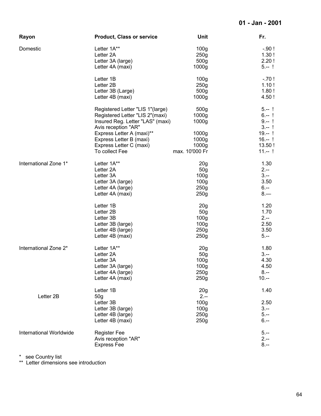| Rayon                   | <b>Product, Class or service</b>                        | <b>Unit</b>              | Fr.                 |
|-------------------------|---------------------------------------------------------|--------------------------|---------------------|
| Domestic                | Letter 1A**                                             | 100 <sub>g</sub>         | $-.90!$             |
|                         | Letter 2A                                               | 250g                     | 1.30!               |
|                         | Letter 3A (large)                                       | 500 <sub>g</sub>         | 2.20!               |
|                         | Letter 4A (maxi)                                        | 1000 <sub>g</sub>        | $5 - 1$             |
|                         | Letter 1B                                               | 100 <sub>g</sub>         | $-.70!$             |
|                         | Letter 2B                                               | 250g                     | 1.10!               |
|                         | Letter 3B (Large)                                       | 500 <sub>g</sub>         | 1.80!               |
|                         | Letter 4B (maxi)                                        | 1000g                    | 4.50!               |
|                         | Registered Letter "LIS 1"(large)                        | 500 <sub>g</sub>         | $5 - 1$             |
|                         | Registered Letter "LIS 2"(maxi)                         | 1000g                    | $6. - 1$            |
|                         | Insured Reg. Letter "LAS" (maxi)<br>Avis reception "AR" | 1000g                    | $9. - 1$<br>$3 - 1$ |
|                         | Express Letter A (maxi)**                               | 1000 <sub>g</sub>        | $19 - 1$            |
|                         | Express Letter B (maxi)                                 | 1000 <sub>g</sub>        | $16 - 1$            |
|                         | Express Letter C (maxi)                                 | 1000 <sub>g</sub>        | 13.50!              |
|                         | To collect Fee                                          | max. 10'000 Fr           | $11 - 1$            |
| International Zone 1*   | Letter 1A**                                             | 20 <sub>g</sub>          | 1.30                |
|                         | Letter 2A                                               | 50 <sub>g</sub>          | $2 -$               |
|                         | Letter 3A                                               | 100 <sub>g</sub>         | $3 -$               |
|                         | Letter 3A (large)                                       | 100 <sub>g</sub>         | 3.50                |
|                         | Letter 4A (large)                                       | 250g                     | $6. - -$            |
|                         | Letter 4A (maxi)                                        | 250g                     | $8 -$               |
|                         | Letter 1B                                               | 20 <sub>g</sub>          | 1.20                |
|                         | Letter 2B                                               | 50 <sub>g</sub>          | 1.70                |
|                         | Letter 3B                                               | 100 <sub>g</sub>         | $2. - -$            |
|                         | Letter 3B (large)                                       | 100 <sub>g</sub>         | 2.50                |
|                         | Letter 4B (large)                                       | 250g                     | 3.50                |
|                         | Letter 4B (maxi)                                        | 250g                     | $5. -$              |
| International Zone 2*   | Letter 1A**                                             | 20g                      | 1.80                |
|                         | Letter 2A                                               | 50 <sub>g</sub>          | $3 -$               |
|                         | Letter 3A                                               | 100 <sub>g</sub>         | 4.30                |
|                         | Letter 3A (large)                                       | 100g                     | 4.50                |
|                         | Letter 4A (large)                                       | 250g                     | $8 -$               |
|                         | Letter 4A (maxi)                                        | 250g                     | $10 -$              |
| Letter 2B               | Letter 1B                                               | 20 <sub>g</sub>          | 1.40                |
|                         | 50 <sub>g</sub><br>Letter 3B                            | $2 -$                    | 2.50                |
|                         |                                                         | 100 <sub>g</sub>         | $3 -$               |
|                         | Letter 3B (large)                                       | 100 <sub>g</sub><br>250g | $5. - -$            |
|                         | Letter 4B (large)                                       | 250g                     | $6 -$               |
|                         | Letter 4B (maxi)                                        |                          |                     |
| International Worldwide | <b>Register Fee</b>                                     |                          | $5 -$               |
|                         | Avis reception "AR"                                     |                          | $2 -$               |
|                         | <b>Express Fee</b>                                      |                          | $8 -$               |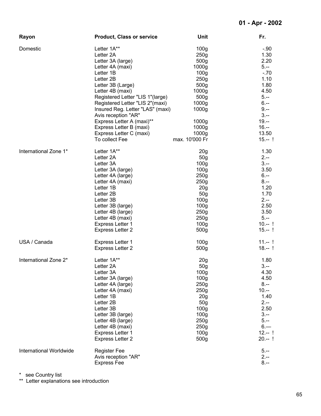| Rayon                   | <b>Product, Class or service</b>                                                                                                                                                                                                                                                                                                                                            | Unit                                                                                                                                                                                                                                                                      | Fr.                                                                                                                                                   |
|-------------------------|-----------------------------------------------------------------------------------------------------------------------------------------------------------------------------------------------------------------------------------------------------------------------------------------------------------------------------------------------------------------------------|---------------------------------------------------------------------------------------------------------------------------------------------------------------------------------------------------------------------------------------------------------------------------|-------------------------------------------------------------------------------------------------------------------------------------------------------|
| Domestic                | Letter 1A**<br>Letter 2A<br>Letter 3A (large)<br>Letter 4A (maxi)<br>Letter 1B<br>Letter 2B<br>Letter 3B (Large)<br>Letter 4B (maxi)<br>Registered Letter "LIS 1"(large)<br>Registered Letter "LIS 2"(maxi)<br>Insured Reg. Letter "LAS" (maxi)<br>Avis reception "AR"<br>Express Letter A (maxi)**<br>Express Letter B (maxi)<br>Express Letter C (maxi)<br>To collect Fee | 100 <sub>g</sub><br>250g<br>500 <sub>g</sub><br>1000 <sub>g</sub><br>100 <sub>g</sub><br>250g<br>500g<br>1000 <sub>g</sub><br>500 <sub>g</sub><br>1000 <sub>g</sub><br>1000 <sub>g</sub><br>1000 <sub>g</sub><br>1000 <sub>g</sub><br>1000 <sub>g</sub><br>max. 10'000 Fr | $-.90$<br>1.30<br>2.20<br>$5. -$<br>$-70$<br>1.10<br>1.80<br>4.50<br>$5. -$<br>$6 -$<br>$9 -$<br>$3 -$<br>$19. - -$<br>$16. - -$<br>13.50<br>$15 - 1$ |
| International Zone 1*   | Letter 1A**                                                                                                                                                                                                                                                                                                                                                                 | 20 <sub>g</sub>                                                                                                                                                                                                                                                           | 1.30                                                                                                                                                  |
|                         | Letter 2A                                                                                                                                                                                                                                                                                                                                                                   | 50 <sub>g</sub>                                                                                                                                                                                                                                                           | $2. - -$                                                                                                                                              |
|                         | Letter 3A                                                                                                                                                                                                                                                                                                                                                                   | 100 <sub>g</sub>                                                                                                                                                                                                                                                          | $3 -$                                                                                                                                                 |
|                         | Letter 3A (large)                                                                                                                                                                                                                                                                                                                                                           | 100 <sub>g</sub>                                                                                                                                                                                                                                                          | 3.50                                                                                                                                                  |
|                         | Letter 4A (large)                                                                                                                                                                                                                                                                                                                                                           | 250g                                                                                                                                                                                                                                                                      | $6. - -$                                                                                                                                              |
|                         | Letter 4A (maxi)                                                                                                                                                                                                                                                                                                                                                            | 250g                                                                                                                                                                                                                                                                      | $8. - -$                                                                                                                                              |
|                         | Letter 1B                                                                                                                                                                                                                                                                                                                                                                   | 20 <sub>g</sub>                                                                                                                                                                                                                                                           | 1.20                                                                                                                                                  |
|                         | Letter 2B                                                                                                                                                                                                                                                                                                                                                                   | 50 <sub>g</sub>                                                                                                                                                                                                                                                           | 1.70                                                                                                                                                  |
|                         | Letter 3B                                                                                                                                                                                                                                                                                                                                                                   | 100 <sub>g</sub>                                                                                                                                                                                                                                                          | $2 -$                                                                                                                                                 |
|                         | Letter 3B (large)                                                                                                                                                                                                                                                                                                                                                           | 100 <sub>g</sub>                                                                                                                                                                                                                                                          | 2.50                                                                                                                                                  |
|                         | Letter 4B (large)                                                                                                                                                                                                                                                                                                                                                           | 250g                                                                                                                                                                                                                                                                      | 3.50                                                                                                                                                  |
|                         | Letter 4B (maxi)                                                                                                                                                                                                                                                                                                                                                            | 250g                                                                                                                                                                                                                                                                      | $5 -$                                                                                                                                                 |
|                         | <b>Express Letter 1</b>                                                                                                                                                                                                                                                                                                                                                     | 100 <sub>g</sub>                                                                                                                                                                                                                                                          | $10--$ !                                                                                                                                              |
|                         | <b>Express Letter 2</b>                                                                                                                                                                                                                                                                                                                                                     | 500g                                                                                                                                                                                                                                                                      | $15 - 1$                                                                                                                                              |
| USA / Canada            | <b>Express Letter 1</b>                                                                                                                                                                                                                                                                                                                                                     | 100 <sub>g</sub>                                                                                                                                                                                                                                                          | $11 - 1$                                                                                                                                              |
|                         | <b>Express Letter 2</b>                                                                                                                                                                                                                                                                                                                                                     | 500g                                                                                                                                                                                                                                                                      | $18 - 1$                                                                                                                                              |
| International Zone 2*   | Letter 1A**                                                                                                                                                                                                                                                                                                                                                                 | 20g                                                                                                                                                                                                                                                                       | 1.80                                                                                                                                                  |
|                         | Letter 2A                                                                                                                                                                                                                                                                                                                                                                   | 50 <sub>g</sub>                                                                                                                                                                                                                                                           | $3. - -$                                                                                                                                              |
|                         | Letter 3A                                                                                                                                                                                                                                                                                                                                                                   | 100 <sub>g</sub>                                                                                                                                                                                                                                                          | 4.30                                                                                                                                                  |
|                         | Letter 3A (large)                                                                                                                                                                                                                                                                                                                                                           | 100 <sub>g</sub>                                                                                                                                                                                                                                                          | 4.50                                                                                                                                                  |
|                         | Letter 4A (large)                                                                                                                                                                                                                                                                                                                                                           | 250g                                                                                                                                                                                                                                                                      | $8. - -$                                                                                                                                              |
|                         | Letter 4A (maxi)                                                                                                                                                                                                                                                                                                                                                            | 250g                                                                                                                                                                                                                                                                      | $10. - -$                                                                                                                                             |
|                         | Letter 1B                                                                                                                                                                                                                                                                                                                                                                   | 20 <sub>g</sub>                                                                                                                                                                                                                                                           | 1.40                                                                                                                                                  |
|                         | Letter 2B                                                                                                                                                                                                                                                                                                                                                                   | 50 <sub>g</sub>                                                                                                                                                                                                                                                           | $2. - -$                                                                                                                                              |
|                         | Letter 3B                                                                                                                                                                                                                                                                                                                                                                   | 100 <sub>g</sub>                                                                                                                                                                                                                                                          | 2.50                                                                                                                                                  |
|                         | Letter 3B (large)                                                                                                                                                                                                                                                                                                                                                           | 100 <sub>g</sub>                                                                                                                                                                                                                                                          | $3 -$                                                                                                                                                 |
|                         | Letter 4B (large)                                                                                                                                                                                                                                                                                                                                                           | 250g                                                                                                                                                                                                                                                                      | $5. -$                                                                                                                                                |
|                         | Letter 4B (maxi)                                                                                                                                                                                                                                                                                                                                                            | 250g                                                                                                                                                                                                                                                                      | $6 -$                                                                                                                                                 |
|                         | <b>Express Letter 1</b>                                                                                                                                                                                                                                                                                                                                                     | 100 <sub>g</sub>                                                                                                                                                                                                                                                          | $12 - 1$                                                                                                                                              |
|                         | <b>Express Letter 2</b>                                                                                                                                                                                                                                                                                                                                                     | 500g                                                                                                                                                                                                                                                                      | $20 - 1$                                                                                                                                              |
| International Worldwide | <b>Register Fee</b><br>Avis reception "AR"<br><b>Express Fee</b>                                                                                                                                                                                                                                                                                                            |                                                                                                                                                                                                                                                                           | $5. -$<br>$2 -$<br>$8 -$                                                                                                                              |

\*\* Letter explanations see introduction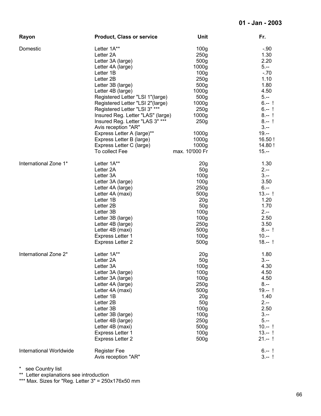| Rayon                   | <b>Product, Class or service</b>  | <b>Unit</b>       | Fr.       |
|-------------------------|-----------------------------------|-------------------|-----------|
| Domestic                | Letter 1A**                       | 100 <sub>g</sub>  | $-.90$    |
|                         | Letter 2A                         | 250g              | 1.30      |
|                         | Letter 3A (large)                 | 500 <sub>g</sub>  | 2.20      |
|                         | Letter 4A (large)                 | 1000g             | $5. -$    |
|                         | Letter 1B                         | 100 <sub>g</sub>  | $-.70$    |
|                         |                                   |                   |           |
|                         | Letter 2B                         | 250 <sub>g</sub>  | 1.10      |
|                         | Letter 3B (large)                 | 500 <sub>g</sub>  | 1.80      |
|                         | Letter 4B (large)                 | 1000g             | 4.50      |
|                         | Registered Letter "LSI 1"(large)  | 500 <sub>g</sub>  | $5. -$    |
|                         | Registered Letter "LSI 2"(large)  | 1000g             | $6 - 1$   |
|                         | Registered Letter "LSI 3" ***     | 250g              | $6 - 1$   |
|                         | Insured Reg. Letter "LAS" (large) | 1000 <sub>g</sub> | $8 - 1$   |
|                         | Insured Reg. Letter "LAS 3" ***   | 250g              | $8 - 1$   |
|                         | Avis reception "AR"               |                   | $3 -$     |
|                         | Express Letter A (large)**        | 1000 <sub>g</sub> | $19. - -$ |
|                         |                                   |                   | 16.50!    |
|                         | Express Letter B (large)          | 1000 <sub>g</sub> |           |
|                         | Express Letter C (large)          | 1000 <sub>g</sub> | 14.80!    |
|                         | To collect Fee                    | max. 10'000 Fr    | $15. - -$ |
| International Zone 1*   | Letter 1A**                       | 20 <sub>g</sub>   | 1.30      |
|                         | Letter 2A                         | 50 <sub>g</sub>   | $2 -$     |
|                         | Letter 3A                         | 100 <sub>g</sub>  | $3 -$     |
|                         | Letter 3A (large)                 | 100 <sub>g</sub>  | 3.50      |
|                         | Letter 4A (large)                 | 250 <sub>g</sub>  | $6. - -$  |
|                         | Letter 4A (maxi)                  | 500 <sub>g</sub>  | $13 - 1$  |
|                         |                                   |                   |           |
|                         | Letter 1B                         | 20 <sub>g</sub>   | 1.20      |
|                         | Letter 2B                         | 50 <sub>g</sub>   | 1.70      |
|                         | Letter 3B                         | 100 <sub>g</sub>  | $2 -$     |
|                         | Letter 3B (large)                 | 100 <sub>g</sub>  | 2.50      |
|                         | Letter 4B (large)                 | 250g              | 3.50      |
|                         | Letter 4B (maxi)                  | 500g              | $8 - 1$   |
|                         | <b>Express Letter 1</b>           | 100 <sub>g</sub>  | $10. - -$ |
|                         | <b>Express Letter 2</b>           | 500g              | $18 - 1$  |
| International Zone 2*   | Letter 1A**                       | 20 <sub>g</sub>   | 1.80      |
|                         | Letter 2A                         | 50g               | $3 -$     |
|                         |                                   |                   |           |
|                         | Letter 3A                         | 100g              | 4.30      |
|                         | Letter 3A (large)                 | 100 <sub>g</sub>  | 4.50      |
|                         | Letter 3A (large)                 | 100 <sub>g</sub>  | 4.50      |
|                         | Letter 4A (large)                 | 250g              | $8. - -$  |
|                         | Letter 4A (maxi)                  | 500 <sub>g</sub>  | $19 - 1$  |
|                         | Letter 1B                         | 20 <sub>g</sub>   | 1.40      |
|                         | Letter 2B                         | 50 <sub>g</sub>   | $2 -$     |
|                         | Letter 3B                         | 100 <sub>g</sub>  | 2.50      |
|                         | Letter 3B (large)                 | 100 <sub>g</sub>  | $3 - -$   |
|                         | Letter 4B (large)                 | 250g              | $5. - -$  |
|                         | Letter 4B (maxi)                  | 500 <sub>g</sub>  | $10 - 1$  |
|                         |                                   |                   |           |
|                         | Express Letter 1                  | 100 <sub>g</sub>  | $13 - 1$  |
|                         | <b>Express Letter 2</b>           | 500g              | $21 - 1$  |
| International Worldwide | <b>Register Fee</b>               |                   | $6 - 1$   |
|                         | Avis reception "AR"               |                   | $3 - 1$   |

\*\* Letter explanations see introduction

\*\*\* Max. Sizes for "Reg. Letter 3" = 250x176x50 mm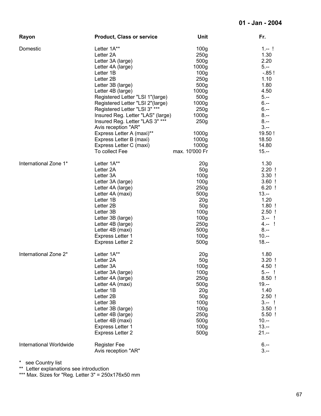| Rayon                   | <b>Product, Class or service</b>            | Unit                                 | Fr.                 |
|-------------------------|---------------------------------------------|--------------------------------------|---------------------|
| Domestic                | Letter 1A**<br>Letter 2A                    | 100 <sub>g</sub><br>250g             | $1 - 1$<br>1.30     |
|                         | Letter 3A (large)                           | 500 <sub>g</sub>                     | 2.20                |
|                         | Letter 4A (large)                           | 1000 <sub>g</sub>                    | $5. -$              |
|                         | Letter 1B                                   | 100 <sub>g</sub>                     | $-0.85!$            |
|                         | Letter 2B                                   | 250 <sub>g</sub>                     | 1.10                |
|                         | Letter 3B (large)                           | 500g                                 | 1.80                |
|                         | Letter 4B (large)                           | 1000g                                | 4.50                |
|                         | Registered Letter "LSI 1"(large)            | 500 <sub>g</sub>                     | $5. -$              |
|                         | Registered Letter "LSI 2"(large)            | 1000g                                | $6 -$               |
|                         | Registered Letter "LSI 3" ***               | 250g                                 | $6. - -$            |
|                         | Insured Reg. Letter "LAS" (large)           | 1000g                                | $8 - -$             |
|                         | Insured Reg. Letter "LAS 3" ***             | 250g                                 | $8. - -$            |
|                         | Avis reception "AR"                         |                                      | $3 -$               |
|                         | Express Letter A (maxi)**                   | 1000 <sub>g</sub>                    | 19.50!              |
|                         | Express Letter B (maxi)                     | 1000g                                | 18.50               |
|                         | Express Letter C (maxi)                     | 1000g                                | 14.80               |
|                         | To collect Fee                              | max. 10'000 Fr                       | $15. - $            |
| International Zone 1*   | Letter 1A**                                 | 20 <sub>g</sub>                      | 1.30                |
|                         | Letter 2A                                   | 50 <sub>g</sub>                      | $2.20$ !            |
|                         | Letter 3A                                   | 100 <sub>g</sub>                     | $3.30$ !            |
|                         | Letter 3A (large)                           | 100 <sub>g</sub>                     | $3.60$ !            |
|                         | Letter 4A (large)                           | 250 <sub>g</sub>                     | $6.20$ !            |
|                         | Letter 4A (maxi)                            | 500 <sub>g</sub>                     | $13. - -$           |
|                         | Letter 1B                                   | 20 <sub>g</sub>                      | 1.20                |
|                         | Letter 2B                                   | 50 <sub>g</sub>                      | $1.80$ !            |
|                         | Letter 3B                                   | 100 <sub>g</sub>                     | $2.50$ !            |
|                         | Letter 3B (large)                           | 100 <sub>g</sub>                     | $3 - 1$             |
|                         | Letter 4B (large)                           | 250g                                 | $4 - 1$<br>$8. - -$ |
|                         | Letter 4B (maxi)                            | 500 <sub>g</sub><br>100 <sub>g</sub> | $10. - -$           |
|                         | Express Letter 1<br><b>Express Letter 2</b> | 500g                                 | $18. - -$           |
|                         |                                             |                                      |                     |
| International Zone 2*   | Letter 1A**                                 | 20 <sub>g</sub>                      | 1.80                |
|                         | Letter 2A                                   | 50g                                  | $3.20$ !            |
|                         | Letter 3A                                   | 100g                                 | 4.50!               |
|                         | Letter 3A (large)                           | 100 <sub>g</sub>                     | $5 - 1$<br>$8.50$ ! |
|                         | Letter 4A (large)                           | 250g                                 |                     |
|                         | Letter 4A (maxi)<br>Letter 1B               | 500g<br>20 <sub>g</sub>              | $19. - -$<br>1.40   |
|                         | Letter 2B                                   | 50 <sub>g</sub>                      | $2.50$ !            |
|                         | Letter 3B                                   | 100 <sub>g</sub>                     | $3 - 1$             |
|                         | Letter 3B (large)                           | 100 <sub>g</sub>                     | $3.50$ !            |
|                         | Letter 4B (large)                           | 250 <sub>g</sub>                     | $5.50$ !            |
|                         | Letter 4B (maxi)                            | 500g                                 | $10. - -$           |
|                         | <b>Express Letter 1</b>                     | 100 <sub>g</sub>                     | $13. - -$           |
|                         | <b>Express Letter 2</b>                     | 500g                                 | $21. - -$           |
| International Worldwide | <b>Register Fee</b>                         |                                      | $6 -$               |
|                         | Avis reception "AR"                         |                                      | $3 -$               |
|                         |                                             |                                      |                     |

\*\* Letter explanations see introduction

\*\*\* Max. Sizes for "Reg. Letter 3" = 250x176x50 mm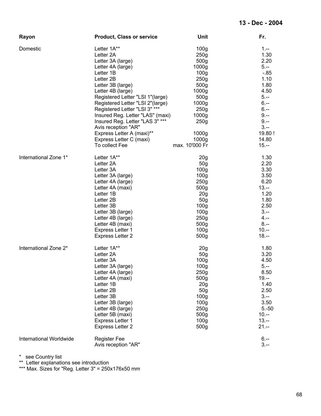| Rayon                   | <b>Product, Class or service</b>                                                                                                                                                                                                                                                                                                                                                                                        | <b>Unit</b>                                                                                                                                                                                                                                                          | Fr.                                                                                                                                                        |  |
|-------------------------|-------------------------------------------------------------------------------------------------------------------------------------------------------------------------------------------------------------------------------------------------------------------------------------------------------------------------------------------------------------------------------------------------------------------------|----------------------------------------------------------------------------------------------------------------------------------------------------------------------------------------------------------------------------------------------------------------------|------------------------------------------------------------------------------------------------------------------------------------------------------------|--|
| Domestic                | Letter 1A**<br>Letter 2A<br>Letter 3A (large)<br>Letter 4A (large)<br>Letter 1B<br>Letter 2B<br>Letter 3B (large)<br>Letter 4B (large)<br>Registered Letter "LSI 1"(large)<br>Registered Letter "LSI 2"(large)<br>Registered Letter "LSI 3" ***<br>Insured Reg. Letter "LAS" (maxi)<br>Insured Reg. Letter "LAS 3" ***<br>Avis reception "AR"<br>Express Letter A (maxi)**<br>Express Letter C (maxi)<br>To collect Fee | 100 <sub>g</sub><br>250g<br>500g<br>1000 <sub>g</sub><br>100 <sub>g</sub><br>250g<br>500 <sub>g</sub><br>1000 <sub>g</sub><br>500g<br>1000 <sub>g</sub><br>250 <sub>g</sub><br>1000 <sub>g</sub><br>250g<br>1000 <sub>g</sub><br>1000 <sub>g</sub><br>max. 10'000 Fr | $1 -$<br>1.30<br>2.20<br>$5. -$<br>$-0.85$<br>1.10<br>1.80<br>4.50<br>$5. - -$<br>$6 -$<br>$6 -$<br>$9 -$<br>$9 -$<br>$3 -$<br>19.80!<br>14.80<br>$15. - $ |  |
| International Zone 1*   | Letter 1A**<br>Letter 2A<br>Letter 3A<br>Letter 3A (large)<br>Letter 4A (large)<br>Letter 4A (maxi)<br>Letter 1B<br>Letter 2B<br>Letter 3B<br>Letter 3B (large)<br>Letter 4B (large)<br>Letter 4B (maxi)<br><b>Express Letter 1</b><br><b>Express Letter 2</b>                                                                                                                                                          | 20 <sub>g</sub><br>50 <sub>g</sub><br>100 <sub>g</sub><br>100 <sub>g</sub><br>250g<br>500 <sub>g</sub><br>20g<br>50 <sub>g</sub><br>100 <sub>g</sub><br>100 <sub>g</sub><br>250 <sub>g</sub><br>500g<br>100 <sub>g</sub><br>500 <sub>g</sub>                         | 1.30<br>2.20<br>3.30<br>3.50<br>6.20<br>$13. - -$<br>1.20<br>1.80<br>2.50<br>$3 -$<br>$4 -$<br>$8 -$<br>$10. - -$<br>$18. - -$                             |  |
| International Zone 2*   | Letter 1A**<br>Letter 2A<br>Letter 3A<br>Letter 3A (large)<br>Letter 4A (large)<br>Letter 4A (maxi)<br>Letter 1B<br>Letter 2B<br>Letter 3B<br>Letter 3B (large)<br>Letter 4B (large)<br>Letter 5B (maxi)<br><b>Express Letter 1</b><br><b>Express Letter 2</b>                                                                                                                                                          | 20 <sub>g</sub><br>50 <sub>g</sub><br>100 <sub>g</sub><br>100g<br>250 <sub>g</sub><br>500g<br>20 <sub>g</sub><br>50 <sub>g</sub><br>100 <sub>g</sub><br>100 <sub>g</sub><br>250g<br>500g<br>100 <sub>g</sub><br>500g                                                 | 1.80<br>3.20<br>4.50<br>$5. - -$<br>8.50<br>$19. - $<br>1.40<br>2.50<br>$3. - -$<br>3.50<br>$5.-50$<br>$10. - -$<br>$13. - -$<br>$21. - -$                 |  |
| International Worldwide | <b>Register Fee</b><br>Avis reception "AR"                                                                                                                                                                                                                                                                                                                                                                              |                                                                                                                                                                                                                                                                      | $6. - -$<br>$3 -$                                                                                                                                          |  |

\*\* Letter explanations see introduction

\*\*\* Max. Sizes for "Reg. Letter 3" = 250x176x50 mm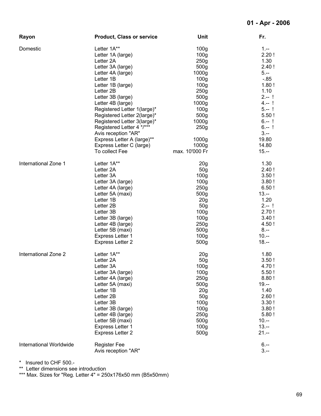| Rayon                   | <b>Product, Class or service</b> | Unit              | Fr.       |
|-------------------------|----------------------------------|-------------------|-----------|
| Domestic                | Letter 1A**                      | 100 <sub>g</sub>  | $1 -$     |
|                         | Letter 1A (large)                | 100 <sub>g</sub>  | 2.20!     |
|                         | Letter 2A                        | 250g              | 1.30      |
|                         | Letter 3A (large)                | 500 <sub>g</sub>  | 2.40!     |
|                         | Letter 4A (large)                | 1000 <sub>g</sub> | $5. -$    |
|                         | Letter 1B                        | 100 <sub>g</sub>  | $-0.85$   |
|                         | Letter 1B (large)                | 100 <sub>g</sub>  | 1.80!     |
|                         | Letter 2B                        | 250 <sub>g</sub>  | 1.10      |
|                         | Letter 3B (large)                | 500g              | $2 - 1$   |
|                         | Letter 4B (large)                | 1000g             | $4 - 1$   |
|                         | Registered Letter 1(large)*      | 100 <sub>g</sub>  | $5 - 1$   |
|                         | Registered Letter 2(large)*      | 500 <sub>g</sub>  | 5.50!     |
|                         | Registered Letter 3(large)*      | 1000g             | $6 - 1$   |
|                         | Registered Letter 4 */***        | 250g              | $6 - 1$   |
|                         | Avis reception "AR"              |                   | $3 -$     |
|                         | Express Letter A (large)**       | 1000 <sub>g</sub> | 19.80     |
|                         | Express Letter C (large)         | 1000 <sub>g</sub> | 14.80     |
|                         | To collect Fee                   | max. 10'000 Fr    | $15. - -$ |
| International Zone 1    | Letter 1A**                      | 20 <sub>g</sub>   | 1.30      |
|                         | Letter 2A                        | 50 <sub>g</sub>   | 2.40!     |
|                         | Letter 3A                        | 100 <sub>g</sub>  | 3.50!     |
|                         | Letter 3A (large)                | 100 <sub>g</sub>  | 3.80!     |
|                         | Letter 4A (large)                | 250 <sub>g</sub>  | 6.50!     |
|                         | Letter 5A (maxi)                 | 500g              | $13. - -$ |
|                         | Letter 1B                        | 20 <sub>g</sub>   | 1.20      |
|                         | Letter 2B                        | 50 <sub>g</sub>   | $2 - 1$   |
|                         | Letter 3B                        | 100 <sub>g</sub>  | 2.70!     |
|                         | Letter 3B (large)                | 100 <sub>g</sub>  | 3.40!     |
|                         | Letter 4B (large)                | 250g              | 4.50!     |
|                         | Letter 5B (maxi)                 | 500g              | $8 - -$   |
|                         | Express Letter 1                 | 100 <sub>g</sub>  | $10. - -$ |
|                         | <b>Express Letter 2</b>          | 500g              | $18. - -$ |
| International Zone 2    | Letter 1A**                      | 20 <sub>g</sub>   | 1.80      |
|                         | Letter 2A                        | 50g               | 3.50!     |
|                         | Letter 3A                        | 100g              | 4.70!     |
|                         | Letter 3A (large)                | 100 <sub>g</sub>  | 5.50!     |
|                         | Letter 4A (large)                | 250g              | 8.80!     |
|                         | Letter 5A (maxi)                 | 500g              | $19. - -$ |
|                         | Letter 1B                        | 20 <sub>g</sub>   | 1.40      |
|                         | Letter 2B                        | 50 <sub>g</sub>   | 2.60!     |
|                         | Letter 3B                        | 100 <sub>g</sub>  | 3.30!     |
|                         | Letter 3B (large)                | 100 <sub>g</sub>  | 3.80!     |
|                         | Letter 4B (large)                | 250g              | 5.80!     |
|                         | Letter 5B (maxi)                 | 500g              | $10. - -$ |
|                         | Express Letter 1                 | 100 <sub>g</sub>  | $13. - -$ |
|                         | <b>Express Letter 2</b>          | 500g              | $21. - -$ |
| International Worldwide | <b>Register Fee</b>              |                   | $6 -$     |
|                         | Avis reception "AR"              |                   | $3. - -$  |

\*\* Letter dimensions see introduction

\*\*\* Max. Sizes for "Reg. Letter 4" = 250x176x50 mm (B5x50mm)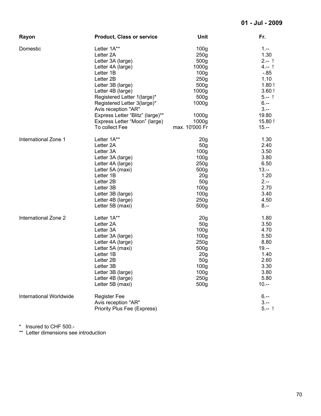| Rayon                   | <b>Product, Class or service</b>      | Unit              | Fr.       |
|-------------------------|---------------------------------------|-------------------|-----------|
| Domestic                | Letter 1A**                           | 100 <sub>g</sub>  | $1 -$     |
|                         | Letter 2A                             | 250g              | 1.30      |
|                         | Letter 3A (large)                     | 500 <sub>g</sub>  | $2 - 1$   |
|                         | Letter 4A (large)                     | 1000 <sub>g</sub> | $4 - 1$   |
|                         | Letter 1B                             | 100 <sub>g</sub>  | $-0.85$   |
|                         | Letter 2B                             | 250g              | 1.10      |
|                         | Letter 3B (large)                     | 500g              | 1.80!     |
|                         | Letter 4B (large)                     | 1000g             | 3.60!     |
|                         | Registered Letter 1(large)*           | 500 <sub>g</sub>  | $5 - 1$   |
|                         | Registered Letter 3(large)*           | 1000 <sub>g</sub> | $6 -$     |
|                         | Avis reception "AR"                   |                   | $3 -$     |
|                         | Express Letter "Blitz" (large)**      | 1000 <sub>g</sub> | 19.80     |
|                         | Express Letter "Moon" (large)         | 1000 <sub>g</sub> | 15.80!    |
|                         | To collect Fee                        | max. 10'000 Fr    | $15. - -$ |
|                         |                                       |                   |           |
| International Zone 1    | Letter 1A**                           | 20 <sub>g</sub>   | 1.30      |
|                         | Letter 2A                             | 50 <sub>g</sub>   | 2.40      |
|                         | Letter 3A                             | 100 <sub>g</sub>  | 3.50      |
|                         | Letter 3A (large)                     | 100 <sub>g</sub>  | 3.80      |
|                         | Letter 4A (large)                     | 250 <sub>g</sub>  | 6.50      |
|                         | Letter 5A (maxi)                      | 500 <sub>g</sub>  | $13. - $  |
|                         | Letter 1B                             | 20 <sub>g</sub>   | 1.20      |
|                         | Letter 2B                             | 50g               | $2 -$     |
|                         | Letter 3B                             | 100 <sub>g</sub>  | 2.70      |
|                         | Letter 3B (large)                     | 100 <sub>g</sub>  | 3.40      |
|                         | Letter 4B (large)                     | 250g              | 4.50      |
|                         | Letter 5B (maxi)                      | 500 <sub>g</sub>  | $8 - -$   |
| International Zone 2    | Letter 1A**                           | 20 <sub>g</sub>   | 1.80      |
|                         | Letter 2A                             | 50 <sub>g</sub>   | 3.50      |
|                         | Letter 3A                             | 100 <sub>g</sub>  | 4.70      |
|                         | Letter 3A (large)                     | 100 <sub>g</sub>  | 5.50      |
|                         | Letter 4A (large)                     | 250 <sub>g</sub>  | 8.80      |
|                         | Letter 5A (maxi)                      | 500g              | $19. - -$ |
|                         | Letter 1B                             | 20 <sub>g</sub>   | 1.40      |
|                         | Letter 2B                             | 50 <sub>g</sub>   | 2.60      |
|                         | Letter 3B                             | 100g              | 3.30      |
|                         | Letter 3B (large)                     | 100 <sub>g</sub>  | 3.80      |
|                         |                                       | 250g              | 5.80      |
|                         | Letter 4B (large)<br>Letter 5B (maxi) | 500g              | $10. - -$ |
|                         |                                       |                   |           |
| International Worldwide | <b>Register Fee</b>                   |                   | $6 -$     |
|                         | Avis reception "AR"                   |                   | $3 -$     |
|                         | <b>Priority Plus Fee (Express)</b>    |                   | $5 - 1$   |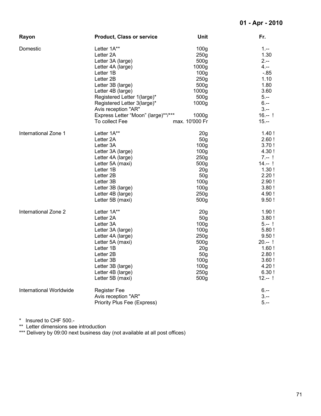| Rayon                   | <b>Product, Class or service</b>    | Unit              | Fr.       |
|-------------------------|-------------------------------------|-------------------|-----------|
| Domestic                | Letter 1A**                         | 100 <sub>g</sub>  | $1 -$     |
|                         | Letter 2A                           | 250g              | 1.30      |
|                         | Letter 3A (large)                   | 500g              | $2. - -$  |
|                         | Letter 4A (large)                   | 1000g             | 4.--      |
|                         | Letter 1B                           | 100 <sub>g</sub>  | $-85$     |
|                         | Letter 2B                           | 250 <sub>g</sub>  | 1.10      |
|                         | Letter 3B (large)                   | 500 <sub>g</sub>  | 1.80      |
|                         | Letter 4B (large)                   | 1000g             | 3.60      |
|                         | Registered Letter 1(large)*         | 500g              | $5. - -$  |
|                         | Registered Letter 3(large)*         | 1000 <sub>g</sub> | $6. - -$  |
|                         | Avis reception "AR"                 |                   | $3 -$     |
|                         | Express Letter "Moon" (large)**/*** | 1000 <sub>g</sub> | $16 - 1$  |
|                         | To collect Fee                      | max. 10'000 Fr    | $15. - -$ |
| International Zone 1    | Letter 1A**                         | 20 <sub>q</sub>   | 1.40!     |
|                         | Letter 2A                           | 50 <sub>g</sub>   | 2.60!     |
|                         | Letter 3A                           | 100 <sub>g</sub>  | 3.70!     |
|                         | Letter 3A (large)                   | 100 <sub>g</sub>  | 4.30!     |
|                         | Letter 4A (large)                   | 250 <sub>g</sub>  | $7 - 1$   |
|                         | Letter 5A (maxi)                    | 500g              | $14 - 1$  |
|                         | Letter 1B                           | 20g               | 1.30!     |
|                         | Letter 2B                           | 50 <sub>g</sub>   | 2.20!     |
|                         | Letter 3B                           | 100 <sub>g</sub>  | 2.90!     |
|                         | Letter 3B (large)                   | 100 <sub>g</sub>  | 3.80!     |
|                         | Letter 4B (large)                   | 250g              | 4.90!     |
|                         | Letter 5B (maxi)                    | 500g              | 9.50!     |
| International Zone 2    | Letter 1A**                         | 20 <sub>g</sub>   | 1.90!     |
|                         | Letter 2A                           | 50 <sub>g</sub>   | 3.80!     |
|                         | Letter 3A                           | 100 <sub>g</sub>  | $5 - 1$   |
|                         | Letter 3A (large)                   | 100 <sub>g</sub>  | 5.80!     |
|                         | Letter 4A (large)                   | 250 <sub>g</sub>  | 9.50!     |
|                         | Letter 5A (maxi)                    | 500g              | $20 - 1$  |
|                         | Letter 1B                           | 20 <sub>g</sub>   | 1.60!     |
|                         | Letter 2B                           | 50 <sub>q</sub>   | 2.80!     |
|                         | Letter 3B                           | 100 <sub>g</sub>  | 3.60!     |
|                         | Letter 3B (large)                   | 100 <sub>g</sub>  | 4.20!     |
|                         | Letter 4B (large)                   | 250 <sub>g</sub>  | 6.30!     |
|                         | Letter 5B (maxi)                    | 500g              | $12 - 1$  |
| International Worldwide | <b>Register Fee</b>                 |                   | $6. - -$  |
|                         | Avis reception "AR"                 |                   | $3 - -$   |
|                         | <b>Priority Plus Fee (Express)</b>  |                   | $5. -$    |

\*\* Letter dimensions see introduction

\*\*\* Delivery by 09:00 next business day (not available at all post offices)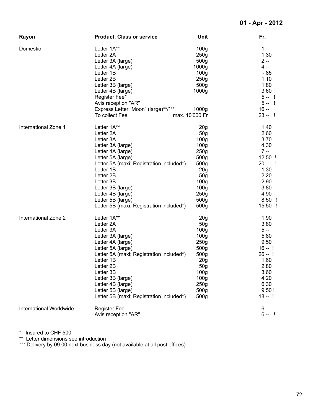| Rayon                   | <b>Product, Class or service</b>         | Unit              | Fr.       |
|-------------------------|------------------------------------------|-------------------|-----------|
| Domestic                | Letter 1A**                              | 100 <sub>g</sub>  | $1 -$     |
|                         | Letter 2A                                | 250g              | 1.30      |
|                         | Letter 3A (large)                        | 500 <sub>g</sub>  | $2. - -$  |
|                         | Letter 4A (large)                        | 1000 <sub>g</sub> | $4. - -$  |
|                         | Letter 1B                                | 100 <sub>g</sub>  | $-0.85$   |
|                         | Letter 2B                                | 250g              | 1.10      |
|                         | Letter 3B (large)                        | 500g              | 1.80      |
|                         | Letter 4B (large)                        | 1000g             | 3.60      |
|                         | Register Fee*                            |                   | $5 - 1$   |
|                         | Avis reception "AR"                      |                   | $5 - 1$   |
|                         | Express Letter "Moon" (large)**/***      | 1000 <sub>g</sub> | $16. - -$ |
|                         | To collect Fee                           | max. 10'000 Fr    | $23 - 1$  |
| International Zone 1    | Letter 1A**                              | 20 <sub>g</sub>   | 1.40      |
|                         | Letter 2A                                | 50 <sub>g</sub>   | 2.60      |
|                         | Letter 3A                                | 100 <sub>g</sub>  | 3.70      |
|                         | Letter 3A (large)                        | 100 <sub>g</sub>  | 4.30      |
|                         | Letter 4A (large)                        | 250 <sub>g</sub>  | $7 -$     |
|                         | Letter 5A (large)                        | 500 <sub>g</sub>  | 12.50 !   |
|                         | Letter 5A (maxi; Registration included*) | 500g              | $20 - 1$  |
|                         | Letter 1B                                | 20 <sub>g</sub>   | 1.30      |
|                         | Letter 2B                                | 50 <sub>g</sub>   | 2.20      |
|                         | Letter 3B                                | 100 <sub>g</sub>  | 2.90      |
|                         | Letter 3B (large)                        | 100 <sub>g</sub>  | 3.80      |
|                         | Letter 4B (large)                        | 250g              | 4.90      |
|                         | Letter 5B (large)                        | 500 <sub>g</sub>  | $8.50$ !  |
|                         | Letter 5B (maxi; Registration included*) | 500 <sub>g</sub>  | 15.50 !   |
| International Zone 2    | Letter 1A**                              | 20 <sub>g</sub>   | 1.90      |
|                         | Letter 2A                                | 50 <sub>g</sub>   | 3.80      |
|                         | Letter 3A                                | 100 <sub>g</sub>  | $5. -$    |
|                         | Letter 3A (large)                        | 100 <sub>g</sub>  | 5.80      |
|                         | Letter 4A (large)                        | 250 <sub>g</sub>  | 9.50      |
|                         | Letter 5A (large)                        | 500g              | $16. - 1$ |
|                         | Letter 5A (maxi; Registration included*) | 500g              | $26 - 1$  |
|                         | Letter 1B                                | 20 <sub>g</sub>   | 1.60      |
|                         | Letter 2B                                | 50g               | 2.80      |
|                         | Letter 3B                                | 100 <sub>g</sub>  | 3.60      |
|                         | Letter 3B (large)                        | 100 <sub>g</sub>  | 4.20      |
|                         | Letter 4B (large)                        | 250 <sub>g</sub>  | 6.30      |
|                         | Letter 5B (large)                        | 500g              | 9.50!     |
|                         | Letter 5B (maxi; Registration included*) | 500g              | $18 - 1$  |
| International Worldwide | <b>Register Fee</b>                      |                   | $6 -$     |
|                         | Avis reception "AR"                      |                   | $6 - 1$   |

\*\* Letter dimensions see introduction

\*\*\* Delivery by 09:00 next business day (not available at all post offices)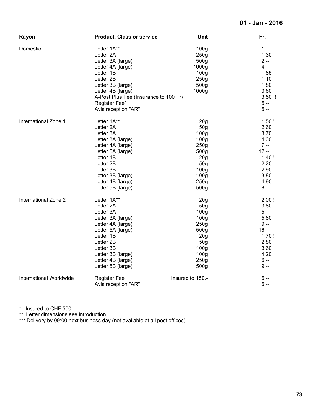| Rayon                   | <b>Product, Class or service</b>      | Unit             | Fr.      |
|-------------------------|---------------------------------------|------------------|----------|
| Domestic                | Letter 1A**                           | 100 <sub>g</sub> | $1 -$    |
|                         | Letter 2A                             | 250g             | 1.30     |
|                         | Letter 3A (large)                     | 500g             | $2 -$    |
|                         | Letter 4A (large)                     | 1000g            | $4. - -$ |
|                         | Letter 1B                             | 100 <sub>g</sub> | $-0.85$  |
|                         | Letter 2B                             | 250g             | 1.10     |
|                         | Letter 3B (large)                     | 500 <sub>g</sub> | 1.80     |
|                         | Letter 4B (large)                     | 1000g            | 3.60     |
|                         | A-Post Plus Fee (Insurance to 100 Fr) |                  | $3.50$ ! |
|                         | Register Fee*                         |                  | $5. - -$ |
|                         | Avis reception "AR"                   |                  | $5. - -$ |
| International Zone 1    | Letter 1A**                           | 20 <sub>g</sub>  | 1.50!    |
|                         | Letter 2A                             | 50 <sub>g</sub>  | 2.60     |
|                         | Letter 3A                             | 100 <sub>g</sub> | 3.70     |
|                         | Letter 3A (large)                     | 100 <sub>g</sub> | 4.30     |
|                         | Letter 4A (large)                     | 250g             | $7. - -$ |
|                         | Letter 5A (large)                     | 500g             | $12 - 1$ |
|                         | Letter 1B                             | 20 <sub>g</sub>  | 1.40!    |
|                         | Letter 2B                             | 50 <sub>g</sub>  | 2.20     |
|                         | Letter 3B                             | 100 <sub>g</sub> | 2.90     |
|                         | Letter 3B (large)                     | 100 <sub>g</sub> | 3.80     |
|                         | Letter 4B (large)                     | 250 <sub>g</sub> | 4.90     |
|                         | Letter 5B (large)                     | 500g             | $8 - 1$  |
| International Zone 2    | Letter 1A**                           | 20 <sub>g</sub>  | 2.00!    |
|                         | Letter 2A                             | 50g              | 3.80     |
|                         | Letter 3A                             | 100 <sub>g</sub> | $5. -$   |
|                         | Letter 3A (large)                     | 100 <sub>g</sub> | 5.80     |
|                         | Letter 4A (large)                     | 250 <sub>g</sub> | $9 - 1$  |
|                         | Letter 5A (large)                     | 500g             | $16 - 1$ |
|                         | Letter 1B                             | 20 <sub>g</sub>  | 1.70!    |
|                         | Letter 2B                             | 50 <sub>g</sub>  | 2.80     |
|                         | Letter 3B                             | 100 <sub>g</sub> | 3.60     |
|                         | Letter 3B (large)                     | 100 <sub>g</sub> | 4.20     |
|                         | Letter 4B (large)                     | 250 <sub>g</sub> | $6. - 1$ |
|                         | Letter 5B (large)                     | 500g             | $9 - 1$  |
| International Worldwide | <b>Register Fee</b>                   | Insured to 150.- | $6. - -$ |
|                         | Avis reception "AR"                   |                  | $6. - -$ |

\* Insured to CHF 500.-

\*\* Letter dimensions see introduction

\*\*\* Delivery by 09:00 next business day (not available at all post offices)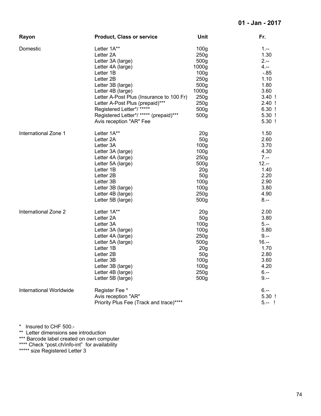| Rayon                   | <b>Product, Class or service</b>                                  | <b>Unit</b>      | Fr.                  |
|-------------------------|-------------------------------------------------------------------|------------------|----------------------|
| Domestic                | Letter 1A**                                                       | 100 <sub>g</sub> | $1 -$                |
|                         | Letter 2A                                                         | 250 <sub>g</sub> | 1.30                 |
|                         | Letter 3A (large)                                                 | 500 <sub>g</sub> | $2 -$                |
|                         | Letter 4A (large)                                                 | 1000g            | 4.--                 |
|                         | Letter 1B                                                         | 100 <sub>g</sub> | -.85                 |
|                         | Letter 2B                                                         | 250g             | 1.10                 |
|                         | Letter 3B (large)                                                 | 500 <sub>g</sub> | 1.80                 |
|                         | Letter 4B (large)                                                 | 1000g            | 3.60                 |
|                         | Letter A-Post Plus (Insurance to 100 Fr)                          | 250g             | $3.40$ !             |
|                         | Letter A-Post Plus (prepaid)***                                   | 250g             | $2.40$ !             |
|                         | Registered Letter*/******                                         | 500 <sub>g</sub> | $6.30$ !             |
|                         | Registered Letter*/ ***** (prepaid)***<br>Avis reception "AR" Fee | 500g             | $5.30$ !<br>$5.30$ ! |
| International Zone 1    | Letter 1A**                                                       | 20 <sub>q</sub>  | 1.50                 |
|                         | Letter 2A                                                         | 50 <sub>g</sub>  | 2.60                 |
|                         | Letter 3A                                                         | 100 <sub>g</sub> | 3.70                 |
|                         | Letter 3A (large)                                                 | 100 <sub>g</sub> | 4.30                 |
|                         | Letter 4A (large)                                                 | 250g             | $7. - -$             |
|                         | Letter 5A (large)                                                 | 500 <sub>g</sub> | $12. -$              |
|                         | Letter 1B                                                         | 20 <sub>g</sub>  | 1.40                 |
|                         | Letter 2B                                                         | 50 <sub>g</sub>  | 2.20                 |
|                         | Letter 3B                                                         | 100 <sub>g</sub> | 2.90                 |
|                         | Letter 3B (large)                                                 | 100 <sub>g</sub> | 3.80                 |
|                         | Letter 4B (large)                                                 | 250 <sub>g</sub> | 4.90                 |
|                         | Letter 5B (large)                                                 | 500 <sub>g</sub> | $8. - -$             |
| International Zone 2    | Letter 1A**                                                       | 20 <sub>g</sub>  | 2.00                 |
|                         | Letter 2A                                                         | 50 <sub>g</sub>  | 3.80                 |
|                         | Letter 3A                                                         | 100 <sub>g</sub> | $5. -$               |
|                         | Letter 3A (large)                                                 | 100 <sub>g</sub> | 5.80                 |
|                         | Letter 4A (large)                                                 | 250g             | $9. - -$             |
|                         | Letter 5A (large)                                                 | 500 <sub>g</sub> | $16. - -$            |
|                         | Letter 1B                                                         | 20 <sub>g</sub>  | 1.70                 |
|                         | Letter 2B                                                         | 50 <sub>g</sub>  | 2.80                 |
|                         | Letter 3B                                                         | 100 <sub>g</sub> | 3.60<br>4.20         |
|                         | Letter 3B (large)                                                 | 100 <sub>g</sub> |                      |
|                         | Letter 4B (large)                                                 | 250g             | 6.--                 |
|                         | Letter 5B (large)                                                 | 500 <sub>g</sub> | $9 -$                |
| International Worldwide | Register Fee *                                                    |                  | $6 -$                |
|                         | Avis reception "AR"                                               |                  | $5.30$ !             |
|                         | Priority Plus Fee (Track and trace)****                           |                  | $5 - 1$              |

\* Insured to CHF 500.-

\*\* Letter dimensions see introduction

\*\*\* Barcode label created on own computer

\*\*\*\* Check "post.ch/info-int" for availability

\*\*\*\*\* size Registered Letter 3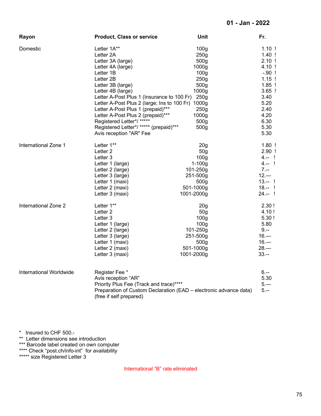| Rayon                   | <b>Product, Class or service</b>                                                                                                                                                                                                                                                                                                                                                                                      | Unit                                                                                                                                                                            | Fr.                                                                                                                                                |
|-------------------------|-----------------------------------------------------------------------------------------------------------------------------------------------------------------------------------------------------------------------------------------------------------------------------------------------------------------------------------------------------------------------------------------------------------------------|---------------------------------------------------------------------------------------------------------------------------------------------------------------------------------|----------------------------------------------------------------------------------------------------------------------------------------------------|
| Domestic                | Letter 1A**<br>Letter 2A<br>Letter 3A (large)<br>Letter 4A (large)<br>Letter 1B<br>Letter 2B<br>Letter 3B (large)<br>Letter 4B (large)<br>Letter A-Post Plus 1 (Insurance to 100 Fr)<br>Letter A-Post Plus 2 (large; Ins to 100 Fr) 1000g<br>Letter A-Post Plus 1 (prepaid)***<br>Letter A-Post Plus 2 (prepaid)***<br>Registered Letter*/ *****<br>Registered Letter*/ ***** (prepaid)***<br>Avis reception "AR" Fee | 100 <sub>g</sub><br>250g<br>500 <sub>g</sub><br>1000 <sub>g</sub><br>100 <sub>g</sub><br>250g<br>500g<br>1000g<br>250 <sub>g</sub><br>250g<br>1000g<br>500 <sub>g</sub><br>500g | $1.10$ !<br>$1.40$ !<br>$2.10$ !<br>4.10 !<br>$-.90$ !<br>$1.15$ !<br>$1.85$ !<br>$3.65$ !<br>3.40<br>5.20<br>2.40<br>4.20<br>6.30<br>5.30<br>5.30 |
| International Zone 1    | Letter 1**<br>Letter <sub>2</sub><br>Letter <sub>3</sub><br>Letter 1 (large)<br>Letter 2 (large)<br>Letter 3 (large)<br>Letter 1 (maxi)<br>Letter 2 (maxi)<br>Letter 3 (maxi)                                                                                                                                                                                                                                         | 20 <sub>g</sub><br>50 <sub>g</sub><br>100 <sub>g</sub><br>$1 - 100g$<br>101-250g<br>251-500g<br>500g<br>501-1000g<br>1001-2000g                                                 | $1.80$ !<br>$2.90$ !<br>$4 - 1$<br>$4 - 1$<br>$7 -$<br>$12 -$<br>$13 - 1$<br>$18 - 1$<br>$24 - 1$                                                  |
| International Zone 2    | Letter 1**<br>Letter <sub>2</sub><br>Letter 3<br>Letter 1 (large)<br>Letter 2 (large)<br>Letter 3 (large)<br>Letter 1 (maxi)<br>Letter 2 (maxi)<br>Letter 3 (maxi)                                                                                                                                                                                                                                                    | 20 <sub>g</sub><br>50 <sub>q</sub><br>100 <sub>g</sub><br>100 <sub>g</sub><br>101-250g<br>251-500g<br>500 <sub>g</sub><br>501-1000g<br>1001-2000g                               | 2.30!<br>4.10!<br>5.30!<br>5.80<br>$9. - -$<br>$16 -$<br>$16 -$<br>$28 -$<br>$33. - -$                                                             |
| International Worldwide | Register Fee *<br>Avis reception "AR"<br>Priority Plus Fee (Track and trace)****<br>(free if self prepared)                                                                                                                                                                                                                                                                                                           | Preparation of Custom Declaration (EAD - electronic advance data)                                                                                                               | $6 -$<br>5.30<br>$5 -$<br>$5. - -$                                                                                                                 |

\* Insured to CHF 500.-

\*\* Letter dimensions see introduction

\*\*\* Barcode label created on own computer

\*\*\*\* Check "post.ch/info-int" for availability

\*\*\*\*\* size Registered Letter 3

International "B" rate eliminated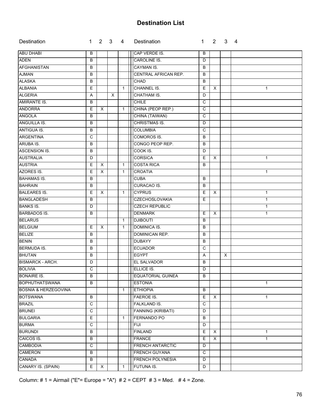# **Destination List**

| CAP VERDE IS.<br>B<br>B<br>CAROLINE IS.<br>B<br>D<br>B<br><b>CAYMAN IS.</b><br>B<br>CENTRAL AFRICAN REP.<br>B<br>B<br>B<br>CHAD<br>B<br>CHANNEL IS.<br>E<br>E<br>X<br>$\mathbf{1}$<br>$\mathbf{1}$<br>$\times$<br>CHATHAM IS.<br>D<br>Α<br><b>CHILE</b><br>B<br>C<br>CHINA (PEOP REP.)<br>E<br>$\mathsf{x}$<br>$\mathsf{C}$<br>$\mathbf{1}$<br>CHINA (TAIWAN)<br>$\overline{c}$<br>B<br><b>CHRISTMAS IS.</b><br>B<br>D<br>$\mathbf C$<br>B<br><b>COLUMBIA</b><br>COMOROS IS.<br>C<br>B<br>CONGO PEOP REP.<br>B<br>B<br>COOK IS.<br>B<br>D<br><b>CORSICA</b><br>E<br>$\times$<br>$\mathbf{1}$<br>D<br><b>COSTA RICA</b><br>E<br>$\times$<br>B<br>$\mathbf{1}$<br><b>CROATIA</b><br>E<br>X<br>$\mathbf{1}$<br>$\mathbf 1$<br>B<br><b>CUBA</b><br>B<br><b>CURACAO IS.</b><br>B<br>B<br>X<br><b>CYPRUS</b><br>E<br>E<br>$\times$<br>$\mathbf{1}$<br>1<br><b>CZECHOSLOVAKIA</b><br>E<br>B<br>$\mathbf{1}$<br><b>CZECH REPUBLIC</b><br>D<br>$\mathbf{1}$<br><b>DENMARK</b><br>B<br>E<br>X<br>$\mathbf{1}$<br><b>DJIBOUTI</b><br>B<br>$\mathbf{1}$<br>$\pmb{\times}$<br>DOMINICA IS.<br>E<br>B<br>$\mathbf{1}$<br>DOMINICAN REP.<br>B<br>B<br><b>DUBAYY</b><br>B<br>B<br>$\mathsf{C}$<br>B<br><b>ECUADOR</b><br><b>EGYPT</b><br>B<br>A<br>Χ<br>D<br><b>EL SALVADOR</b><br>B<br>$\mathsf{C}$<br>ELLICE IS.<br>D<br><b>EQUATORIAL GUINEA</b><br>B<br>B<br>$\overline{B}$<br><b>ESTONIA</b><br>$\mathbf{1}$<br><b>ETHIOPIA</b><br>B<br>$\mathbf{1}$<br>E<br>B<br><b>FAEROE IS.</b><br>X<br>1<br>$\mathbf C$<br>FALKLAND IS.<br>C<br>$\mathbf C$<br><b>FANNING (KIRIBATI)</b><br>D<br><b>FERNANDO PO</b><br>E<br>B<br>$\mathbf{1}$<br>C<br><b>FIJI</b><br>D<br>$\mathsf E$<br>B<br><b>FINLAND</b><br>$\boldsymbol{\mathsf{X}}$<br>1<br>$\overline{E}$<br>B<br><b>FRANCE</b><br>X<br>$\mathbf{1}$<br>$\mathbf C$<br>FRENCH ANTARCTIC<br>D<br><b>FRENCH GUYANA</b><br>$\mathsf{C}$<br>B<br><b>FRENCH POLYNESIA</b><br>B<br>D | Destination                     | 1 |   | $2 \quad 3 \quad 4$ | Destination | 1. | $2^{\circ}$ | 3 | - 4 |
|-----------------------------------------------------------------------------------------------------------------------------------------------------------------------------------------------------------------------------------------------------------------------------------------------------------------------------------------------------------------------------------------------------------------------------------------------------------------------------------------------------------------------------------------------------------------------------------------------------------------------------------------------------------------------------------------------------------------------------------------------------------------------------------------------------------------------------------------------------------------------------------------------------------------------------------------------------------------------------------------------------------------------------------------------------------------------------------------------------------------------------------------------------------------------------------------------------------------------------------------------------------------------------------------------------------------------------------------------------------------------------------------------------------------------------------------------------------------------------------------------------------------------------------------------------------------------------------------------------------------------------------------------------------------------------------------------------------------------------------------------------------------------------------------------------------------------------------------------------------------------------------------------------------------|---------------------------------|---|---|---------------------|-------------|----|-------------|---|-----|
|                                                                                                                                                                                                                                                                                                                                                                                                                                                                                                                                                                                                                                                                                                                                                                                                                                                                                                                                                                                                                                                                                                                                                                                                                                                                                                                                                                                                                                                                                                                                                                                                                                                                                                                                                                                                                                                                                                                 | <b>ABU DHABI</b>                |   |   |                     |             |    |             |   |     |
|                                                                                                                                                                                                                                                                                                                                                                                                                                                                                                                                                                                                                                                                                                                                                                                                                                                                                                                                                                                                                                                                                                                                                                                                                                                                                                                                                                                                                                                                                                                                                                                                                                                                                                                                                                                                                                                                                                                 | <b>ADEN</b>                     |   |   |                     |             |    |             |   |     |
|                                                                                                                                                                                                                                                                                                                                                                                                                                                                                                                                                                                                                                                                                                                                                                                                                                                                                                                                                                                                                                                                                                                                                                                                                                                                                                                                                                                                                                                                                                                                                                                                                                                                                                                                                                                                                                                                                                                 | <b>AFGHANISTAN</b>              |   |   |                     |             |    |             |   |     |
|                                                                                                                                                                                                                                                                                                                                                                                                                                                                                                                                                                                                                                                                                                                                                                                                                                                                                                                                                                                                                                                                                                                                                                                                                                                                                                                                                                                                                                                                                                                                                                                                                                                                                                                                                                                                                                                                                                                 | <b>AJMAN</b>                    |   |   |                     |             |    |             |   |     |
|                                                                                                                                                                                                                                                                                                                                                                                                                                                                                                                                                                                                                                                                                                                                                                                                                                                                                                                                                                                                                                                                                                                                                                                                                                                                                                                                                                                                                                                                                                                                                                                                                                                                                                                                                                                                                                                                                                                 | <b>ALASKA</b>                   |   |   |                     |             |    |             |   |     |
|                                                                                                                                                                                                                                                                                                                                                                                                                                                                                                                                                                                                                                                                                                                                                                                                                                                                                                                                                                                                                                                                                                                                                                                                                                                                                                                                                                                                                                                                                                                                                                                                                                                                                                                                                                                                                                                                                                                 | <b>ALBANIA</b>                  |   |   |                     |             |    |             |   |     |
|                                                                                                                                                                                                                                                                                                                                                                                                                                                                                                                                                                                                                                                                                                                                                                                                                                                                                                                                                                                                                                                                                                                                                                                                                                                                                                                                                                                                                                                                                                                                                                                                                                                                                                                                                                                                                                                                                                                 | <b>ALGERIA</b>                  |   |   |                     |             |    |             |   |     |
|                                                                                                                                                                                                                                                                                                                                                                                                                                                                                                                                                                                                                                                                                                                                                                                                                                                                                                                                                                                                                                                                                                                                                                                                                                                                                                                                                                                                                                                                                                                                                                                                                                                                                                                                                                                                                                                                                                                 | AMIRANTE IS.                    |   |   |                     |             |    |             |   |     |
|                                                                                                                                                                                                                                                                                                                                                                                                                                                                                                                                                                                                                                                                                                                                                                                                                                                                                                                                                                                                                                                                                                                                                                                                                                                                                                                                                                                                                                                                                                                                                                                                                                                                                                                                                                                                                                                                                                                 | <b>ANDORRA</b>                  |   |   |                     |             |    |             |   |     |
|                                                                                                                                                                                                                                                                                                                                                                                                                                                                                                                                                                                                                                                                                                                                                                                                                                                                                                                                                                                                                                                                                                                                                                                                                                                                                                                                                                                                                                                                                                                                                                                                                                                                                                                                                                                                                                                                                                                 | <b>ANGOLA</b>                   |   |   |                     |             |    |             |   |     |
|                                                                                                                                                                                                                                                                                                                                                                                                                                                                                                                                                                                                                                                                                                                                                                                                                                                                                                                                                                                                                                                                                                                                                                                                                                                                                                                                                                                                                                                                                                                                                                                                                                                                                                                                                                                                                                                                                                                 | <b>ANGUILLA IS.</b>             |   |   |                     |             |    |             |   |     |
|                                                                                                                                                                                                                                                                                                                                                                                                                                                                                                                                                                                                                                                                                                                                                                                                                                                                                                                                                                                                                                                                                                                                                                                                                                                                                                                                                                                                                                                                                                                                                                                                                                                                                                                                                                                                                                                                                                                 | ANTIGUA IS.                     |   |   |                     |             |    |             |   |     |
|                                                                                                                                                                                                                                                                                                                                                                                                                                                                                                                                                                                                                                                                                                                                                                                                                                                                                                                                                                                                                                                                                                                                                                                                                                                                                                                                                                                                                                                                                                                                                                                                                                                                                                                                                                                                                                                                                                                 | <b>ARGENTINA</b>                |   |   |                     |             |    |             |   |     |
|                                                                                                                                                                                                                                                                                                                                                                                                                                                                                                                                                                                                                                                                                                                                                                                                                                                                                                                                                                                                                                                                                                                                                                                                                                                                                                                                                                                                                                                                                                                                                                                                                                                                                                                                                                                                                                                                                                                 | ARUBA IS.                       |   |   |                     |             |    |             |   |     |
|                                                                                                                                                                                                                                                                                                                                                                                                                                                                                                                                                                                                                                                                                                                                                                                                                                                                                                                                                                                                                                                                                                                                                                                                                                                                                                                                                                                                                                                                                                                                                                                                                                                                                                                                                                                                                                                                                                                 | <b>ASCENSION IS.</b>            |   |   |                     |             |    |             |   |     |
|                                                                                                                                                                                                                                                                                                                                                                                                                                                                                                                                                                                                                                                                                                                                                                                                                                                                                                                                                                                                                                                                                                                                                                                                                                                                                                                                                                                                                                                                                                                                                                                                                                                                                                                                                                                                                                                                                                                 | <b>AUSTRALIA</b>                |   |   |                     |             |    |             |   |     |
|                                                                                                                                                                                                                                                                                                                                                                                                                                                                                                                                                                                                                                                                                                                                                                                                                                                                                                                                                                                                                                                                                                                                                                                                                                                                                                                                                                                                                                                                                                                                                                                                                                                                                                                                                                                                                                                                                                                 | <b>AUSTRIA</b>                  |   |   |                     |             |    |             |   |     |
|                                                                                                                                                                                                                                                                                                                                                                                                                                                                                                                                                                                                                                                                                                                                                                                                                                                                                                                                                                                                                                                                                                                                                                                                                                                                                                                                                                                                                                                                                                                                                                                                                                                                                                                                                                                                                                                                                                                 | AZORES IS.                      |   |   |                     |             |    |             |   |     |
|                                                                                                                                                                                                                                                                                                                                                                                                                                                                                                                                                                                                                                                                                                                                                                                                                                                                                                                                                                                                                                                                                                                                                                                                                                                                                                                                                                                                                                                                                                                                                                                                                                                                                                                                                                                                                                                                                                                 | <b>BAHAMAS IS.</b>              |   |   |                     |             |    |             |   |     |
|                                                                                                                                                                                                                                                                                                                                                                                                                                                                                                                                                                                                                                                                                                                                                                                                                                                                                                                                                                                                                                                                                                                                                                                                                                                                                                                                                                                                                                                                                                                                                                                                                                                                                                                                                                                                                                                                                                                 | <b>BAHRAIN</b>                  |   |   |                     |             |    |             |   |     |
|                                                                                                                                                                                                                                                                                                                                                                                                                                                                                                                                                                                                                                                                                                                                                                                                                                                                                                                                                                                                                                                                                                                                                                                                                                                                                                                                                                                                                                                                                                                                                                                                                                                                                                                                                                                                                                                                                                                 | <b>BALEARES IS.</b>             |   |   |                     |             |    |             |   |     |
|                                                                                                                                                                                                                                                                                                                                                                                                                                                                                                                                                                                                                                                                                                                                                                                                                                                                                                                                                                                                                                                                                                                                                                                                                                                                                                                                                                                                                                                                                                                                                                                                                                                                                                                                                                                                                                                                                                                 | <b>BANGLADESH</b>               |   |   |                     |             |    |             |   |     |
|                                                                                                                                                                                                                                                                                                                                                                                                                                                                                                                                                                                                                                                                                                                                                                                                                                                                                                                                                                                                                                                                                                                                                                                                                                                                                                                                                                                                                                                                                                                                                                                                                                                                                                                                                                                                                                                                                                                 | <b>BANKS IS.</b>                |   |   |                     |             |    |             |   |     |
|                                                                                                                                                                                                                                                                                                                                                                                                                                                                                                                                                                                                                                                                                                                                                                                                                                                                                                                                                                                                                                                                                                                                                                                                                                                                                                                                                                                                                                                                                                                                                                                                                                                                                                                                                                                                                                                                                                                 | <b>BARBADOS IS.</b>             |   |   |                     |             |    |             |   |     |
|                                                                                                                                                                                                                                                                                                                                                                                                                                                                                                                                                                                                                                                                                                                                                                                                                                                                                                                                                                                                                                                                                                                                                                                                                                                                                                                                                                                                                                                                                                                                                                                                                                                                                                                                                                                                                                                                                                                 | <b>BELARUS</b>                  |   |   |                     |             |    |             |   |     |
|                                                                                                                                                                                                                                                                                                                                                                                                                                                                                                                                                                                                                                                                                                                                                                                                                                                                                                                                                                                                                                                                                                                                                                                                                                                                                                                                                                                                                                                                                                                                                                                                                                                                                                                                                                                                                                                                                                                 | <b>BELGIUM</b>                  |   |   |                     |             |    |             |   |     |
|                                                                                                                                                                                                                                                                                                                                                                                                                                                                                                                                                                                                                                                                                                                                                                                                                                                                                                                                                                                                                                                                                                                                                                                                                                                                                                                                                                                                                                                                                                                                                                                                                                                                                                                                                                                                                                                                                                                 | <b>BELIZE</b>                   |   |   |                     |             |    |             |   |     |
|                                                                                                                                                                                                                                                                                                                                                                                                                                                                                                                                                                                                                                                                                                                                                                                                                                                                                                                                                                                                                                                                                                                                                                                                                                                                                                                                                                                                                                                                                                                                                                                                                                                                                                                                                                                                                                                                                                                 | <b>BENIN</b>                    |   |   |                     |             |    |             |   |     |
|                                                                                                                                                                                                                                                                                                                                                                                                                                                                                                                                                                                                                                                                                                                                                                                                                                                                                                                                                                                                                                                                                                                                                                                                                                                                                                                                                                                                                                                                                                                                                                                                                                                                                                                                                                                                                                                                                                                 | <b>BERMUDA IS.</b>              |   |   |                     |             |    |             |   |     |
|                                                                                                                                                                                                                                                                                                                                                                                                                                                                                                                                                                                                                                                                                                                                                                                                                                                                                                                                                                                                                                                                                                                                                                                                                                                                                                                                                                                                                                                                                                                                                                                                                                                                                                                                                                                                                                                                                                                 | <b>BHUTAN</b>                   |   |   |                     |             |    |             |   |     |
|                                                                                                                                                                                                                                                                                                                                                                                                                                                                                                                                                                                                                                                                                                                                                                                                                                                                                                                                                                                                                                                                                                                                                                                                                                                                                                                                                                                                                                                                                                                                                                                                                                                                                                                                                                                                                                                                                                                 | <b>BISMARCK - ARCH.</b>         |   |   |                     |             |    |             |   |     |
|                                                                                                                                                                                                                                                                                                                                                                                                                                                                                                                                                                                                                                                                                                                                                                                                                                                                                                                                                                                                                                                                                                                                                                                                                                                                                                                                                                                                                                                                                                                                                                                                                                                                                                                                                                                                                                                                                                                 | <b>BOLIVIA</b>                  |   |   |                     |             |    |             |   |     |
|                                                                                                                                                                                                                                                                                                                                                                                                                                                                                                                                                                                                                                                                                                                                                                                                                                                                                                                                                                                                                                                                                                                                                                                                                                                                                                                                                                                                                                                                                                                                                                                                                                                                                                                                                                                                                                                                                                                 | <b>BONAIRE IS.</b>              |   |   |                     |             |    |             |   |     |
|                                                                                                                                                                                                                                                                                                                                                                                                                                                                                                                                                                                                                                                                                                                                                                                                                                                                                                                                                                                                                                                                                                                                                                                                                                                                                                                                                                                                                                                                                                                                                                                                                                                                                                                                                                                                                                                                                                                 | <b>BOPHUTHATSWANA</b>           |   |   |                     |             |    |             |   |     |
|                                                                                                                                                                                                                                                                                                                                                                                                                                                                                                                                                                                                                                                                                                                                                                                                                                                                                                                                                                                                                                                                                                                                                                                                                                                                                                                                                                                                                                                                                                                                                                                                                                                                                                                                                                                                                                                                                                                 | <b>BOSNIA &amp; HERZEGOVINA</b> |   |   |                     |             |    |             |   |     |
|                                                                                                                                                                                                                                                                                                                                                                                                                                                                                                                                                                                                                                                                                                                                                                                                                                                                                                                                                                                                                                                                                                                                                                                                                                                                                                                                                                                                                                                                                                                                                                                                                                                                                                                                                                                                                                                                                                                 | <b>BOTSWANA</b>                 |   |   |                     |             |    |             |   |     |
|                                                                                                                                                                                                                                                                                                                                                                                                                                                                                                                                                                                                                                                                                                                                                                                                                                                                                                                                                                                                                                                                                                                                                                                                                                                                                                                                                                                                                                                                                                                                                                                                                                                                                                                                                                                                                                                                                                                 | <b>BRAZIL</b>                   |   |   |                     |             |    |             |   |     |
|                                                                                                                                                                                                                                                                                                                                                                                                                                                                                                                                                                                                                                                                                                                                                                                                                                                                                                                                                                                                                                                                                                                                                                                                                                                                                                                                                                                                                                                                                                                                                                                                                                                                                                                                                                                                                                                                                                                 | <b>BRUNEI</b>                   |   |   |                     |             |    |             |   |     |
|                                                                                                                                                                                                                                                                                                                                                                                                                                                                                                                                                                                                                                                                                                                                                                                                                                                                                                                                                                                                                                                                                                                                                                                                                                                                                                                                                                                                                                                                                                                                                                                                                                                                                                                                                                                                                                                                                                                 | <b>BULGARIA</b>                 |   |   |                     |             |    |             |   |     |
|                                                                                                                                                                                                                                                                                                                                                                                                                                                                                                                                                                                                                                                                                                                                                                                                                                                                                                                                                                                                                                                                                                                                                                                                                                                                                                                                                                                                                                                                                                                                                                                                                                                                                                                                                                                                                                                                                                                 | <b>BURMA</b>                    |   |   |                     |             |    |             |   |     |
|                                                                                                                                                                                                                                                                                                                                                                                                                                                                                                                                                                                                                                                                                                                                                                                                                                                                                                                                                                                                                                                                                                                                                                                                                                                                                                                                                                                                                                                                                                                                                                                                                                                                                                                                                                                                                                                                                                                 | <b>BURUNDI</b>                  |   |   |                     |             |    |             |   |     |
|                                                                                                                                                                                                                                                                                                                                                                                                                                                                                                                                                                                                                                                                                                                                                                                                                                                                                                                                                                                                                                                                                                                                                                                                                                                                                                                                                                                                                                                                                                                                                                                                                                                                                                                                                                                                                                                                                                                 | CAICOS IS.                      |   |   |                     |             |    |             |   |     |
|                                                                                                                                                                                                                                                                                                                                                                                                                                                                                                                                                                                                                                                                                                                                                                                                                                                                                                                                                                                                                                                                                                                                                                                                                                                                                                                                                                                                                                                                                                                                                                                                                                                                                                                                                                                                                                                                                                                 | <b>CAMBODIA</b>                 |   |   |                     |             |    |             |   |     |
|                                                                                                                                                                                                                                                                                                                                                                                                                                                                                                                                                                                                                                                                                                                                                                                                                                                                                                                                                                                                                                                                                                                                                                                                                                                                                                                                                                                                                                                                                                                                                                                                                                                                                                                                                                                                                                                                                                                 | <b>CAMERON</b>                  |   |   |                     |             |    |             |   |     |
|                                                                                                                                                                                                                                                                                                                                                                                                                                                                                                                                                                                                                                                                                                                                                                                                                                                                                                                                                                                                                                                                                                                                                                                                                                                                                                                                                                                                                                                                                                                                                                                                                                                                                                                                                                                                                                                                                                                 | <b>CANADA</b>                   |   |   |                     |             |    |             |   |     |
|                                                                                                                                                                                                                                                                                                                                                                                                                                                                                                                                                                                                                                                                                                                                                                                                                                                                                                                                                                                                                                                                                                                                                                                                                                                                                                                                                                                                                                                                                                                                                                                                                                                                                                                                                                                                                                                                                                                 | CANARY IS. (SPAIN)              | E | X | $\mathbf{1}$        | FUTUNA IS.  | D  |             |   |     |

Column: # 1 = Airmail ("E"= Europe = "A") # 2 = CEPT # 3 = Med. # 4 = Zone.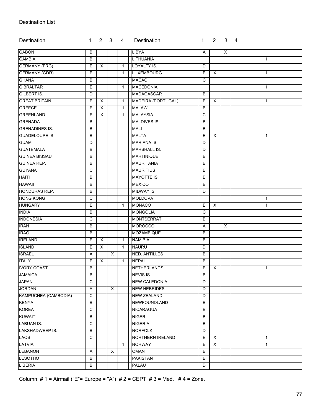### Destination List

| Destination            | $\mathbf{1}$ | $2 \quad 3$    |   | 4            | Destination             | 1           | $2^{\circ}$  | $\mathbf{3}$ | $\overline{4}$ |
|------------------------|--------------|----------------|---|--------------|-------------------------|-------------|--------------|--------------|----------------|
| <b>GABON</b>           | B            |                |   |              | LIBYA                   | Α           |              | X            |                |
| <b>GAMBIA</b>          | B            |                |   |              | LITHUANIA               |             |              |              | $\mathbf{1}$   |
| <b>GERMANY (FRG)</b>   | E            | $\mathsf{X}$   |   | $\mathbf{1}$ | LOYALTY IS.             | D           |              |              |                |
| <b>GERMANY (GDR)</b>   | Ε            |                |   | $\mathbf{1}$ | <b>LUXEMBOURG</b>       | E.          | X            |              | $\mathbf{1}$   |
| <b>GHANA</b>           | B            |                |   |              | <b>MACAO</b>            | C           |              |              |                |
| <b>GIBRALTAR</b>       | E            |                |   | $\mathbf{1}$ | <b>MACEDONIA</b>        |             |              |              | $\mathbf{1}$   |
| <b>GILBERT IS.</b>     | D            |                |   |              | <b>MADAGASCAR</b>       | B           |              |              |                |
| <b>GREAT BRITAIN</b>   | E            | $\times$       |   | $\mathbf{1}$ | MADEIRA (PORTUGAL)      | E           | X            |              | $\mathbf{1}$   |
| <b>GREECE</b>          | E            | $\mathsf{X}$   |   | $\mathbf{1}$ | <b>MALAWI</b>           | B           |              |              |                |
| GREENLAND              | E            | $\mathsf{X}$   |   | $\mathbf{1}$ | <b>MALAYSIA</b>         | C           |              |              |                |
| <b>GRENADA</b>         | B            |                |   |              | <b>MALDIVES IS</b>      | в           |              |              |                |
| <b>GRENADINES IS.</b>  | B            |                |   |              | <b>MALI</b>             | B           |              |              |                |
| <b>GUADELOUPE IS.</b>  | B            |                |   |              | <b>MALTA</b>            | E           | X            |              | $\mathbf{1}$   |
| <b>GUAM</b>            | D            |                |   |              | <b>MARIANA IS.</b>      | D           |              |              |                |
| <b>GUATEMALA</b>       | B            |                |   |              | <b>MARSHALL IS.</b>     | D           |              |              |                |
| <b>GUINEA BISSAU</b>   | B            |                |   |              | <b>MARTINIQUE</b>       | B           |              |              |                |
| <b>GUINEA REP.</b>     | B            |                |   |              | <b>MAURITANIA</b>       | В           |              |              |                |
| <b>GUYANA</b>          | C            |                |   |              | <b>MAURITIUS</b>        | B           |              |              |                |
| <b>HAITI</b>           | В            |                |   |              | <b>MAYOTTE IS.</b>      | B           |              |              |                |
| <b>HAWAII</b>          | B            |                |   |              | <b>MEXICO</b>           | B           |              |              |                |
| HONDURAS REP.          | B            |                |   |              | MIDWAY IS.<br>D         |             |              |              |                |
| <b>HONG KONG</b>       | C            |                |   |              | <b>MOLDOVA</b>          |             | $\mathbf{1}$ |              |                |
| <b>HUNGARY</b>         | E            |                |   | $\mathbf{1}$ | <b>MONACO</b><br>Е<br>X |             | $\mathbf{1}$ |              |                |
| <b>INDIA</b>           | B            |                |   |              | <b>MONGOLIA</b>         | $\mathbf C$ |              |              |                |
| <b>INDONESIA</b>       | C            |                |   |              | <b>MONTSERRAT</b>       | B           |              |              |                |
| <b>IRAN</b>            | B            |                |   |              | <b>MOROCCO</b>          | Α           |              | $\times$     |                |
| <b>IRAQ</b>            | в            |                |   |              | MOZAMBIQUE              | B           |              |              |                |
| <b>IRELAND</b>         | Ε            | X              |   | $\mathbf{1}$ | <b>NAMIBIA</b>          | B           |              |              |                |
| <b>ISLAND</b>          | E            | $\pmb{\times}$ |   | $\mathbf{1}$ | <b>NAURU</b>            | D           |              |              |                |
| <b>ISRAEL</b>          | Α            |                | X |              | <b>NED. ANTILLES</b>    | B           |              |              |                |
| <b>ITALY</b>           | Ε            | X              |   | $\mathbf{1}$ | <b>NEPAL</b>            | B           |              |              |                |
| <b>IVORY COAST</b>     | B            |                |   |              | NETHERLANDS             | E.          | $\mathsf{X}$ |              | $\mathbf{1}$   |
| <b>JAMAICA</b>         | B            |                |   |              | NEVIS IS.               | B           |              |              |                |
| <b>JAPAN</b>           | C            |                |   |              | <b>NEW CALEDONIA</b>    | D           |              |              |                |
| <b>JORDAN</b>          | Α            |                | Χ |              | <b>NEW HEBRIDES</b>     | D           |              |              |                |
| KAMPUCHEA (CAMBODIA)   | C            |                |   |              | <b>NEW ZEALAND</b>      | D           |              |              |                |
| <b>KENYA</b>           | B            |                |   |              | NEWFOUNDLAND            | B           |              |              |                |
| <b>KOREA</b>           | C            |                |   |              | <b>NICARAGUA</b>        | B           |              |              |                |
| <b>KUWAIT</b>          | В            |                |   |              | <b>NIGER</b>            | B           |              |              |                |
| <b>LABUAN IS.</b>      | C            |                |   |              | <b>NIGERIA</b>          | B           |              |              |                |
| <b>LAKSHADWEEP IS.</b> | B            |                |   |              | <b>NORFOLK</b>          | D           |              |              |                |
| <b>LAOS</b>            | $\mathbf C$  |                |   |              | NORTHERN IRELAND        | E           | $\mathsf{X}$ |              | $\mathbf{1}$   |
| <b>LATVIA</b>          |              |                |   | $\mathbf{1}$ | <b>NORWAY</b>           | E.          | $\times$     |              | $\mathbf{1}$   |
| <b>LEBANON</b>         | Α            |                | X |              | OMAN                    | B           |              |              |                |
| <b>LESOTHO</b>         | В            |                |   |              | <b>PAKISTAN</b>         | B           |              |              |                |
| <b>LIBERIA</b>         | В            |                |   |              | <b>PALAU</b>            | D           |              |              |                |

Column: # 1 = Airmail ("E"= Europe = "A") # 2 = CEPT # 3 = Med. # 4 = Zone.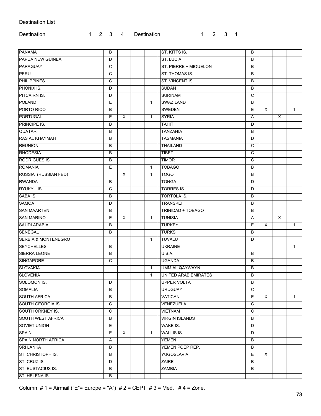#### Destination List

| Destination |  |  | 1 2 3 4 Destination | $1 \quad 2 \quad 3 \quad 4$ |  |
|-------------|--|--|---------------------|-----------------------------|--|
|             |  |  |                     |                             |  |

| <b>PANAMA</b>                  | B            |          |              | ST. KITTS IS.               | B  |    |              |              |
|--------------------------------|--------------|----------|--------------|-----------------------------|----|----|--------------|--------------|
| <b>PAPUA NEW GUINEA</b>        | D            |          |              | <b>ST. LUCIA</b>            | B  |    |              |              |
| PARAGUAY                       | C            |          |              | ST. PIERRE + MIQUELON       | B  |    |              |              |
| <b>PERU</b>                    | C            |          |              | ST. THOMAS IS.              | B  |    |              |              |
| PHILIPPINES                    | $\mathsf{C}$ |          |              | ST. VINCENT IS.             | B  |    |              |              |
| PHONIX IS.                     | D            |          |              | <b>SUDAN</b>                | B  |    |              |              |
| PITCAIRN IS.                   | D            |          |              | <b>SURINAM</b>              | C  |    |              |              |
| <b>POLAND</b>                  | Е            |          | $\mathbf{1}$ | SWAZILAND                   | B  |    |              |              |
| PORTO RICO                     | B            |          |              | <b>SWEDEN</b>               | E. | X  |              | $\mathbf{1}$ |
| <b>PORTUGAL</b>                | Е            | X        | $\mathbf{1}$ | <b>SYRIA</b>                | A  |    | $\times$     |              |
| <b>PRINCIPE IS.</b>            | В            |          |              | <b>TAHITI</b>               | D  |    |              |              |
| <b>QUATAR</b>                  | B            |          |              | <b>TANZANIA</b>             | B  |    |              |              |
| <b>RAS AL KHAYMAH</b>          | B            |          |              | <b>TASMANIA</b>             | D  |    |              |              |
| <b>REUNION</b>                 | B            |          |              | <b>THAILAND</b>             | C  |    |              |              |
| <b>RHODESIA</b>                | В            |          |              | <b>TIBET</b>                | C  |    |              |              |
| <b>RODRIGUES IS.</b>           | B            |          |              | <b>TIMOR</b>                | C  |    |              |              |
| <b>ROMANIA</b>                 | E            |          | $\mathbf{1}$ | <b>TOBAGO</b>               | B  |    |              |              |
| RUSSIA (RUSSIAN FED)           |              | X        | $\mathbf{1}$ | <b>TOGO</b>                 | B  |    |              |              |
| <b>RWANDA</b>                  | В            |          |              | <b>TONGA</b>                | D  |    |              |              |
| RYUKYU IS.                     | C            |          |              | <b>TORRES IS.</b>           | D  |    |              |              |
| SABA IS.                       | B            |          |              | TORTOLA IS.                 | B  |    |              |              |
| <b>SAMOA</b>                   | D            |          |              | <b>TRANSKEI</b>             | B  |    |              |              |
| <b>SAN MAARTEN</b>             | B            |          |              | TRINIDAD + TOBAGO           | B  |    |              |              |
| <b>SAN MARINO</b>              | Е            | X        | $\mathbf{1}$ | <b>TUNISIA</b>              | Α  |    | $\mathsf{X}$ |              |
| <b>SAUDI ARABIA</b>            | B            |          |              | <b>TURKEY</b>               | E  | X  |              | $\mathbf{1}$ |
| SENEGAL                        | В            |          |              | <b>TURKS</b>                | B  |    |              |              |
| <b>SERBIA &amp; MONTENEGRO</b> |              |          | $\mathbf{1}$ | <b>TUVALU</b>               | D  |    |              |              |
| <b>SEYCHELLES</b>              | B            |          |              | <b>UKRAINE</b>              |    |    |              | $\mathbf{1}$ |
| <b>SIERRA LEONE</b>            | B            |          |              | U.S.A.                      | B  |    |              |              |
| <b>SINGAPORE</b>               | C            |          |              | <b>UGANDA</b>               | B  |    |              |              |
| <b>SLOVAKIA</b>                |              |          | $\mathbf{1}$ | UMM AL QAYWAYN              | B  |    |              |              |
| <b>SLOVENIA</b>                |              |          | $\mathbf{1}$ | <b>UNITED ARAB EMIRATES</b> | B  |    |              |              |
| <b>SOLOMON IS.</b>             | D            |          |              | UPPER VOLTA                 | В  |    |              |              |
| <b>SOMALIA</b>                 | В            |          |              | <b>URUGUAY</b>              | C  |    |              |              |
| <b>SOUTH AFRICA</b>            | B            |          |              | VATICAN                     | E. | X  |              | $\mathbf{1}$ |
| <b>SOUTH GEORGIA IS</b>        | C            |          |              | VENEZUELA                   | C  |    |              |              |
| SOUTH ORKNEY IS.               | C            |          |              | <b>VIETNAM</b>              | C  |    |              |              |
| <b>SOUTH WEST AFRICA</b>       | В            |          |              | <b>VIRGIN ISLANDS</b>       | B  |    |              |              |
| SOVIET UNION                   | Е            |          |              | WAKE IS.                    | D  |    |              |              |
| <b>SPAIN</b>                   | E.           | $\times$ | $\mathbf{1}$ | <b>WALLIS IS.</b>           | D  |    |              |              |
| <b>SPAIN NORTH AFRICA</b>      | Α            |          |              | <b>YEMEN</b>                | B  |    |              |              |
| <b>SRI LANKA</b>               | В            |          |              | YEMEN POEP REP.             | В  |    |              |              |
| ST. CHRISTOPH IS.              | В            |          |              | YUGOSLAVIA                  | E. | X. |              |              |
| ST. CRUZ IS.                   | D            |          |              | <b>ZAIRE</b>                | B  |    |              |              |
| ST. EUSTACIUS IS.              | B            |          |              | ZAMBIA                      | B  |    |              |              |
| ST. HELENA IS.                 | В            |          |              |                             |    |    |              |              |

Column: # 1 = Airmail ("E"= Europe = "A") # 2 = CEPT # 3 = Med. # 4 = Zone.